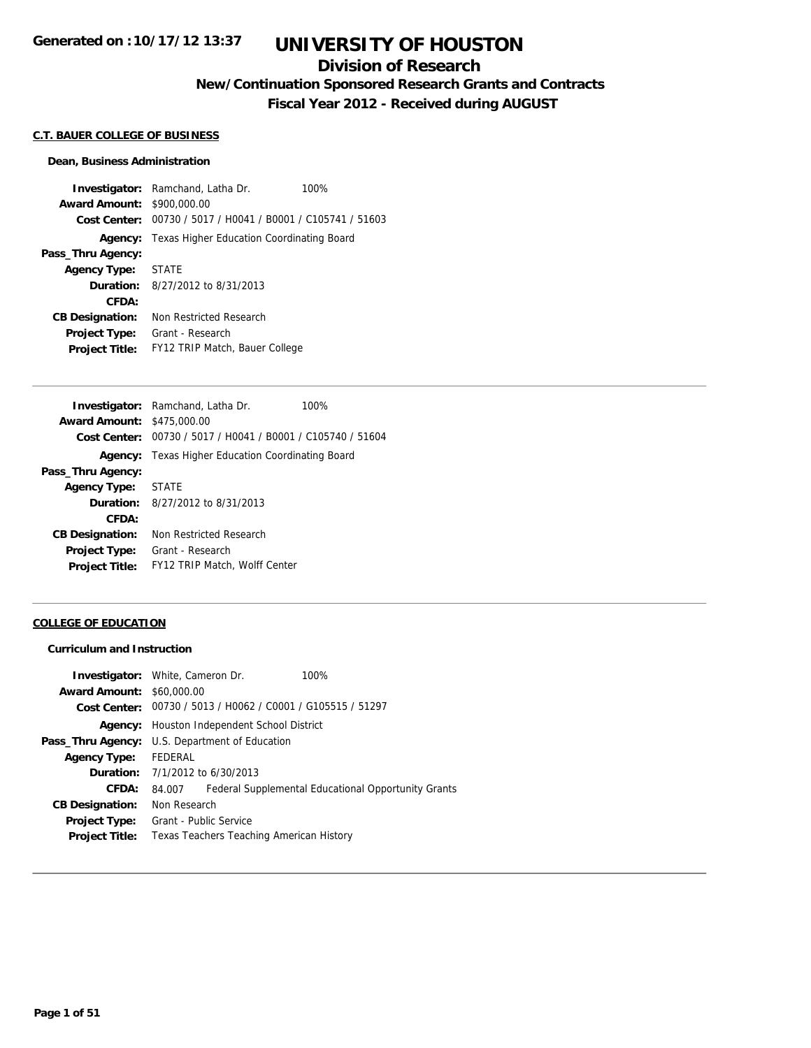## **Division of Research**

**New/Continuation Sponsored Research Grants and Contracts**

**Fiscal Year 2012 - Received during AUGUST**

### **C.T. BAUER COLLEGE OF BUSINESS**

#### **Dean, Business Administration**

**Investigator:** Ramchand, Latha Dr. 100% **Award Amount:** \$900,000.00 **Cost Center:** 00730 / 5017 / H0041 / B0001 / C105741 / 51603 **Agency:** Texas Higher Education Coordinating Board **Pass\_Thru Agency: Agency Type:** STATE **Duration:** 8/27/2012 to 8/31/2013 **CFDA: CB Designation:** Non Restricted Research **Project Type:** Grant - Research **Project Title:** FY12 TRIP Match, Bauer College

|                                   | <b>Investigator:</b> Ramchand, Latha Dr.                    | 100% |
|-----------------------------------|-------------------------------------------------------------|------|
| <b>Award Amount: \$475,000.00</b> |                                                             |      |
|                                   | Cost Center: 00730 / 5017 / H0041 / B0001 / C105740 / 51604 |      |
|                                   | <b>Agency:</b> Texas Higher Education Coordinating Board    |      |
| Pass_Thru Agency:                 |                                                             |      |
| <b>Agency Type:</b>               | <b>STATE</b>                                                |      |
|                                   | <b>Duration:</b> 8/27/2012 to 8/31/2013                     |      |
| CFDA:                             |                                                             |      |
| <b>CB Designation:</b>            | Non Restricted Research                                     |      |
| <b>Project Type:</b>              | Grant - Research                                            |      |
| <b>Project Title:</b>             | <b>FY12 TRIP Match, Wolff Center</b>                        |      |
|                                   |                                                             |      |

#### **COLLEGE OF EDUCATION**

#### **Curriculum and Instruction**

|         | 100%                                                                                                                                                                                                                                                                                                                                                                                               |
|---------|----------------------------------------------------------------------------------------------------------------------------------------------------------------------------------------------------------------------------------------------------------------------------------------------------------------------------------------------------------------------------------------------------|
|         |                                                                                                                                                                                                                                                                                                                                                                                                    |
|         |                                                                                                                                                                                                                                                                                                                                                                                                    |
|         |                                                                                                                                                                                                                                                                                                                                                                                                    |
|         |                                                                                                                                                                                                                                                                                                                                                                                                    |
| FEDERAL |                                                                                                                                                                                                                                                                                                                                                                                                    |
|         |                                                                                                                                                                                                                                                                                                                                                                                                    |
| 84.007  | Federal Supplemental Educational Opportunity Grants                                                                                                                                                                                                                                                                                                                                                |
|         |                                                                                                                                                                                                                                                                                                                                                                                                    |
|         |                                                                                                                                                                                                                                                                                                                                                                                                    |
|         |                                                                                                                                                                                                                                                                                                                                                                                                    |
|         | <b>Investigator:</b> White, Cameron Dr.<br><b>Award Amount: \$60,000.00</b><br><b>Cost Center:</b> $00730 / 5013 / 40062 / 00001 / 6105515 / 51297$<br><b>Agency:</b> Houston Independent School District<br><b>Pass_Thru Agency:</b> U.S. Department of Education<br><b>Duration:</b> 7/1/2012 to 6/30/2013<br>Non Research<br>Grant - Public Service<br>Texas Teachers Teaching American History |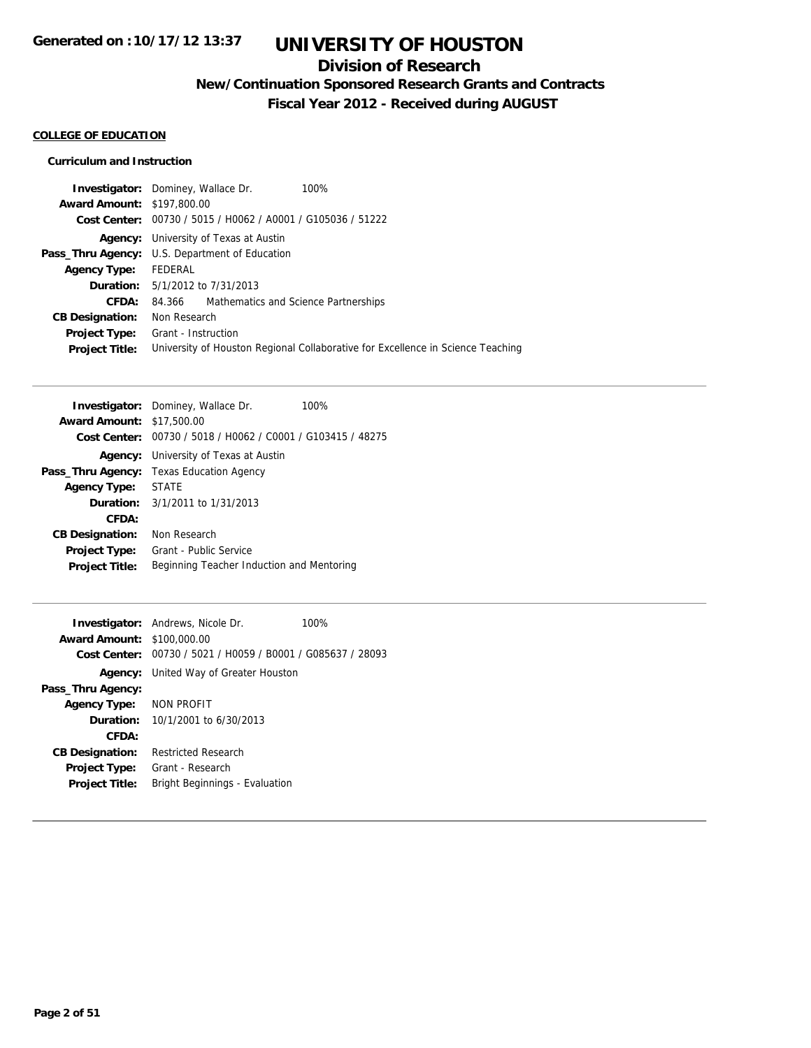## **Division of Research**

**New/Continuation Sponsored Research Grants and Contracts**

**Fiscal Year 2012 - Received during AUGUST**

#### **COLLEGE OF EDUCATION**

#### **Curriculum and Instruction**

| <b>Investigator:</b> Dominey, Wallace Dr. |                                                       |                                                             | 100%                                                                            |
|-------------------------------------------|-------------------------------------------------------|-------------------------------------------------------------|---------------------------------------------------------------------------------|
| <b>Award Amount: \$197,800.00</b>         |                                                       |                                                             |                                                                                 |
|                                           |                                                       | Cost Center: 00730 / 5015 / H0062 / A0001 / G105036 / 51222 |                                                                                 |
|                                           | <b>Agency:</b> University of Texas at Austin          |                                                             |                                                                                 |
|                                           | <b>Pass_Thru Agency:</b> U.S. Department of Education |                                                             |                                                                                 |
| <b>Agency Type:</b>                       | FEDERAL                                               |                                                             |                                                                                 |
|                                           | <b>Duration:</b> 5/1/2012 to 7/31/2013                |                                                             |                                                                                 |
| CFDA:                                     | 84.366                                                | Mathematics and Science Partnerships                        |                                                                                 |
| <b>CB Designation:</b>                    | Non Research                                          |                                                             |                                                                                 |
| <b>Project Type:</b>                      | Grant - Instruction                                   |                                                             |                                                                                 |
| <b>Project Title:</b>                     |                                                       |                                                             | University of Houston Regional Collaborative for Excellence in Science Teaching |
|                                           |                                                       |                                                             |                                                                                 |

|                                  | <b>Investigator:</b> Dominey, Wallace Dr.<br>100%           |  |
|----------------------------------|-------------------------------------------------------------|--|
| <b>Award Amount: \$17,500.00</b> |                                                             |  |
|                                  | Cost Center: 00730 / 5018 / H0062 / C0001 / G103415 / 48275 |  |
|                                  | <b>Agency:</b> University of Texas at Austin                |  |
|                                  | <b>Pass_Thru Agency:</b> Texas Education Agency             |  |
| Agency Type: STATE               |                                                             |  |
|                                  | <b>Duration:</b> $3/1/2011$ to $1/31/2013$                  |  |
| CFDA:                            |                                                             |  |
| <b>CB Designation:</b>           | Non Research                                                |  |
| <b>Project Type:</b>             | Grant - Public Service                                      |  |
| <b>Project Title:</b>            | Beginning Teacher Induction and Mentoring                   |  |
|                                  |                                                             |  |

|                                   | <b>Investigator:</b> Andrews, Nicole Dr.                    | 100% |
|-----------------------------------|-------------------------------------------------------------|------|
| <b>Award Amount: \$100,000.00</b> |                                                             |      |
|                                   | Cost Center: 00730 / 5021 / H0059 / B0001 / G085637 / 28093 |      |
|                                   | <b>Agency:</b> United Way of Greater Houston                |      |
| Pass_Thru Agency:                 |                                                             |      |
| Agency Type: NON PROFIT           |                                                             |      |
|                                   | <b>Duration:</b> $10/1/2001$ to $6/30/2013$                 |      |
| CFDA:                             |                                                             |      |
| <b>CB Designation:</b>            | <b>Restricted Research</b>                                  |      |
| <b>Project Type:</b>              | Grant - Research                                            |      |
| <b>Project Title:</b>             | Bright Beginnings - Evaluation                              |      |
|                                   |                                                             |      |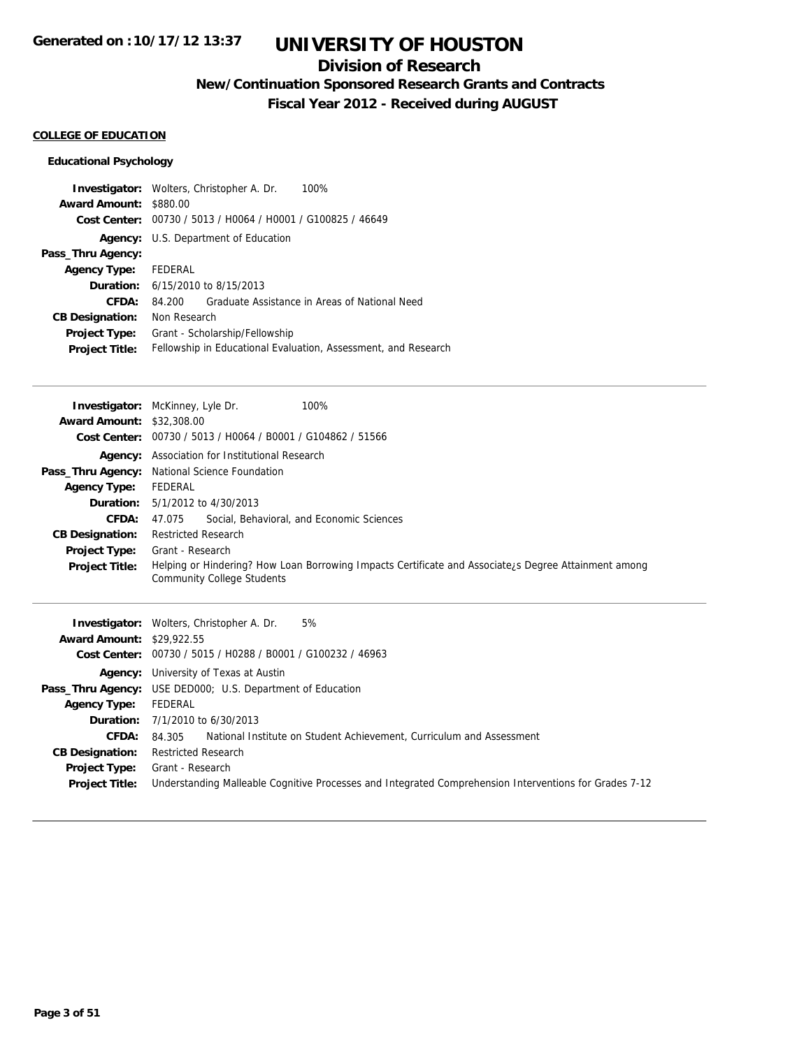## **Division of Research**

**New/Continuation Sponsored Research Grants and Contracts**

**Fiscal Year 2012 - Received during AUGUST**

#### **COLLEGE OF EDUCATION**

### **Educational Psychology**

|                        | 100%<br><b>Investigator:</b> Wolters, Christopher A. Dr.       |
|------------------------|----------------------------------------------------------------|
| <b>Award Amount:</b>   | \$880.00                                                       |
| Cost Center:           | 00730 / 5013 / H0064 / H0001 / G100825 / 46649                 |
|                        | Agency: U.S. Department of Education                           |
| Pass_Thru Agency:      |                                                                |
| <b>Agency Type:</b>    | FEDERAL                                                        |
| Duration:              | 6/15/2010 to 8/15/2013                                         |
| CFDA:                  | Graduate Assistance in Areas of National Need<br>84.200        |
| <b>CB Designation:</b> | Non Research                                                   |
| <b>Project Type:</b>   | Grant - Scholarship/Fellowship                                 |
| <b>Project Title:</b>  | Fellowship in Educational Evaluation, Assessment, and Research |

|                                  | 100%<br><b>Investigator:</b> McKinney, Lyle Dr.                                                                                                        |
|----------------------------------|--------------------------------------------------------------------------------------------------------------------------------------------------------|
| <b>Award Amount: \$32,308.00</b> |                                                                                                                                                        |
|                                  | Cost Center: 00730 / 5013 / H0064 / B0001 / G104862 / 51566                                                                                            |
|                                  | Agency: Association for Institutional Research                                                                                                         |
| Pass_Thru Agency:                | National Science Foundation                                                                                                                            |
| <b>Agency Type:</b>              | FEDERAL                                                                                                                                                |
| <b>Duration:</b>                 | 5/1/2012 to 4/30/2013                                                                                                                                  |
| CFDA:                            | Social, Behavioral, and Economic Sciences<br>47.075                                                                                                    |
| <b>CB Designation:</b>           | <b>Restricted Research</b>                                                                                                                             |
| Project Type:                    | Grant - Research                                                                                                                                       |
| <b>Project Title:</b>            | Helping or Hindering? How Loan Borrowing Impacts Certificate and Associate <sub>i</sub> s Degree Attainment among<br><b>Community College Students</b> |
| <b>Award Amount: \$29,922.55</b> | 5%<br><b>Investigator:</b> Wolters, Christopher A. Dr.                                                                                                 |
| <b>Cost Center:</b>              | 00730 / 5015 / H0288 / B0001 / G100232 / 46963                                                                                                         |
|                                  |                                                                                                                                                        |
|                                  | <b>Agency:</b> University of Texas at Austin                                                                                                           |
|                                  | <b>Pass_Thru Agency:</b> USE DED000; U.S. Department of Education                                                                                      |
| <b>Agency Type:</b>              | <b>FEDERAL</b>                                                                                                                                         |
| Duration:                        |                                                                                                                                                        |
| CFDA:                            | 7/1/2010 to 6/30/2013<br>National Institute on Student Achievement, Curriculum and Assessment                                                          |

**Project Title:** Understanding Malleable Cognitive Processes and Integrated Comprehension Interventions for Grades 7-12

**CB Designation:** Restricted Research **Project Type:** Grant - Research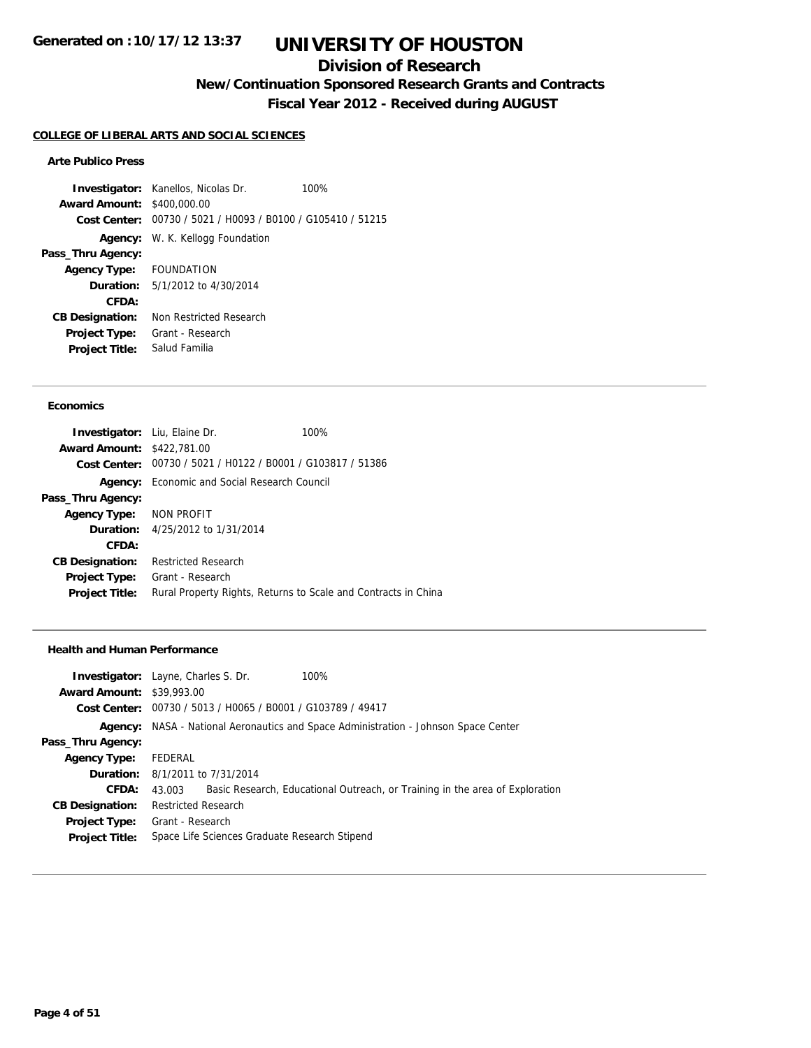## **Division of Research**

**New/Continuation Sponsored Research Grants and Contracts**

**Fiscal Year 2012 - Received during AUGUST**

#### **COLLEGE OF LIBERAL ARTS AND SOCIAL SCIENCES**

#### **Arte Publico Press**

**Investigator:** Kanellos, Nicolas Dr. 100% **Award Amount:** \$400,000.00 **Cost Center:** 00730 / 5021 / H0093 / B0100 / G105410 / 51215 **Agency:** W. K. Kellogg Foundation **Pass\_Thru Agency: Agency Type:** FOUNDATION **Duration:** 5/1/2012 to 4/30/2014 **CFDA: CB Designation:** Non Restricted Research **Project Type:** Grant - Research **Project Title:** Salud Familia

#### **Economics**

| Investigator: Liu, Elaine Dr.     |                                                             | 100%                                                           |
|-----------------------------------|-------------------------------------------------------------|----------------------------------------------------------------|
| <b>Award Amount: \$422,781.00</b> |                                                             |                                                                |
|                                   | Cost Center: 00730 / 5021 / H0122 / B0001 / G103817 / 51386 |                                                                |
|                                   | <b>Agency:</b> Economic and Social Research Council         |                                                                |
| Pass_Thru Agency:                 |                                                             |                                                                |
| Agency Type: NON PROFIT           |                                                             |                                                                |
|                                   | <b>Duration:</b> 4/25/2012 to 1/31/2014                     |                                                                |
| CFDA:                             |                                                             |                                                                |
| <b>CB Designation:</b>            | <b>Restricted Research</b>                                  |                                                                |
| <b>Project Type:</b>              | Grant - Research                                            |                                                                |
| <b>Project Title:</b>             |                                                             | Rural Property Rights, Returns to Scale and Contracts in China |

#### **Health and Human Performance**

|                                  | <b>Investigator:</b> Layne, Charles S. Dr. | 100%                                                                                |  |
|----------------------------------|--------------------------------------------|-------------------------------------------------------------------------------------|--|
| <b>Award Amount: \$39,993.00</b> |                                            |                                                                                     |  |
|                                  |                                            | Cost Center: 00730 / 5013 / H0065 / B0001 / G103789 / 49417                         |  |
|                                  |                                            | Agency: NASA - National Aeronautics and Space Administration - Johnson Space Center |  |
| Pass_Thru Agency:                |                                            |                                                                                     |  |
| <b>Agency Type:</b>              | FEDERAL                                    |                                                                                     |  |
|                                  | <b>Duration:</b> 8/1/2011 to 7/31/2014     |                                                                                     |  |
| CFDA:                            | 43.003                                     | Basic Research, Educational Outreach, or Training in the area of Exploration        |  |
| <b>CB Designation:</b>           | <b>Restricted Research</b>                 |                                                                                     |  |
| <b>Project Type:</b>             | Grant - Research                           |                                                                                     |  |
| <b>Project Title:</b>            |                                            | Space Life Sciences Graduate Research Stipend                                       |  |
|                                  |                                            |                                                                                     |  |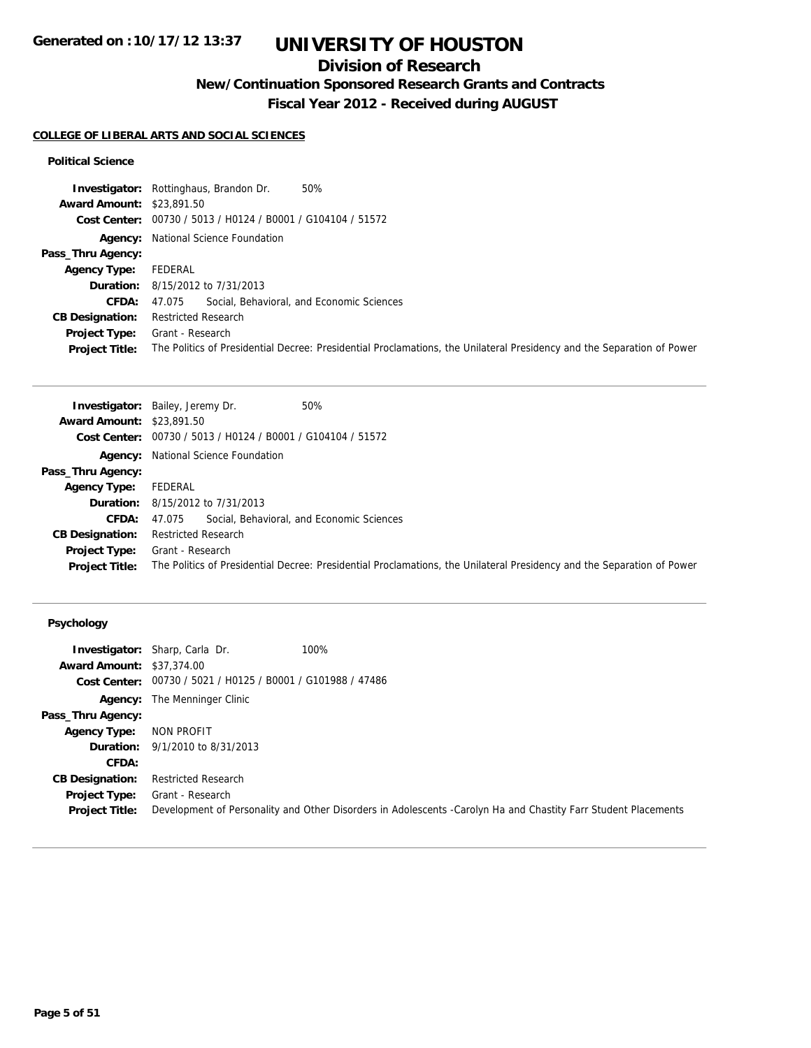## **Division of Research**

**New/Continuation Sponsored Research Grants and Contracts**

**Fiscal Year 2012 - Received during AUGUST**

### **COLLEGE OF LIBERAL ARTS AND SOCIAL SCIENCES**

#### **Political Science**

| <b>Award Amount: \$23,891.50</b>                                    |                                                                                                                        |
|---------------------------------------------------------------------|------------------------------------------------------------------------------------------------------------------------|
| Cost Center: 00730 / 5013 / H0124 / B0001 / G104104 / 51572         |                                                                                                                        |
| <b>Agency:</b> National Science Foundation                          |                                                                                                                        |
| Pass_Thru Agency:                                                   |                                                                                                                        |
| FEDERAL<br><b>Agency Type:</b>                                      |                                                                                                                        |
| <b>Duration:</b> 8/15/2012 to 7/31/2013                             |                                                                                                                        |
| Social, Behavioral, and Economic Sciences<br><b>CFDA:</b><br>47.075 |                                                                                                                        |
| <b>Restricted Research</b><br><b>CB Designation:</b>                |                                                                                                                        |
| Grant - Research<br>Project Type:                                   |                                                                                                                        |
| <b>Project Title:</b>                                               | The Politics of Presidential Decree: Presidential Proclamations, the Unilateral Presidency and the Separation of Power |

| <b>Award Amount: \$23,891.50</b><br>Cost Center: 00730 / 5013 / H0124 / B0001 / G104104 / 51572<br><b>Agency:</b> National Science Foundation<br>Pass_Thru Agency:<br>FEDERAL<br><b>Agency Type:</b><br>8/15/2012 to 7/31/2013<br>Duration:<br>Social, Behavioral, and Economic Sciences<br><b>CFDA:</b><br>47.075<br><b>CB Designation:</b><br><b>Restricted Research</b><br>Grant - Research<br>Project Type:<br>The Politics of Presidential Decree: Presidential Proclamations, the Unilateral Presidency and the Separation of Power<br><b>Project Title:</b> | 50%<br><b>Investigator:</b> Bailey, Jeremy Dr. |
|--------------------------------------------------------------------------------------------------------------------------------------------------------------------------------------------------------------------------------------------------------------------------------------------------------------------------------------------------------------------------------------------------------------------------------------------------------------------------------------------------------------------------------------------------------------------|------------------------------------------------|
|                                                                                                                                                                                                                                                                                                                                                                                                                                                                                                                                                                    |                                                |
|                                                                                                                                                                                                                                                                                                                                                                                                                                                                                                                                                                    |                                                |
|                                                                                                                                                                                                                                                                                                                                                                                                                                                                                                                                                                    |                                                |
|                                                                                                                                                                                                                                                                                                                                                                                                                                                                                                                                                                    |                                                |
|                                                                                                                                                                                                                                                                                                                                                                                                                                                                                                                                                                    |                                                |
|                                                                                                                                                                                                                                                                                                                                                                                                                                                                                                                                                                    |                                                |
|                                                                                                                                                                                                                                                                                                                                                                                                                                                                                                                                                                    |                                                |
|                                                                                                                                                                                                                                                                                                                                                                                                                                                                                                                                                                    |                                                |
|                                                                                                                                                                                                                                                                                                                                                                                                                                                                                                                                                                    |                                                |
|                                                                                                                                                                                                                                                                                                                                                                                                                                                                                                                                                                    |                                                |

|                                  | 100%<br><b>Investigator:</b> Sharp, Carla Dr.               |                                                                                                                |
|----------------------------------|-------------------------------------------------------------|----------------------------------------------------------------------------------------------------------------|
| <b>Award Amount: \$37,374,00</b> |                                                             |                                                                                                                |
|                                  | Cost Center: 00730 / 5021 / H0125 / B0001 / G101988 / 47486 |                                                                                                                |
|                                  | <b>Agency:</b> The Menninger Clinic                         |                                                                                                                |
| Pass_Thru Agency:                |                                                             |                                                                                                                |
| <b>Agency Type:</b>              | NON PROFIT                                                  |                                                                                                                |
|                                  | <b>Duration:</b> 9/1/2010 to 8/31/2013                      |                                                                                                                |
| CFDA:                            |                                                             |                                                                                                                |
| <b>CB Designation:</b>           | <b>Restricted Research</b>                                  |                                                                                                                |
| <b>Project Type:</b>             | Grant - Research                                            |                                                                                                                |
| <b>Project Title:</b>            |                                                             | Development of Personality and Other Disorders in Adolescents -Carolyn Ha and Chastity Farr Student Placements |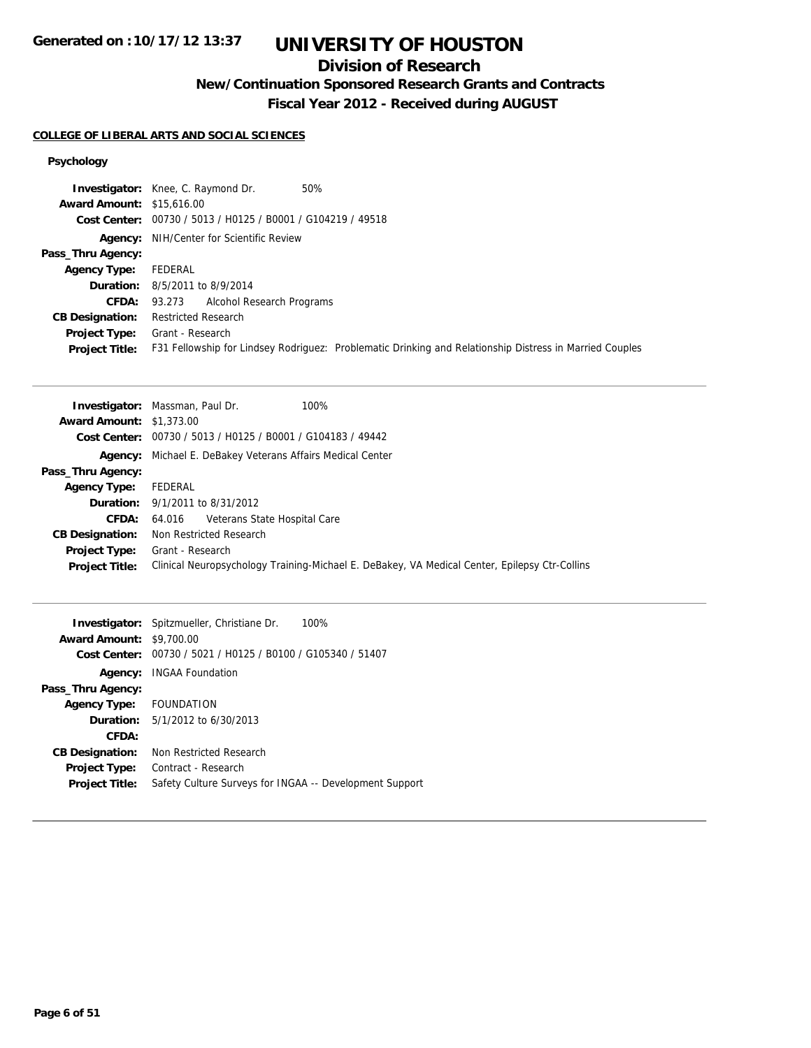## **Division of Research**

**New/Continuation Sponsored Research Grants and Contracts**

**Fiscal Year 2012 - Received during AUGUST**

#### **COLLEGE OF LIBERAL ARTS AND SOCIAL SCIENCES**

|                                  | 50%<br><b>Investigator:</b> Knee, C. Raymond Dr.                                                        |
|----------------------------------|---------------------------------------------------------------------------------------------------------|
| <b>Award Amount: \$15,616.00</b> |                                                                                                         |
|                                  | Cost Center: 00730 / 5013 / H0125 / B0001 / G104219 / 49518                                             |
|                                  | <b>Agency:</b> NIH/Center for Scientific Review                                                         |
| Pass_Thru Agency:                |                                                                                                         |
| <b>Agency Type:</b>              | FEDERAL                                                                                                 |
|                                  | <b>Duration:</b> 8/5/2011 to 8/9/2014                                                                   |
| <b>CFDA:</b>                     | 93.273 Alcohol Research Programs                                                                        |
| <b>CB Designation:</b>           | <b>Restricted Research</b>                                                                              |
| <b>Project Type:</b>             | Grant - Research                                                                                        |
| <b>Project Title:</b>            | F31 Fellowship for Lindsey Rodriguez: Problematic Drinking and Relationship Distress in Married Couples |

| 100%<br><b>Investigator:</b> Massman, Paul Dr.                                                |
|-----------------------------------------------------------------------------------------------|
| <b>Award Amount: \$1,373.00</b>                                                               |
| Cost Center: 00730 / 5013 / H0125 / B0001 / G104183 / 49442                                   |
| Michael E. DeBakey Veterans Affairs Medical Center<br>Agency:                                 |
|                                                                                               |
| FEDERAL                                                                                       |
| <b>Duration:</b> 9/1/2011 to 8/31/2012                                                        |
| Veterans State Hospital Care<br>64.016                                                        |
| Non Restricted Research                                                                       |
| Grant - Research                                                                              |
| Clinical Neuropsychology Training-Michael E. DeBakey, VA Medical Center, Epilepsy Ctr-Collins |
|                                                                                               |

|                        | Investigator: Spitzmueller, Christiane Dr.<br>100%      |
|------------------------|---------------------------------------------------------|
| <b>Award Amount:</b>   | \$9,700.00                                              |
| Cost Center:           | 00730 / 5021 / H0125 / B0100 / G105340 / 51407          |
| Agency:                | <b>INGAA Foundation</b>                                 |
| Pass_Thru Agency:      |                                                         |
| <b>Agency Type:</b>    | <b>FOUNDATION</b>                                       |
| <b>Duration:</b>       | 5/1/2012 to 6/30/2013                                   |
| CFDA:                  |                                                         |
| <b>CB Designation:</b> | Non Restricted Research                                 |
| <b>Project Type:</b>   | Contract - Research                                     |
| <b>Project Title:</b>  | Safety Culture Surveys for INGAA -- Development Support |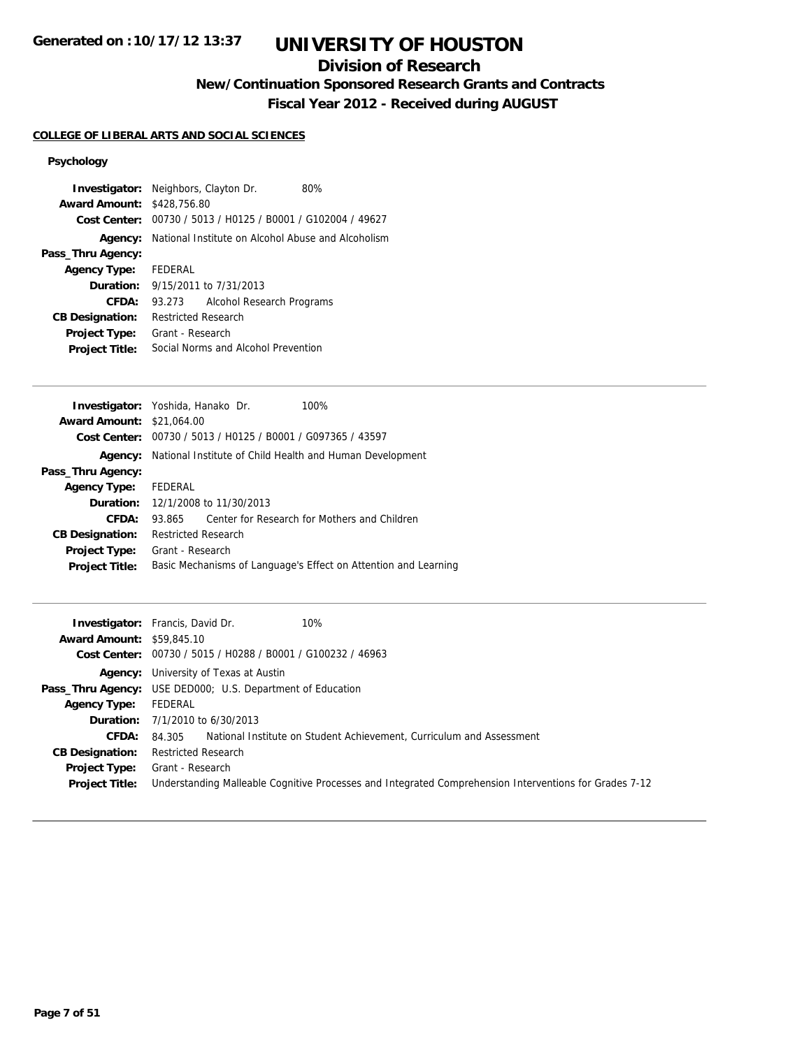## **Division of Research**

**New/Continuation Sponsored Research Grants and Contracts**

**Fiscal Year 2012 - Received during AUGUST**

#### **COLLEGE OF LIBERAL ARTS AND SOCIAL SCIENCES**

| <b>Investigator:</b> Neighbors, Clayton Dr.<br><b>Award Amount: \$428,756.80</b> |                                     |                                         | 80%<br>Cost Center: 00730 / 5013 / H0125 / B0001 / G102004 / 49627 |
|----------------------------------------------------------------------------------|-------------------------------------|-----------------------------------------|--------------------------------------------------------------------|
|                                                                                  |                                     |                                         |                                                                    |
|                                                                                  |                                     |                                         | Agency: National Institute on Alcohol Abuse and Alcoholism         |
| Pass_Thru Agency:                                                                |                                     |                                         |                                                                    |
| <b>Agency Type:</b>                                                              | FEDERAL                             |                                         |                                                                    |
|                                                                                  |                                     | <b>Duration:</b> 9/15/2011 to 7/31/2013 |                                                                    |
| CFDA:                                                                            | 93.273                              | Alcohol Research Programs               |                                                                    |
| <b>CB Designation:</b>                                                           | <b>Restricted Research</b>          |                                         |                                                                    |
| Project Type:                                                                    | Grant - Research                    |                                         |                                                                    |
| <b>Project Title:</b>                                                            | Social Norms and Alcohol Prevention |                                         |                                                                    |

|                                  | Investigator: Yoshida, Hanako Dr.                           | 100%                                                            |
|----------------------------------|-------------------------------------------------------------|-----------------------------------------------------------------|
| <b>Award Amount: \$21,064.00</b> |                                                             |                                                                 |
|                                  | Cost Center: 00730 / 5013 / H0125 / B0001 / G097365 / 43597 |                                                                 |
| Agency:                          | National Institute of Child Health and Human Development    |                                                                 |
| Pass_Thru Agency:                |                                                             |                                                                 |
| <b>Agency Type:</b>              | FEDERAL                                                     |                                                                 |
|                                  | <b>Duration:</b> 12/1/2008 to 11/30/2013                    |                                                                 |
| CFDA:                            | 93.865                                                      | Center for Research for Mothers and Children                    |
| <b>CB Designation:</b>           | <b>Restricted Research</b>                                  |                                                                 |
| <b>Project Type:</b>             | Grant - Research                                            |                                                                 |
| <b>Project Title:</b>            |                                                             | Basic Mechanisms of Language's Effect on Attention and Learning |
|                                  |                                                             |                                                                 |

|                                  | <b>Investigator:</b> Francis, David Dr.<br>10%                                                         |
|----------------------------------|--------------------------------------------------------------------------------------------------------|
| <b>Award Amount: \$59,845.10</b> |                                                                                                        |
|                                  | Cost Center: 00730 / 5015 / H0288 / B0001 / G100232 / 46963                                            |
|                                  | <b>Agency:</b> University of Texas at Austin                                                           |
|                                  | <b>Pass_Thru Agency:</b> USE DED000; U.S. Department of Education                                      |
| <b>Agency Type:</b>              | FEDERAL                                                                                                |
|                                  | <b>Duration:</b> 7/1/2010 to 6/30/2013                                                                 |
| <b>CFDA:</b>                     | National Institute on Student Achievement, Curriculum and Assessment<br>84.305                         |
| <b>CB Designation:</b>           | <b>Restricted Research</b>                                                                             |
| Project Type:                    | Grant - Research                                                                                       |
| <b>Project Title:</b>            | Understanding Malleable Cognitive Processes and Integrated Comprehension Interventions for Grades 7-12 |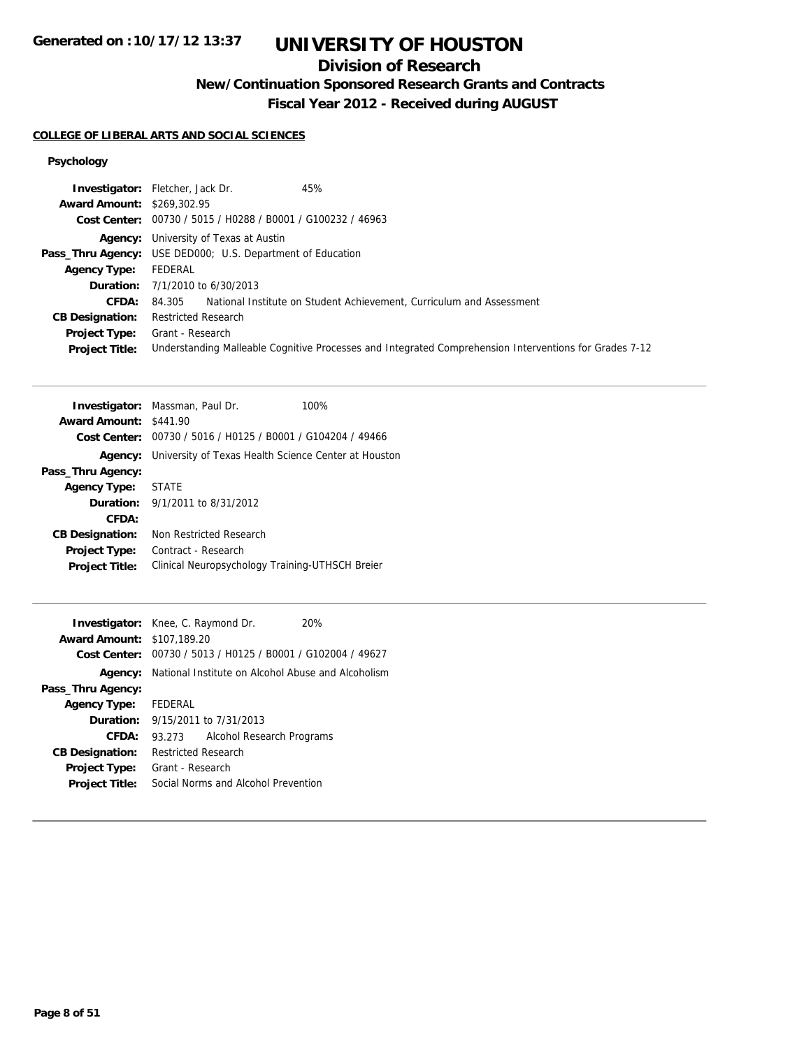## **Division of Research**

**New/Continuation Sponsored Research Grants and Contracts**

**Fiscal Year 2012 - Received during AUGUST**

#### **COLLEGE OF LIBERAL ARTS AND SOCIAL SCIENCES**

|                                   | 45%<br><b>Investigator:</b> Fletcher, Jack Dr.                                                         |
|-----------------------------------|--------------------------------------------------------------------------------------------------------|
| <b>Award Amount: \$269,302.95</b> |                                                                                                        |
|                                   | Cost Center: 00730 / 5015 / H0288 / B0001 / G100232 / 46963                                            |
|                                   | <b>Agency:</b> University of Texas at Austin                                                           |
|                                   | <b>Pass_Thru Agency:</b> USE DED000; U.S. Department of Education                                      |
| Agency Type:                      | FEDERAL                                                                                                |
|                                   | <b>Duration:</b> $7/1/2010$ to $6/30/2013$                                                             |
| <b>CFDA:</b>                      | 84.305 National Institute on Student Achievement, Curriculum and Assessment                            |
| <b>CB Designation:</b>            | <b>Restricted Research</b>                                                                             |
| <b>Project Type:</b>              | Grant - Research                                                                                       |
| <b>Project Title:</b>             | Understanding Malleable Cognitive Processes and Integrated Comprehension Interventions for Grades 7-12 |

|                        | <b>Investigator:</b> Massman, Paul Dr.                      | 100% |
|------------------------|-------------------------------------------------------------|------|
| <b>Award Amount:</b>   | \$441.90                                                    |      |
|                        | Cost Center: 00730 / 5016 / H0125 / B0001 / G104204 / 49466 |      |
| Agency:                | University of Texas Health Science Center at Houston        |      |
| Pass_Thru Agency:      |                                                             |      |
| <b>Agency Type:</b>    | STATE                                                       |      |
|                        | <b>Duration:</b> $9/1/2011$ to $8/31/2012$                  |      |
| CFDA:                  |                                                             |      |
| <b>CB Designation:</b> | Non Restricted Research                                     |      |
| Project Type:          | Contract - Research                                         |      |
| <b>Project Title:</b>  | Clinical Neuropsychology Training-UTHSCH Breier             |      |
|                        |                                                             |      |

| <b>Investigator:</b> Knee, C. Raymond Dr. |                            |                                         | 20%                                                         |
|-------------------------------------------|----------------------------|-----------------------------------------|-------------------------------------------------------------|
| <b>Award Amount: \$107,189.20</b>         |                            |                                         |                                                             |
|                                           |                            |                                         | Cost Center: 00730 / 5013 / H0125 / B0001 / G102004 / 49627 |
| Agency:                                   |                            |                                         | National Institute on Alcohol Abuse and Alcoholism          |
| Pass_Thru Agency:                         |                            |                                         |                                                             |
| <b>Agency Type:</b>                       | FEDERAL                    |                                         |                                                             |
|                                           |                            | <b>Duration:</b> 9/15/2011 to 7/31/2013 |                                                             |
| CFDA:                                     | 93.273                     | Alcohol Research Programs               |                                                             |
| <b>CB Designation:</b>                    | <b>Restricted Research</b> |                                         |                                                             |
| <b>Project Type:</b>                      | Grant - Research           |                                         |                                                             |
| <b>Project Title:</b>                     |                            | Social Norms and Alcohol Prevention     |                                                             |
|                                           |                            |                                         |                                                             |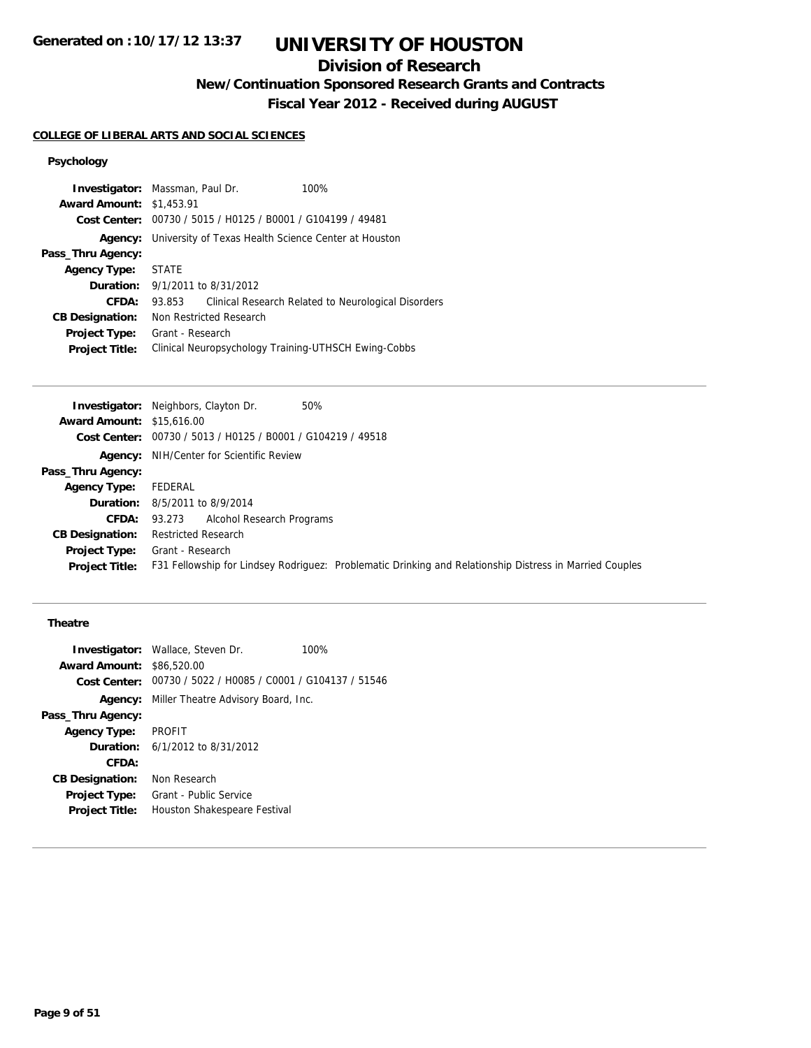## **Division of Research**

**New/Continuation Sponsored Research Grants and Contracts**

**Fiscal Year 2012 - Received during AUGUST**

### **COLLEGE OF LIBERAL ARTS AND SOCIAL SCIENCES**

### **Psychology**

|                                 | <b>Investigator:</b> Massman, Paul Dr.                      | 100%                                                |
|---------------------------------|-------------------------------------------------------------|-----------------------------------------------------|
| <b>Award Amount: \$1,453.91</b> |                                                             |                                                     |
|                                 | Cost Center: 00730 / 5015 / H0125 / B0001 / G104199 / 49481 |                                                     |
| Agency:                         | University of Texas Health Science Center at Houston        |                                                     |
| Pass_Thru Agency:               |                                                             |                                                     |
| <b>Agency Type:</b>             | <b>STATE</b>                                                |                                                     |
| Duration:                       | 9/1/2011 to 8/31/2012                                       |                                                     |
| CFDA:                           | 93.853                                                      | Clinical Research Related to Neurological Disorders |
| <b>CB Designation:</b>          | Non Restricted Research                                     |                                                     |
| <b>Project Type:</b>            | Grant - Research                                            |                                                     |
| <b>Project Title:</b>           | Clinical Neuropsychology Training-UTHSCH Ewing-Cobbs        |                                                     |

| 50%<br><b>Investigator:</b> Neighbors, Clayton Dr.                                                      |
|---------------------------------------------------------------------------------------------------------|
| <b>Award Amount: \$15,616.00</b>                                                                        |
| Cost Center: 00730 / 5013 / H0125 / B0001 / G104219 / 49518                                             |
| <b>Agency:</b> NIH/Center for Scientific Review                                                         |
|                                                                                                         |
| FEDERAL                                                                                                 |
| <b>Duration:</b> 8/5/2011 to 8/9/2014                                                                   |
| 93.273 Alcohol Research Programs                                                                        |
| <b>Restricted Research</b>                                                                              |
| Grant - Research                                                                                        |
| F31 Fellowship for Lindsey Rodriguez: Problematic Drinking and Relationship Distress in Married Couples |
|                                                                                                         |

### **Theatre**

|                                  | <b>Investigator:</b> Wallace, Steven Dr.                    | 100% |
|----------------------------------|-------------------------------------------------------------|------|
| <b>Award Amount: \$86,520.00</b> |                                                             |      |
|                                  | Cost Center: 00730 / 5022 / H0085 / C0001 / G104137 / 51546 |      |
|                                  | <b>Agency:</b> Miller Theatre Advisory Board, Inc.          |      |
| Pass_Thru Agency:                |                                                             |      |
| <b>Agency Type:</b>              | PROFIT                                                      |      |
|                                  | <b>Duration:</b> 6/1/2012 to 8/31/2012                      |      |
| CFDA:                            |                                                             |      |
| <b>CB Designation:</b>           | Non Research                                                |      |
| <b>Project Type:</b>             | Grant - Public Service                                      |      |
| <b>Project Title:</b>            | Houston Shakespeare Festival                                |      |
|                                  |                                                             |      |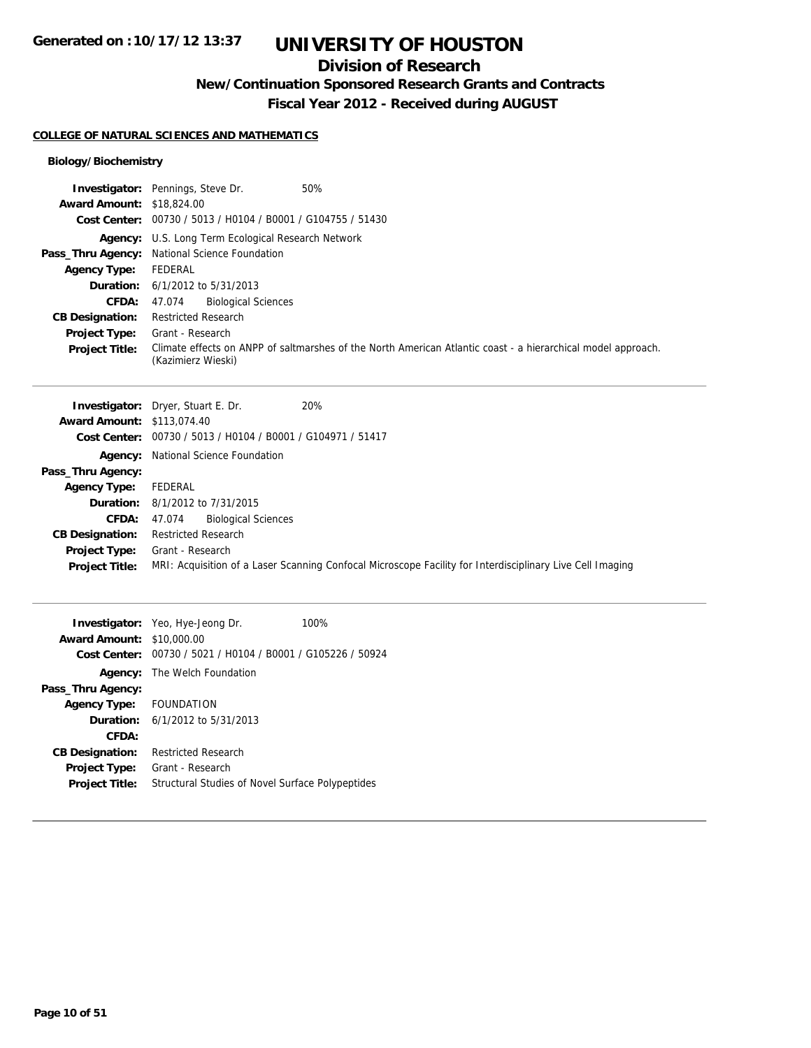## **Division of Research**

**New/Continuation Sponsored Research Grants and Contracts**

**Fiscal Year 2012 - Received during AUGUST**

#### **COLLEGE OF NATURAL SCIENCES AND MATHEMATICS**

## **Biology/Biochemistry**

|                                   | Investigator: Pennings, Steve Dr.<br>50%                                                                     |  |  |
|-----------------------------------|--------------------------------------------------------------------------------------------------------------|--|--|
| <b>Award Amount: \$18,824.00</b>  |                                                                                                              |  |  |
| <b>Cost Center:</b>               | 00730 / 5013 / H0104 / B0001 / G104755 / 51430                                                               |  |  |
|                                   | Agency: U.S. Long Term Ecological Research Network                                                           |  |  |
| Pass_Thru Agency:                 | National Science Foundation                                                                                  |  |  |
| <b>Agency Type:</b>               | <b>FEDERAL</b>                                                                                               |  |  |
| Duration:                         | 6/1/2012 to 5/31/2013                                                                                        |  |  |
| CFDA:                             | <b>Biological Sciences</b><br>47.074                                                                         |  |  |
| <b>CB Designation:</b>            | <b>Restricted Research</b>                                                                                   |  |  |
| <b>Project Type:</b>              | Grant - Research                                                                                             |  |  |
| <b>Project Title:</b>             | Climate effects on ANPP of saltmarshes of the North American Atlantic coast - a hierarchical model approach. |  |  |
|                                   | (Kazimierz Wieski)                                                                                           |  |  |
|                                   |                                                                                                              |  |  |
|                                   | 20%<br>Investigator: Dryer, Stuart E. Dr.                                                                    |  |  |
| <b>Award Amount: \$113,074.40</b> |                                                                                                              |  |  |
|                                   | Cost Center: 00730 / 5013 / H0104 / B0001 / G104971 / 51417                                                  |  |  |
|                                   | Agency: National Science Foundation                                                                          |  |  |
| Pass_Thru Agency:                 |                                                                                                              |  |  |
| <b>Agency Type:</b>               | <b>FEDERAL</b>                                                                                               |  |  |
| Duration:                         | 8/1/2012 to 7/31/2015                                                                                        |  |  |
| <b>CFDA:</b>                      | <b>Biological Sciences</b><br>47.074                                                                         |  |  |
| <b>CB Designation:</b>            | <b>Restricted Research</b>                                                                                   |  |  |
| <b>Project Type:</b>              | Grant - Research                                                                                             |  |  |
| <b>Project Title:</b>             | MRI: Acquisition of a Laser Scanning Confocal Microscope Facility for Interdisciplinary Live Cell Imaging    |  |  |
|                                   |                                                                                                              |  |  |
|                                   | Investigator: Yeo, Hye-Jeong Dr.<br>100%                                                                     |  |  |
| <b>Award Amount: \$10,000.00</b>  |                                                                                                              |  |  |
|                                   | Cost Center: 00730 / 5021 / H0104 / B0001 / G105226 / 50924                                                  |  |  |
|                                   | Agency: The Welch Foundation                                                                                 |  |  |
| Pass_Thru Agency:                 |                                                                                                              |  |  |

**Agency Type:** FOUNDATION **Duration:** 6/1/2012 to 5/31/2013 **CFDA: CB Designation:** Restricted Research **Project Type:** Grant - Research **Project Title:** Structural Studies of Novel Surface Polypeptides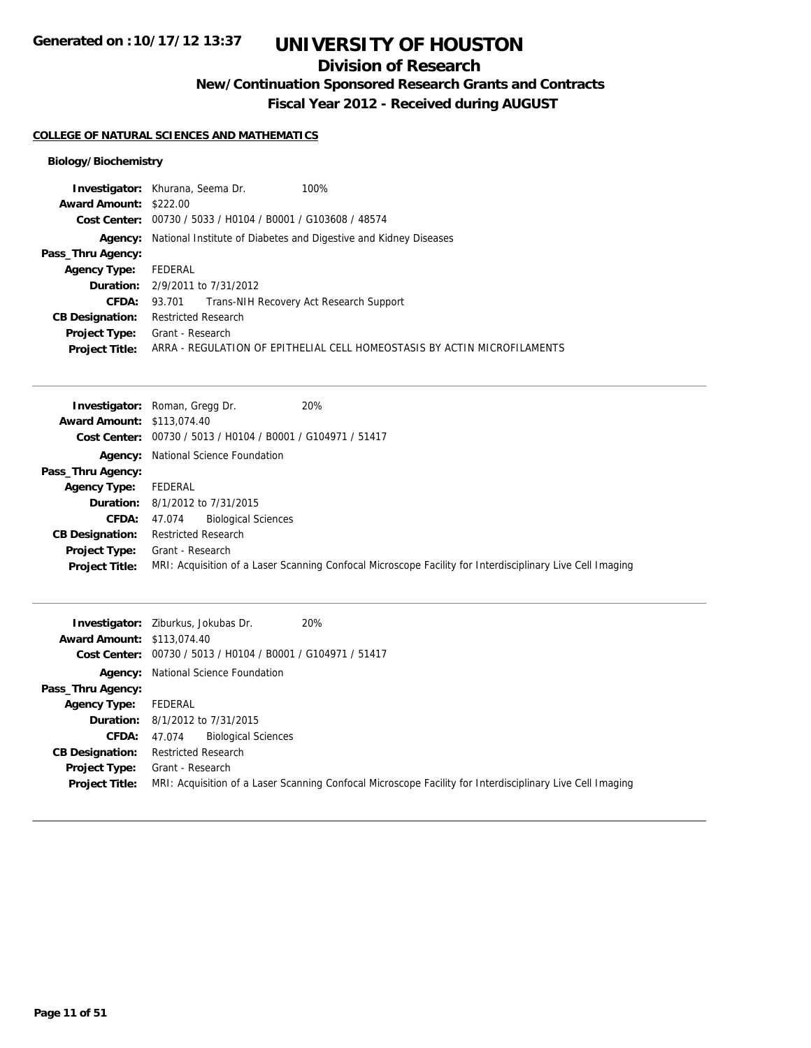## **Division of Research**

**New/Continuation Sponsored Research Grants and Contracts**

**Fiscal Year 2012 - Received during AUGUST**

#### **COLLEGE OF NATURAL SCIENCES AND MATHEMATICS**

### **Biology/Biochemistry**

|                        | <b>Investigator:</b> Khurana, Seema Dr.                          | 100%                                                                     |
|------------------------|------------------------------------------------------------------|--------------------------------------------------------------------------|
| Award Amount: \$222.00 |                                                                  |                                                                          |
|                        | Cost Center: 00730 / 5033 / H0104 / B0001 / G103608 / 48574      |                                                                          |
| Agency:                | National Institute of Diabetes and Digestive and Kidney Diseases |                                                                          |
| Pass_Thru Agency:      |                                                                  |                                                                          |
| <b>Agency Type:</b>    | FEDERAL                                                          |                                                                          |
|                        | <b>Duration:</b> 2/9/2011 to 7/31/2012                           |                                                                          |
| <b>CFDA:</b>           | 93.701 Trans-NIH Recovery Act Research Support                   |                                                                          |
| <b>CB Designation:</b> | <b>Restricted Research</b>                                       |                                                                          |
| <b>Project Type:</b>   | Grant - Research                                                 |                                                                          |
| <b>Project Title:</b>  |                                                                  | ARRA - REGULATION OF EPITHELIAL CELL HOMEOSTASIS BY ACTIN MICROFILAMENTS |

|                                   | 20%<br><b>Investigator:</b> Roman, Gregg Dr.                                                              |
|-----------------------------------|-----------------------------------------------------------------------------------------------------------|
| <b>Award Amount: \$113,074.40</b> |                                                                                                           |
|                                   | Cost Center: 00730 / 5013 / H0104 / B0001 / G104971 / 51417                                               |
|                                   | <b>Agency:</b> National Science Foundation                                                                |
| Pass_Thru Agency:                 |                                                                                                           |
| <b>Agency Type:</b>               | FEDERAL                                                                                                   |
|                                   | <b>Duration:</b> 8/1/2012 to 7/31/2015                                                                    |
| CFDA:                             | <b>Biological Sciences</b><br>47.074                                                                      |
| <b>CB Designation:</b>            | <b>Restricted Research</b>                                                                                |
| <b>Project Type:</b>              | Grant - Research                                                                                          |
| <b>Project Title:</b>             | MRI: Acquisition of a Laser Scanning Confocal Microscope Facility for Interdisciplinary Live Cell Imaging |

|                                   | 20%<br><b>Investigator:</b> Ziburkus, Jokubas Dr.                                                         |  |  |
|-----------------------------------|-----------------------------------------------------------------------------------------------------------|--|--|
| <b>Award Amount: \$113,074.40</b> |                                                                                                           |  |  |
|                                   | Cost Center: 00730 / 5013 / H0104 / B0001 / G104971 / 51417                                               |  |  |
|                                   | <b>Agency:</b> National Science Foundation                                                                |  |  |
| Pass_Thru Agency:                 |                                                                                                           |  |  |
| <b>Agency Type:</b>               | FEDERAL                                                                                                   |  |  |
|                                   | <b>Duration:</b> 8/1/2012 to 7/31/2015                                                                    |  |  |
| <b>CFDA:</b>                      | <b>Biological Sciences</b><br>47.074                                                                      |  |  |
| <b>CB Designation:</b>            | <b>Restricted Research</b>                                                                                |  |  |
| <b>Project Type:</b>              | Grant - Research                                                                                          |  |  |
| <b>Project Title:</b>             | MRI: Acquisition of a Laser Scanning Confocal Microscope Facility for Interdisciplinary Live Cell Imaging |  |  |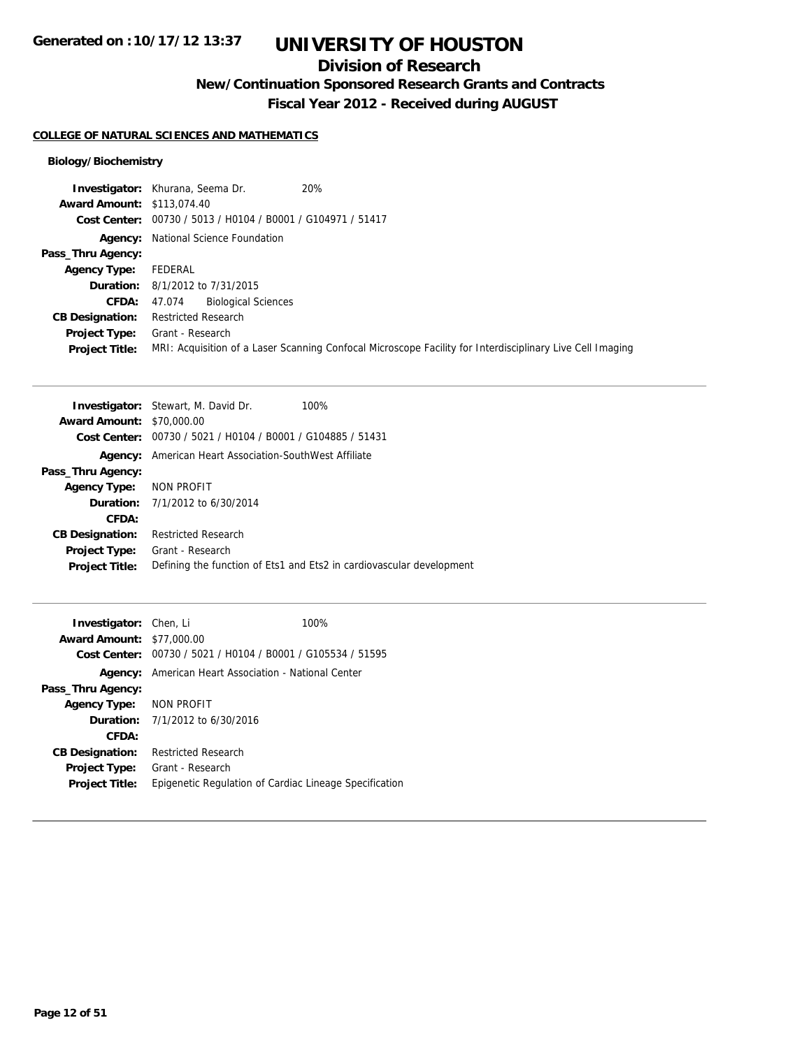## **Division of Research**

**New/Continuation Sponsored Research Grants and Contracts**

**Fiscal Year 2012 - Received during AUGUST**

### **COLLEGE OF NATURAL SCIENCES AND MATHEMATICS**

### **Biology/Biochemistry**

|                                   | 20%<br><b>Investigator:</b> Khurana, Seema Dr.                                                            |
|-----------------------------------|-----------------------------------------------------------------------------------------------------------|
| <b>Award Amount: \$113,074.40</b> |                                                                                                           |
|                                   | Cost Center: 00730 / 5013 / H0104 / B0001 / G104971 / 51417                                               |
|                                   | <b>Agency:</b> National Science Foundation                                                                |
| Pass_Thru Agency:                 |                                                                                                           |
| <b>Agency Type:</b>               | FEDERAL                                                                                                   |
|                                   | <b>Duration:</b> 8/1/2012 to 7/31/2015                                                                    |
| <b>CFDA:</b>                      | <b>Biological Sciences</b><br>47.074                                                                      |
| <b>CB Designation:</b>            | <b>Restricted Research</b>                                                                                |
| Project Type:                     | Grant - Research                                                                                          |
| <b>Project Title:</b>             | MRI: Acquisition of a Laser Scanning Confocal Microscope Facility for Interdisciplinary Live Cell Imaging |

|                                  | <b>Investigator:</b> Stewart, M. David Dr.<br>100%                   |
|----------------------------------|----------------------------------------------------------------------|
| <b>Award Amount: \$70,000.00</b> |                                                                      |
|                                  | Cost Center: 00730 / 5021 / H0104 / B0001 / G104885 / 51431          |
| Agency:                          | American Heart Association-SouthWest Affiliate                       |
| Pass_Thru Agency:                |                                                                      |
| <b>Agency Type:</b>              | NON PROFIT                                                           |
|                                  | <b>Duration:</b> 7/1/2012 to 6/30/2014                               |
| CFDA:                            |                                                                      |
| <b>CB Designation:</b>           | <b>Restricted Research</b>                                           |
| <b>Project Type:</b>             | Grant - Research                                                     |
| <b>Project Title:</b>            | Defining the function of Ets1 and Ets2 in cardiovascular development |
|                                  |                                                                      |

| <b>Investigator:</b> Chen, Li    |                                                             | 100%                                                   |
|----------------------------------|-------------------------------------------------------------|--------------------------------------------------------|
| <b>Award Amount: \$77,000.00</b> |                                                             |                                                        |
|                                  | Cost Center: 00730 / 5021 / H0104 / B0001 / G105534 / 51595 |                                                        |
| Agency:                          | American Heart Association - National Center                |                                                        |
| Pass_Thru Agency:                |                                                             |                                                        |
| Agency Type: NON PROFIT          |                                                             |                                                        |
|                                  | <b>Duration:</b> 7/1/2012 to 6/30/2016                      |                                                        |
| CFDA:                            |                                                             |                                                        |
| <b>CB Designation:</b>           | <b>Restricted Research</b>                                  |                                                        |
| Project Type:                    | Grant - Research                                            |                                                        |
| <b>Project Title:</b>            |                                                             | Epigenetic Regulation of Cardiac Lineage Specification |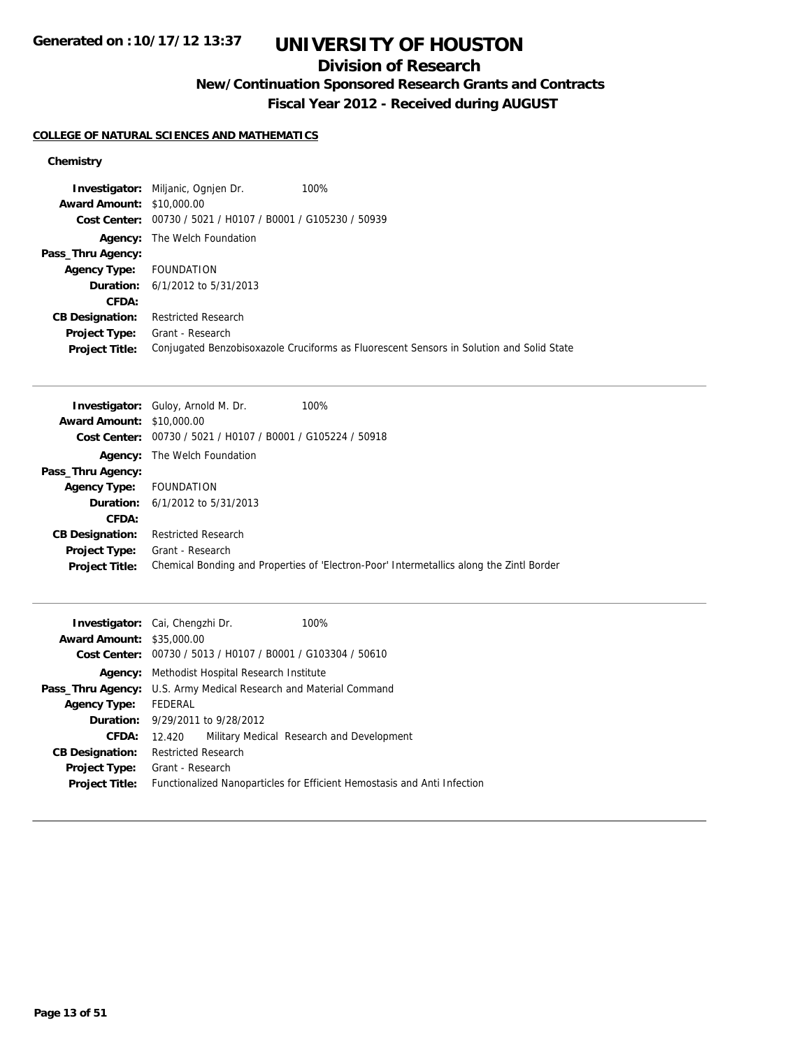## **Division of Research**

**New/Continuation Sponsored Research Grants and Contracts**

**Fiscal Year 2012 - Received during AUGUST**

### **COLLEGE OF NATURAL SCIENCES AND MATHEMATICS**

|                                  | <b>Investigator:</b> Miljanic, Ognien Dr.                   | 100%                                                                                     |
|----------------------------------|-------------------------------------------------------------|------------------------------------------------------------------------------------------|
| <b>Award Amount: \$10,000.00</b> |                                                             |                                                                                          |
|                                  | Cost Center: 00730 / 5021 / H0107 / B0001 / G105230 / 50939 |                                                                                          |
|                                  | <b>Agency:</b> The Welch Foundation                         |                                                                                          |
| Pass_Thru Agency:                |                                                             |                                                                                          |
| <b>Agency Type:</b> FOUNDATION   |                                                             |                                                                                          |
|                                  | <b>Duration:</b> $6/1/2012$ to $5/31/2013$                  |                                                                                          |
| CFDA:                            |                                                             |                                                                                          |
| <b>CB Designation:</b>           | <b>Restricted Research</b>                                  |                                                                                          |
| <b>Project Type:</b>             | Grant - Research                                            |                                                                                          |
| <b>Project Title:</b>            |                                                             | Conjugated Benzobisoxazole Cruciforms as Fluorescent Sensors in Solution and Solid State |

|                                  | <b>Investigator:</b> Guloy, Arnold M. Dr.                     | 100%                                                                                     |
|----------------------------------|---------------------------------------------------------------|------------------------------------------------------------------------------------------|
| <b>Award Amount: \$10,000.00</b> |                                                               |                                                                                          |
|                                  | Cost Center: $00730 / 5021 / 10107 / 80001 / 6105224 / 50918$ |                                                                                          |
|                                  | <b>Agency:</b> The Welch Foundation                           |                                                                                          |
| Pass_Thru Agency:                |                                                               |                                                                                          |
| <b>Agency Type:</b>              | FOUNDATION                                                    |                                                                                          |
|                                  | <b>Duration:</b> $6/1/2012$ to $5/31/2013$                    |                                                                                          |
| CFDA:                            |                                                               |                                                                                          |
| <b>CB Designation:</b>           | <b>Restricted Research</b>                                    |                                                                                          |
| Project Type:                    | Grant - Research                                              |                                                                                          |
| <b>Project Title:</b>            |                                                               | Chemical Bonding and Properties of 'Electron-Poor' Intermetallics along the Zintl Border |

|                                  | <b>Investigator:</b> Cai, Chengzhi Dr.                                   | 100%                                      |  |
|----------------------------------|--------------------------------------------------------------------------|-------------------------------------------|--|
| <b>Award Amount: \$35,000.00</b> |                                                                          |                                           |  |
|                                  | Cost Center: 00730 / 5013 / H0107 / B0001 / G103304 / 50610              |                                           |  |
|                                  | <b>Agency:</b> Methodist Hospital Research Institute                     |                                           |  |
|                                  | <b>Pass_Thru Agency:</b> U.S. Army Medical Research and Material Command |                                           |  |
| <b>Agency Type:</b>              | FEDERAL                                                                  |                                           |  |
|                                  | <b>Duration:</b> 9/29/2011 to 9/28/2012                                  |                                           |  |
| CFDA:                            | 12.420                                                                   | Military Medical Research and Development |  |
| <b>CB Designation:</b>           | Restricted Research                                                      |                                           |  |
| <b>Project Type:</b>             | Grant - Research                                                         |                                           |  |
| <b>Project Title:</b>            | Functionalized Nanoparticles for Efficient Hemostasis and Anti Infection |                                           |  |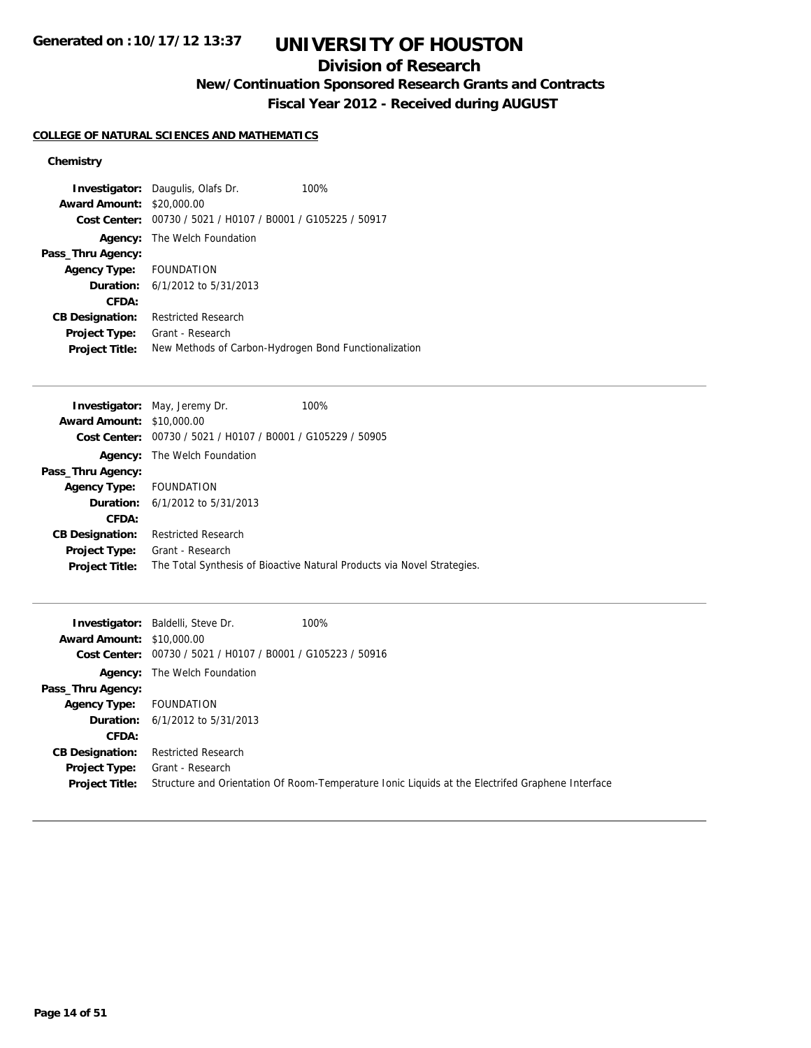## **Division of Research**

**New/Continuation Sponsored Research Grants and Contracts**

**Fiscal Year 2012 - Received during AUGUST**

### **COLLEGE OF NATURAL SCIENCES AND MATHEMATICS**

| <b>Award Amount:</b>   | <b>Investigator:</b> Daugulis, Olafs Dr.<br>\$20,000.00<br>Cost Center: 00730 / 5021 / H0107 / B0001 / G105225 / 50917 | 100% |
|------------------------|------------------------------------------------------------------------------------------------------------------------|------|
|                        | <b>Agency:</b> The Welch Foundation                                                                                    |      |
| Pass_Thru Agency:      |                                                                                                                        |      |
| <b>Agency Type:</b>    | <b>FOUNDATION</b>                                                                                                      |      |
|                        | <b>Duration:</b> $6/1/2012$ to $5/31/2013$                                                                             |      |
| CFDA:                  |                                                                                                                        |      |
| <b>CB Designation:</b> | <b>Restricted Research</b>                                                                                             |      |
| <b>Project Type:</b>   | Grant - Research                                                                                                       |      |
| <b>Project Title:</b>  | New Methods of Carbon-Hydrogen Bond Functionalization                                                                  |      |

|                                  | <b>Investigator:</b> May, Jeremy Dr.                                 | 100%                                                                    |
|----------------------------------|----------------------------------------------------------------------|-------------------------------------------------------------------------|
| <b>Award Amount: \$10,000.00</b> |                                                                      |                                                                         |
|                                  | <b>Cost Center:</b> $00730 / 5021 / 10107 / 80001 / 6105229 / 50905$ |                                                                         |
| Agency:                          | The Welch Foundation                                                 |                                                                         |
| Pass_Thru Agency:                |                                                                      |                                                                         |
| Agency Type: FOUNDATION          |                                                                      |                                                                         |
|                                  | <b>Duration:</b> $6/1/2012$ to $5/31/2013$                           |                                                                         |
| CFDA:                            |                                                                      |                                                                         |
| <b>CB Designation:</b>           | <b>Restricted Research</b>                                           |                                                                         |
| <b>Project Type:</b>             | Grant - Research                                                     |                                                                         |
| <b>Project Title:</b>            |                                                                      | The Total Synthesis of Bioactive Natural Products via Novel Strategies. |
|                                  |                                                                      |                                                                         |

|                                  | <b>Investigator:</b> Baldelli, Steve Dr.                    | 100%                                                                                             |
|----------------------------------|-------------------------------------------------------------|--------------------------------------------------------------------------------------------------|
| <b>Award Amount: \$10,000.00</b> |                                                             |                                                                                                  |
|                                  | Cost Center: 00730 / 5021 / H0107 / B0001 / G105223 / 50916 |                                                                                                  |
|                                  | <b>Agency:</b> The Welch Foundation                         |                                                                                                  |
| Pass_Thru Agency:                |                                                             |                                                                                                  |
| <b>Agency Type:</b>              | FOUNDATION                                                  |                                                                                                  |
|                                  | <b>Duration:</b> $6/1/2012$ to $5/31/2013$                  |                                                                                                  |
| CFDA:                            |                                                             |                                                                                                  |
| <b>CB Designation:</b>           | <b>Restricted Research</b>                                  |                                                                                                  |
| Project Type:                    | Grant - Research                                            |                                                                                                  |
| <b>Project Title:</b>            |                                                             | Structure and Orientation Of Room-Temperature Ionic Liquids at the Electrifed Graphene Interface |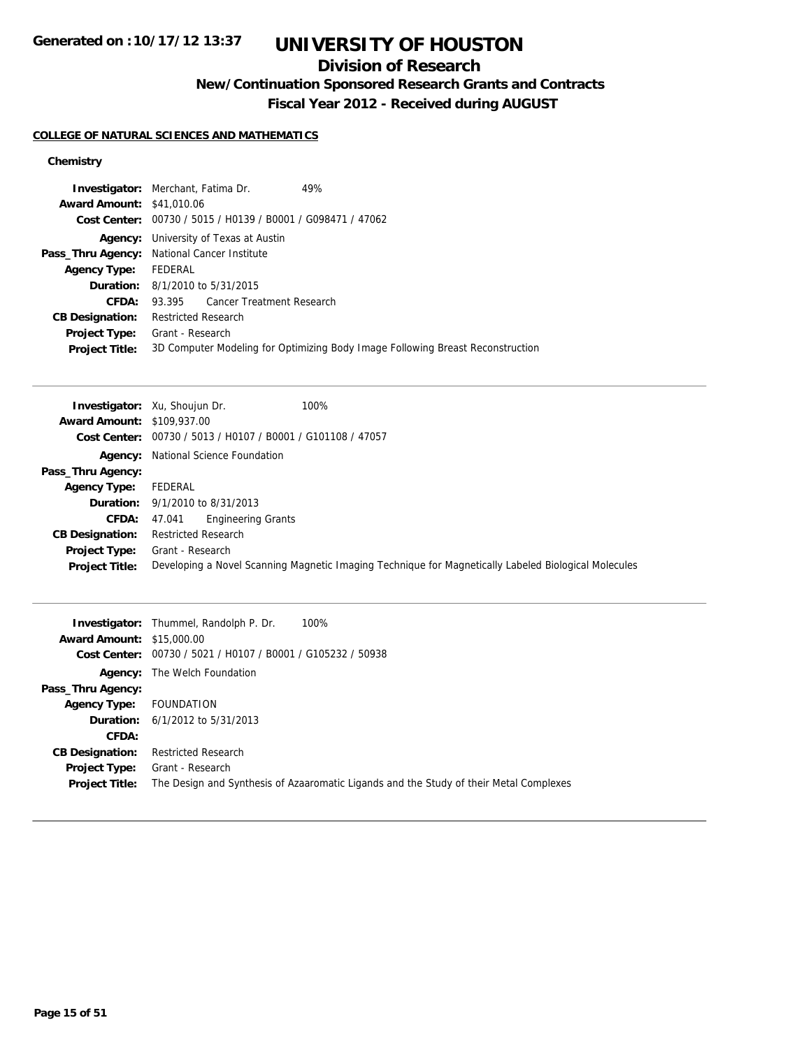## **Division of Research**

**New/Continuation Sponsored Research Grants and Contracts**

**Fiscal Year 2012 - Received during AUGUST**

### **COLLEGE OF NATURAL SCIENCES AND MATHEMATICS**

|                                  | <b>Investigator:</b> Merchant, Fatima Dr.                   | 49%                                                                            |
|----------------------------------|-------------------------------------------------------------|--------------------------------------------------------------------------------|
| <b>Award Amount: \$41,010.06</b> |                                                             |                                                                                |
|                                  | Cost Center: 00730 / 5015 / H0139 / B0001 / G098471 / 47062 |                                                                                |
|                                  | <b>Agency:</b> University of Texas at Austin                |                                                                                |
|                                  | Pass_Thru Agency: National Cancer Institute                 |                                                                                |
| <b>Agency Type:</b>              | FEDERAL                                                     |                                                                                |
|                                  | <b>Duration:</b> 8/1/2010 to 5/31/2015                      |                                                                                |
| CFDA:                            | 93.395 Cancer Treatment Research                            |                                                                                |
| <b>CB Designation:</b>           | <b>Restricted Research</b>                                  |                                                                                |
| Project Type:                    | Grant - Research                                            |                                                                                |
| <b>Project Title:</b>            |                                                             | 3D Computer Modeling for Optimizing Body Image Following Breast Reconstruction |
|                                  |                                                             |                                                                                |

|                                   | 100%<br><b>Investigator:</b> Xu, Shoujun Dr.                                                         |
|-----------------------------------|------------------------------------------------------------------------------------------------------|
| <b>Award Amount: \$109,937.00</b> |                                                                                                      |
|                                   | Cost Center: 00730 / 5013 / H0107 / B0001 / G101108 / 47057                                          |
|                                   | <b>Agency:</b> National Science Foundation                                                           |
| Pass_Thru Agency:                 |                                                                                                      |
| <b>Agency Type:</b>               | FEDERAL                                                                                              |
|                                   | <b>Duration:</b> $9/1/2010$ to $8/31/2013$                                                           |
| <b>CFDA:</b>                      | <b>Engineering Grants</b><br>47.041                                                                  |
| <b>CB Designation:</b>            | <b>Restricted Research</b>                                                                           |
| <b>Project Type:</b>              | Grant - Research                                                                                     |
| <b>Project Title:</b>             | Developing a Novel Scanning Magnetic Imaging Technique for Magnetically Labeled Biological Molecules |

|                                  | <b>Investigator:</b> Thummel, Randolph P. Dr.<br>100%                                  |
|----------------------------------|----------------------------------------------------------------------------------------|
| <b>Award Amount: \$15,000.00</b> |                                                                                        |
| Cost Center:                     | 00730 / 5021 / H0107 / B0001 / G105232 / 50938                                         |
| Agency:                          | The Welch Foundation                                                                   |
| Pass_Thru Agency:                |                                                                                        |
| <b>Agency Type:</b>              | FOUNDATION                                                                             |
|                                  | <b>Duration:</b> $6/1/2012$ to $5/31/2013$                                             |
| CFDA:                            |                                                                                        |
| <b>CB Designation:</b>           | <b>Restricted Research</b>                                                             |
| <b>Project Type:</b>             | Grant - Research                                                                       |
| <b>Project Title:</b>            | The Design and Synthesis of Azaaromatic Ligands and the Study of their Metal Complexes |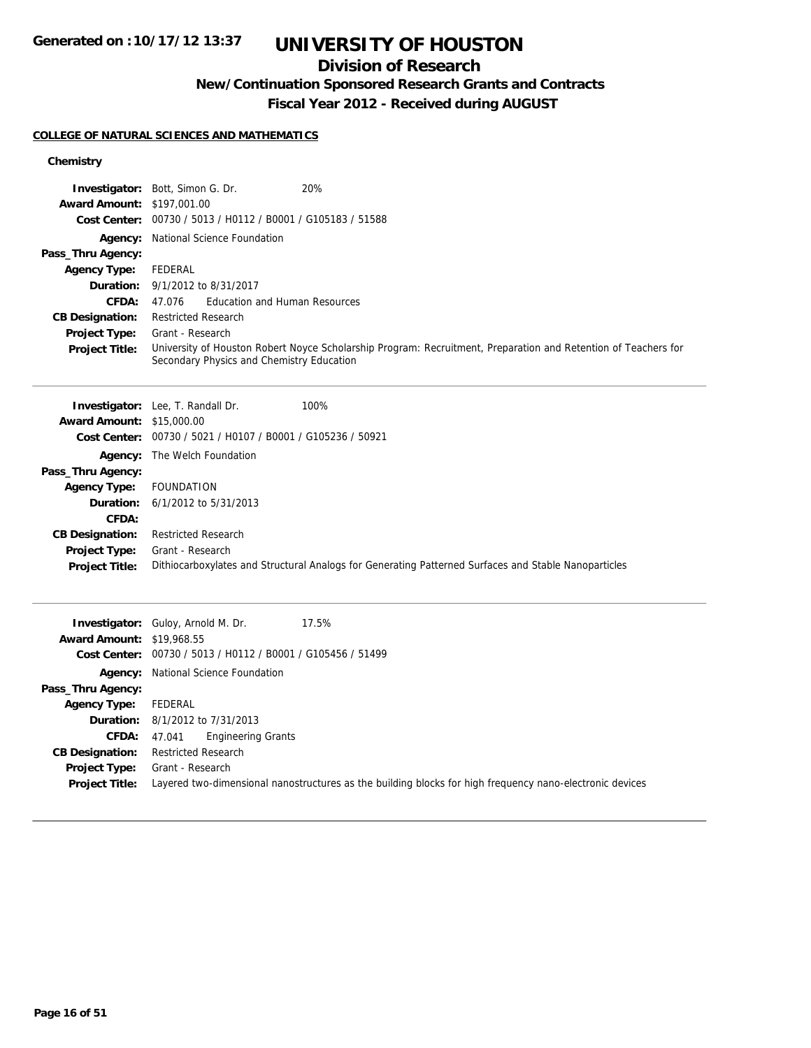## **Division of Research**

## **New/Continuation Sponsored Research Grants and Contracts**

**Fiscal Year 2012 - Received during AUGUST**

### **COLLEGE OF NATURAL SCIENCES AND MATHEMATICS**

|                                   | Investigator: Bott, Simon G. Dr.<br>20%                                                                        |
|-----------------------------------|----------------------------------------------------------------------------------------------------------------|
| <b>Award Amount: \$197,001.00</b> | Cost Center: 00730 / 5013 / H0112 / B0001 / G105183 / 51588                                                    |
|                                   |                                                                                                                |
| Pass_Thru Agency:                 | Agency: National Science Foundation                                                                            |
| <b>Agency Type:</b>               | FEDERAL                                                                                                        |
| Duration:                         | 9/1/2012 to 8/31/2017                                                                                          |
| CFDA:                             | 47.076<br><b>Education and Human Resources</b>                                                                 |
| <b>CB Designation:</b>            | <b>Restricted Research</b>                                                                                     |
| Project Type:                     | Grant - Research                                                                                               |
| <b>Project Title:</b>             | University of Houston Robert Noyce Scholarship Program: Recruitment, Preparation and Retention of Teachers for |
|                                   | Secondary Physics and Chemistry Education                                                                      |
|                                   |                                                                                                                |
|                                   | 100%<br><b>Investigator:</b> Lee, T. Randall Dr.                                                               |
| <b>Award Amount: \$15,000.00</b>  |                                                                                                                |
|                                   | Cost Center: 00730 / 5021 / H0107 / B0001 / G105236 / 50921                                                    |
|                                   | Agency: The Welch Foundation                                                                                   |
| Pass_Thru Agency:                 |                                                                                                                |
| <b>Agency Type:</b>               | <b>FOUNDATION</b>                                                                                              |
| Duration:                         | 6/1/2012 to 5/31/2013                                                                                          |
| <b>CFDA:</b>                      |                                                                                                                |
| <b>CB Designation:</b>            | <b>Restricted Research</b>                                                                                     |
| Project Type:                     | Grant - Research                                                                                               |
| <b>Project Title:</b>             | Dithiocarboxylates and Structural Analogs for Generating Patterned Surfaces and Stable Nanoparticles           |
|                                   |                                                                                                                |
|                                   | Investigator: Guloy, Arnold M. Dr.<br>17.5%                                                                    |
| <b>Award Amount: \$19,968.55</b>  |                                                                                                                |
|                                   | Cost Center: 00730 / 5013 / H0112 / B0001 / G105456 / 51499                                                    |
|                                   | Agency: National Science Foundation                                                                            |
| Pass_Thru Agency:                 |                                                                                                                |
| <b>Agency Type:</b>               | FEDERAL                                                                                                        |
| Duration:                         | 8/1/2012 to 7/31/2013                                                                                          |
| CFDA:                             | 47.041<br><b>Engineering Grants</b>                                                                            |
| <b>CB Designation:</b>            | <b>Restricted Research</b>                                                                                     |
| Project Type:                     | Grant - Research                                                                                               |
| <b>Project Title:</b>             | Layered two-dimensional nanostructures as the building blocks for high frequency nano-electronic devices       |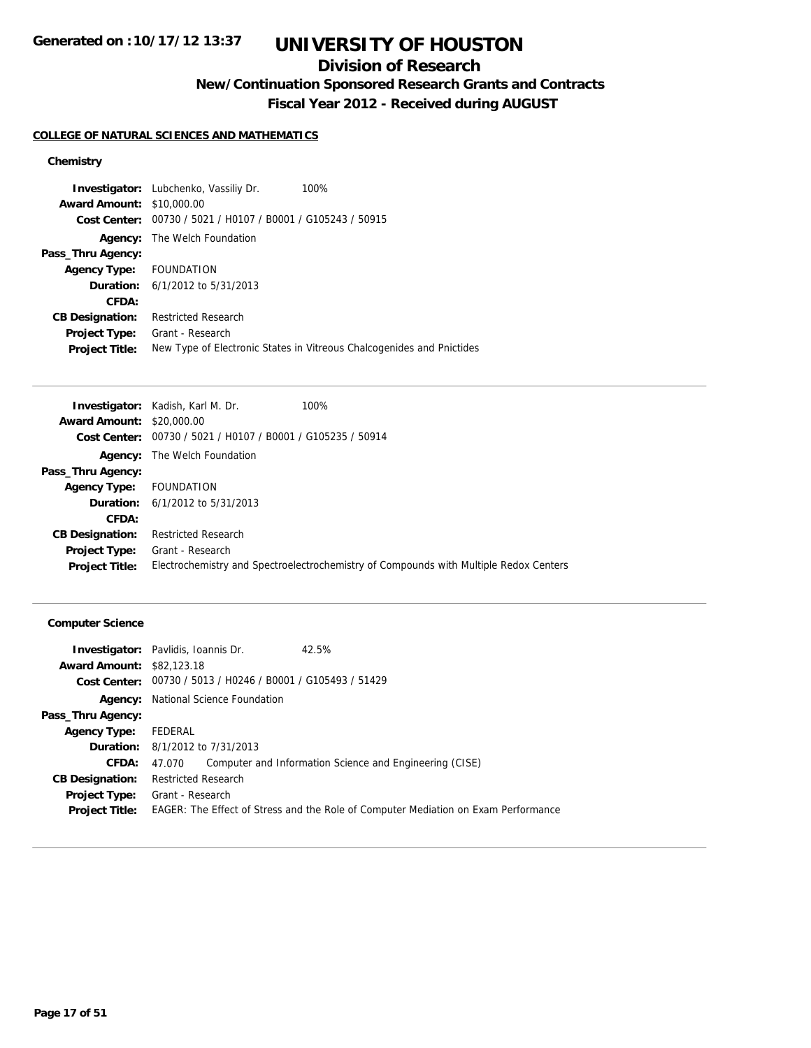## **Division of Research**

**New/Continuation Sponsored Research Grants and Contracts**

**Fiscal Year 2012 - Received during AUGUST**

### **COLLEGE OF NATURAL SCIENCES AND MATHEMATICS**

### **Chemistry**

|                                  | <b>Investigator:</b> Lubchenko, Vassiliy Dr.                | 100%                                                                  |
|----------------------------------|-------------------------------------------------------------|-----------------------------------------------------------------------|
| <b>Award Amount: \$10,000.00</b> |                                                             |                                                                       |
|                                  | Cost Center: 00730 / 5021 / H0107 / B0001 / G105243 / 50915 |                                                                       |
|                                  | <b>Agency:</b> The Welch Foundation                         |                                                                       |
| Pass_Thru Agency:                |                                                             |                                                                       |
| Agency Type: FOUNDATION          |                                                             |                                                                       |
|                                  | <b>Duration:</b> $6/1/2012$ to $5/31/2013$                  |                                                                       |
| CFDA:                            |                                                             |                                                                       |
| <b>CB Designation:</b>           | <b>Restricted Research</b>                                  |                                                                       |
| <b>Project Type:</b>             | Grant - Research                                            |                                                                       |
| <b>Project Title:</b>            |                                                             | New Type of Electronic States in Vitreous Chalcogenides and Pnictides |

|                                  | <b>Investigator:</b> Kadish, Karl M. Dr.                    | 100%                                                                                  |
|----------------------------------|-------------------------------------------------------------|---------------------------------------------------------------------------------------|
| <b>Award Amount: \$20,000.00</b> |                                                             |                                                                                       |
|                                  | Cost Center: 00730 / 5021 / H0107 / B0001 / G105235 / 50914 |                                                                                       |
|                                  | <b>Agency:</b> The Welch Foundation                         |                                                                                       |
| Pass_Thru Agency:                |                                                             |                                                                                       |
| <b>Agency Type:</b>              | FOUNDATION                                                  |                                                                                       |
|                                  | <b>Duration:</b> $6/1/2012$ to $5/31/2013$                  |                                                                                       |
| <b>CFDA:</b>                     |                                                             |                                                                                       |
| <b>CB Designation:</b>           | <b>Restricted Research</b>                                  |                                                                                       |
| Project Type:                    | Grant - Research                                            |                                                                                       |
| <b>Project Title:</b>            |                                                             | Electrochemistry and Spectroelectrochemistry of Compounds with Multiple Redox Centers |
|                                  |                                                             |                                                                                       |

### **Computer Science**

|                                  | <b>Investigator:</b> Pavlidis, Ioannis Dr.                  | 42.5%                                                                              |
|----------------------------------|-------------------------------------------------------------|------------------------------------------------------------------------------------|
| <b>Award Amount: \$82,123,18</b> |                                                             |                                                                                    |
|                                  | Cost Center: 00730 / 5013 / H0246 / B0001 / G105493 / 51429 |                                                                                    |
|                                  | <b>Agency:</b> National Science Foundation                  |                                                                                    |
| Pass_Thru Agency:                |                                                             |                                                                                    |
| <b>Agency Type:</b>              | FEDERAL                                                     |                                                                                    |
|                                  | <b>Duration:</b> 8/1/2012 to 7/31/2013                      |                                                                                    |
| CFDA:                            | 47.070                                                      | Computer and Information Science and Engineering (CISE)                            |
| <b>CB Designation:</b>           | <b>Restricted Research</b>                                  |                                                                                    |
|                                  | <b>Project Type:</b> Grant - Research                       |                                                                                    |
| <b>Project Title:</b>            |                                                             | EAGER: The Effect of Stress and the Role of Computer Mediation on Exam Performance |
|                                  |                                                             |                                                                                    |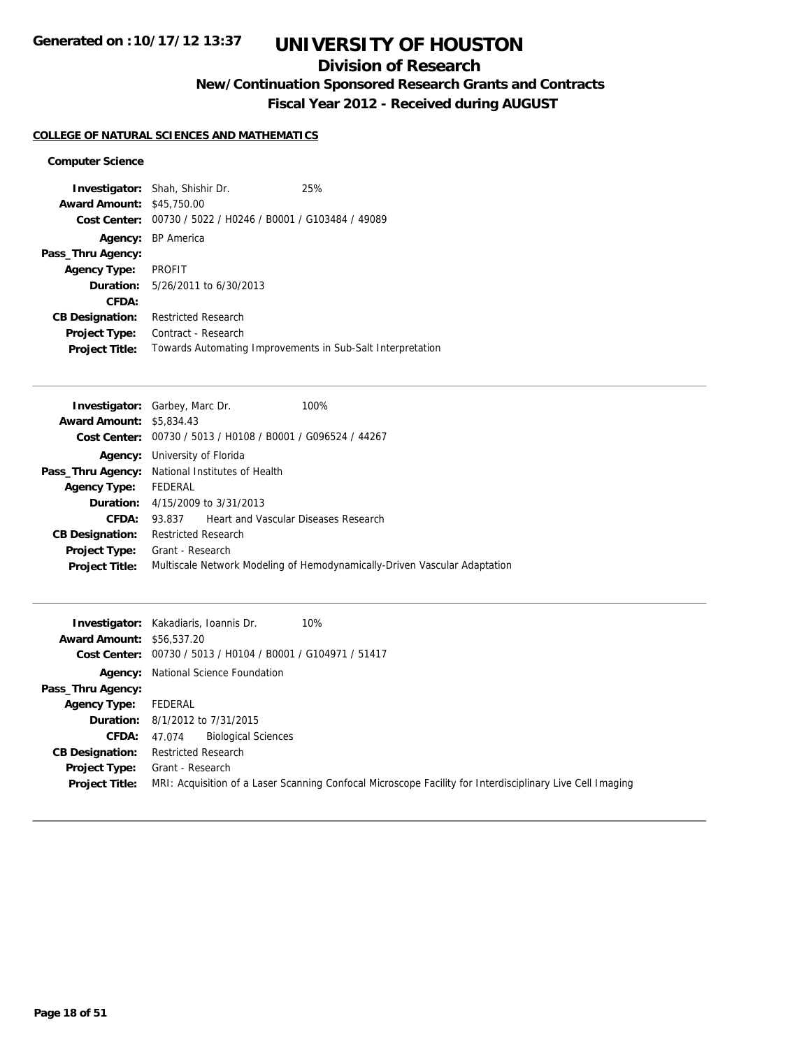## **Division of Research**

**New/Continuation Sponsored Research Grants and Contracts**

**Fiscal Year 2012 - Received during AUGUST**

### **COLLEGE OF NATURAL SCIENCES AND MATHEMATICS**

#### **Computer Science**

|                                  | <b>Investigator:</b> Shah, Shishir Dr.                      | 25% |
|----------------------------------|-------------------------------------------------------------|-----|
| <b>Award Amount: \$45,750.00</b> |                                                             |     |
|                                  | Cost Center: 00730 / 5022 / H0246 / B0001 / G103484 / 49089 |     |
|                                  | <b>Agency:</b> BP America                                   |     |
| Pass_Thru Agency:                |                                                             |     |
| <b>Agency Type:</b>              | <b>PROFIT</b>                                               |     |
|                                  | <b>Duration:</b> 5/26/2011 to 6/30/2013                     |     |
| CFDA:                            |                                                             |     |
| <b>CB Designation:</b>           | <b>Restricted Research</b>                                  |     |
| <b>Project Type:</b>             | Contract - Research                                         |     |
| <b>Project Title:</b>            | Towards Automating Improvements in Sub-Salt Interpretation  |     |

| <b>Investigator:</b> Garbey, Marc Dr.           |                                      |                                                             | 100%                                                                      |
|-------------------------------------------------|--------------------------------------|-------------------------------------------------------------|---------------------------------------------------------------------------|
| <b>Award Amount: \$5,834.43</b>                 |                                      |                                                             |                                                                           |
|                                                 |                                      | Cost Center: 00730 / 5013 / H0108 / B0001 / G096524 / 44267 |                                                                           |
|                                                 | <b>Agency:</b> University of Florida |                                                             |                                                                           |
| Pass_Thru Agency: National Institutes of Health |                                      |                                                             |                                                                           |
| <b>Agency Type:</b>                             | FEDERAL                              |                                                             |                                                                           |
|                                                 |                                      | <b>Duration:</b> 4/15/2009 to 3/31/2013                     |                                                                           |
| CFDA:                                           |                                      | 93.837 Heart and Vascular Diseases Research                 |                                                                           |
| <b>CB Designation:</b>                          | <b>Restricted Research</b>           |                                                             |                                                                           |
| <b>Project Type:</b>                            | Grant - Research                     |                                                             |                                                                           |
| <b>Project Title:</b>                           |                                      |                                                             | Multiscale Network Modeling of Hemodynamically-Driven Vascular Adaptation |
|                                                 |                                      |                                                             |                                                                           |

|                                  | 10%<br><b>Investigator:</b> Kakadiaris, Ioannis Dr.                                                       |  |  |
|----------------------------------|-----------------------------------------------------------------------------------------------------------|--|--|
| <b>Award Amount: \$56.537.20</b> |                                                                                                           |  |  |
|                                  | Cost Center: 00730 / 5013 / H0104 / B0001 / G104971 / 51417                                               |  |  |
|                                  | <b>Agency:</b> National Science Foundation                                                                |  |  |
| Pass_Thru Agency:                |                                                                                                           |  |  |
| <b>Agency Type:</b>              | FEDERAL                                                                                                   |  |  |
|                                  | <b>Duration:</b> 8/1/2012 to 7/31/2015                                                                    |  |  |
| <b>CFDA:</b>                     | <b>Biological Sciences</b><br>47.074                                                                      |  |  |
| <b>CB Designation:</b>           | <b>Restricted Research</b>                                                                                |  |  |
| Project Type:                    | Grant - Research                                                                                          |  |  |
| <b>Project Title:</b>            | MRI: Acquisition of a Laser Scanning Confocal Microscope Facility for Interdisciplinary Live Cell Imaging |  |  |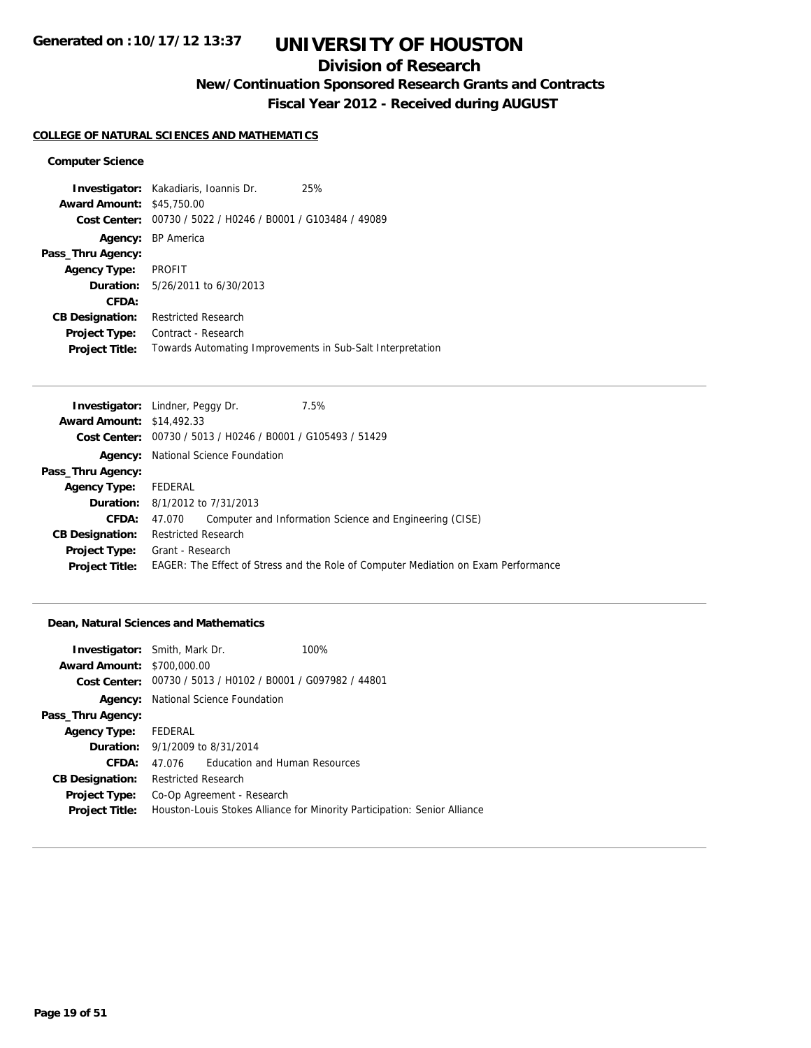## **Division of Research**

**New/Continuation Sponsored Research Grants and Contracts**

**Fiscal Year 2012 - Received during AUGUST**

#### **COLLEGE OF NATURAL SCIENCES AND MATHEMATICS**

#### **Computer Science**

|                        | <b>Investigator:</b> Kakadiaris, Ioannis Dr.               | 25% |
|------------------------|------------------------------------------------------------|-----|
| <b>Award Amount:</b>   | \$45,750.00                                                |     |
| Cost Center:           | 00730 / 5022 / H0246 / B0001 / G103484 / 49089             |     |
|                        | Agency: BP America                                         |     |
| Pass_Thru Agency:      |                                                            |     |
| <b>Agency Type:</b>    | <b>PROFIT</b>                                              |     |
|                        | <b>Duration:</b> 5/26/2011 to 6/30/2013                    |     |
| CFDA:                  |                                                            |     |
| <b>CB Designation:</b> | <b>Restricted Research</b>                                 |     |
| <b>Project Type:</b>   | Contract - Research                                        |     |
| <b>Project Title:</b>  | Towards Automating Improvements in Sub-Salt Interpretation |     |

|                                  | <b>Investigator:</b> Lindner, Peggy Dr.                     | 7.5%                                                                               |
|----------------------------------|-------------------------------------------------------------|------------------------------------------------------------------------------------|
| <b>Award Amount: \$14,492.33</b> |                                                             |                                                                                    |
|                                  | Cost Center: 00730 / 5013 / H0246 / B0001 / G105493 / 51429 |                                                                                    |
|                                  | <b>Agency:</b> National Science Foundation                  |                                                                                    |
| Pass_Thru Agency:                |                                                             |                                                                                    |
| <b>Agency Type:</b>              | FEDERAL                                                     |                                                                                    |
|                                  | <b>Duration:</b> 8/1/2012 to 7/31/2013                      |                                                                                    |
| CFDA:                            | 47.070                                                      | Computer and Information Science and Engineering (CISE)                            |
| <b>CB Designation:</b>           | <b>Restricted Research</b>                                  |                                                                                    |
| Project Type:                    | Grant - Research                                            |                                                                                    |
| <b>Project Title:</b>            |                                                             | EAGER: The Effect of Stress and the Role of Computer Mediation on Exam Performance |
|                                  |                                                             |                                                                                    |

#### **Dean, Natural Sciences and Mathematics**

| <b>Investigator:</b> Smith, Mark Dr.   |                            |                                                | 100%                                                                      |
|----------------------------------------|----------------------------|------------------------------------------------|---------------------------------------------------------------------------|
| <b>Award Amount: \$700,000.00</b>      |                            |                                                |                                                                           |
| Cost Center:                           |                            | 00730 / 5013 / H0102 / B0001 / G097982 / 44801 |                                                                           |
|                                        |                            | <b>Agency:</b> National Science Foundation     |                                                                           |
| Pass_Thru Agency:                      |                            |                                                |                                                                           |
| Agency Type: FEDERAL                   |                            |                                                |                                                                           |
| <b>Duration:</b> 9/1/2009 to 8/31/2014 |                            |                                                |                                                                           |
| CFDA:                                  | 47.076                     | <b>Education and Human Resources</b>           |                                                                           |
| <b>CB Designation:</b>                 | <b>Restricted Research</b> |                                                |                                                                           |
| <b>Project Type:</b>                   |                            | Co-Op Agreement - Research                     |                                                                           |
| <b>Project Title:</b>                  |                            |                                                | Houston-Louis Stokes Alliance for Minority Participation: Senior Alliance |
|                                        |                            |                                                |                                                                           |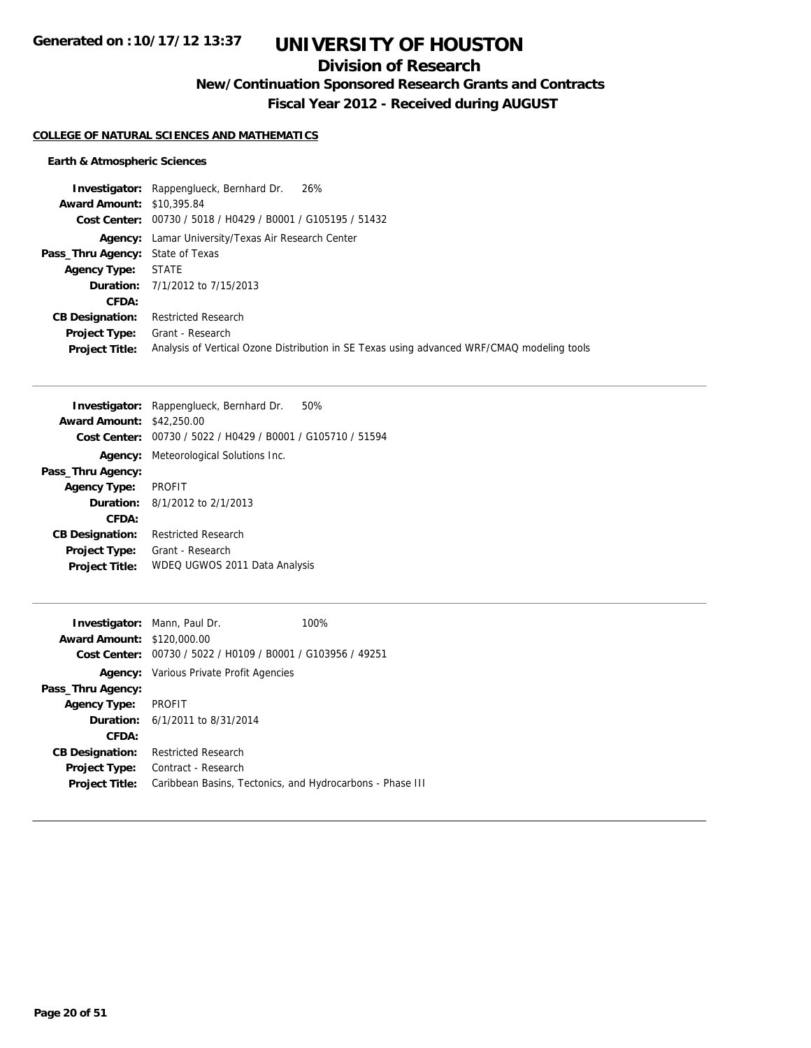## **Division of Research**

**New/Continuation Sponsored Research Grants and Contracts**

**Fiscal Year 2012 - Received during AUGUST**

#### **COLLEGE OF NATURAL SCIENCES AND MATHEMATICS**

### **Earth & Atmospheric Sciences**

|                                         | <b>Investigator:</b> Rappenglueck, Bernhard Dr. 26%                                        |
|-----------------------------------------|--------------------------------------------------------------------------------------------|
| <b>Award Amount: \$10,395.84</b>        |                                                                                            |
|                                         | Cost Center: 00730 / 5018 / H0429 / B0001 / G105195 / 51432                                |
|                                         | Agency: Lamar University/Texas Air Research Center                                         |
| <b>Pass_Thru Agency:</b> State of Texas |                                                                                            |
| <b>Agency Type: STATE</b>               |                                                                                            |
|                                         | <b>Duration:</b> 7/1/2012 to 7/15/2013                                                     |
| CFDA:                                   |                                                                                            |
| <b>CB Designation:</b>                  | Restricted Research                                                                        |
| Project Type:                           | Grant - Research                                                                           |
| <b>Project Title:</b>                   | Analysis of Vertical Ozone Distribution in SE Texas using advanced WRF/CMAQ modeling tools |

|                        | Investigator: Rappenglueck, Bernhard Dr.<br>50% |
|------------------------|-------------------------------------------------|
| <b>Award Amount:</b>   | \$42,250.00                                     |
| Cost Center:           | 00730 / 5022 / H0429 / B0001 / G105710 / 51594  |
| Agency:                | Meteorological Solutions Inc.                   |
| Pass_Thru Agency:      |                                                 |
| <b>Agency Type:</b>    | <b>PROFIT</b>                                   |
| <b>Duration:</b>       | 8/1/2012 to 2/1/2013                            |
| CFDA:                  |                                                 |
| <b>CB Designation:</b> | <b>Restricted Research</b>                      |
| <b>Project Type:</b>   | Grant - Research                                |
| <b>Project Title:</b>  | WDEQ UGWOS 2011 Data Analysis                   |
|                        |                                                 |

| <b>Investigator:</b> Mann, Paul Dr. |                                                             | 100% |
|-------------------------------------|-------------------------------------------------------------|------|
| <b>Award Amount: \$120,000.00</b>   |                                                             |      |
|                                     | Cost Center: 00730 / 5022 / H0109 / B0001 / G103956 / 49251 |      |
|                                     | <b>Agency:</b> Various Private Profit Agencies              |      |
| Pass_Thru Agency:                   |                                                             |      |
| <b>Agency Type:</b>                 | <b>PROFIT</b>                                               |      |
|                                     | <b>Duration:</b> 6/1/2011 to 8/31/2014                      |      |
| CFDA:                               |                                                             |      |
| <b>CB Designation:</b>              | <b>Restricted Research</b>                                  |      |
| <b>Project Type:</b>                | Contract - Research                                         |      |
| <b>Project Title:</b>               | Caribbean Basins, Tectonics, and Hydrocarbons - Phase III   |      |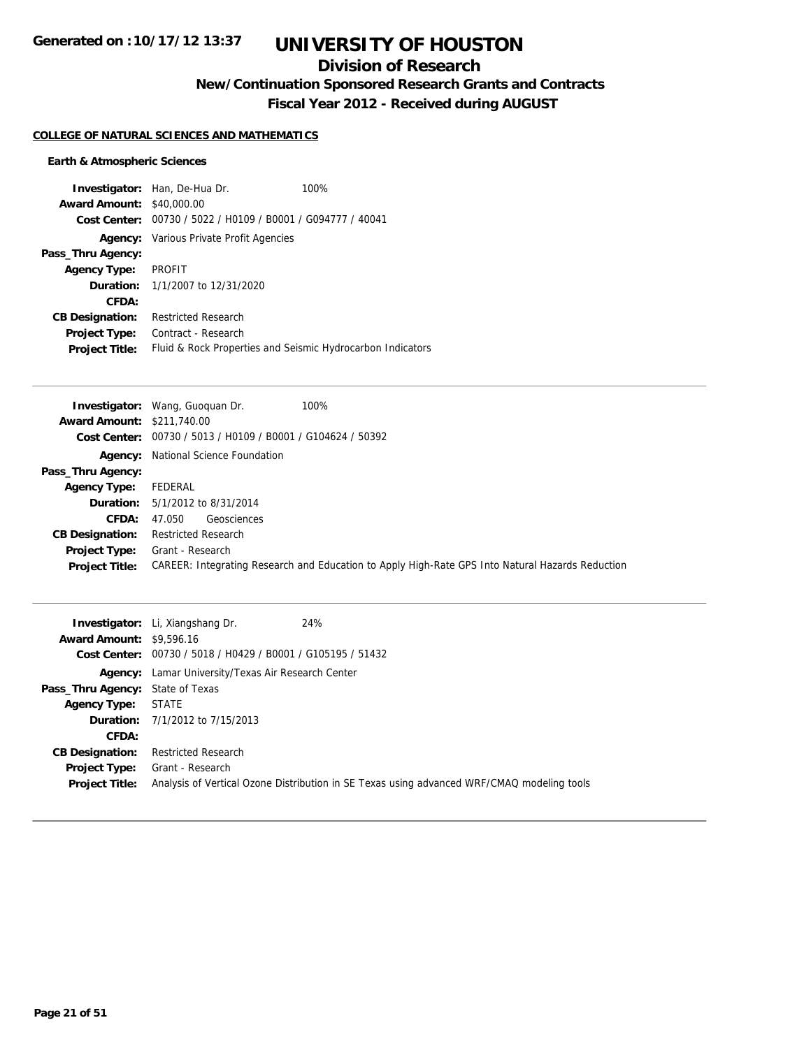## **Division of Research**

**New/Continuation Sponsored Research Grants and Contracts**

**Fiscal Year 2012 - Received during AUGUST**

#### **COLLEGE OF NATURAL SCIENCES AND MATHEMATICS**

### **Earth & Atmospheric Sciences**

|                                  | <b>Investigator:</b> Han, De-Hua Dr.                       | 100% |
|----------------------------------|------------------------------------------------------------|------|
| <b>Award Amount: \$40,000.00</b> |                                                            |      |
| Cost Center:                     | 00730 / 5022 / H0109 / B0001 / G094777 / 40041             |      |
|                                  | <b>Agency:</b> Various Private Profit Agencies             |      |
| Pass_Thru Agency:                |                                                            |      |
| <b>Agency Type:</b>              | PROFIT                                                     |      |
|                                  | <b>Duration:</b> 1/1/2007 to 12/31/2020                    |      |
| CFDA:                            |                                                            |      |
| <b>CB Designation:</b>           | <b>Restricted Research</b>                                 |      |
| Project Type:                    | Contract - Research                                        |      |
| <b>Project Title:</b>            | Fluid & Rock Properties and Seismic Hydrocarbon Indicators |      |

|                                   | 100%<br><b>Investigator:</b> Wang, Guoguan Dr.                                                   |
|-----------------------------------|--------------------------------------------------------------------------------------------------|
| <b>Award Amount: \$211,740.00</b> |                                                                                                  |
|                                   | Cost Center: 00730 / 5013 / H0109 / B0001 / G104624 / 50392                                      |
|                                   | <b>Agency:</b> National Science Foundation                                                       |
| Pass_Thru Agency:                 |                                                                                                  |
| <b>Agency Type:</b>               | FEDERAL                                                                                          |
|                                   | <b>Duration:</b> 5/1/2012 to 8/31/2014                                                           |
| CFDA:                             | Geosciences<br>47.050                                                                            |
| <b>CB Designation:</b>            | <b>Restricted Research</b>                                                                       |
| Project Type:                     | Grant - Research                                                                                 |
| <b>Project Title:</b>             | CAREER: Integrating Research and Education to Apply High-Rate GPS Into Natural Hazards Reduction |

|                                         | 24%<br><b>Investigator:</b> Li, Xiangshang Dr.                                                                 |
|-----------------------------------------|----------------------------------------------------------------------------------------------------------------|
| <b>Award Amount: \$9,596.16</b>         |                                                                                                                |
|                                         | Cost Center: 00730 / 5018 / H0429 / B0001 / G105195 / 51432                                                    |
|                                         | <b>Agency:</b> Lamar University/Texas Air Research Center                                                      |
| <b>Pass_Thru Agency:</b> State of Texas |                                                                                                                |
| <b>Agency Type:</b>                     | STATE                                                                                                          |
|                                         | <b>Duration:</b> 7/1/2012 to 7/15/2013                                                                         |
| CFDA:                                   |                                                                                                                |
| <b>CB Designation:</b>                  | <b>Restricted Research</b>                                                                                     |
| Project Type:<br><b>Project Title:</b>  | Grant - Research<br>Analysis of Vertical Ozone Distribution in SE Texas using advanced WRF/CMAQ modeling tools |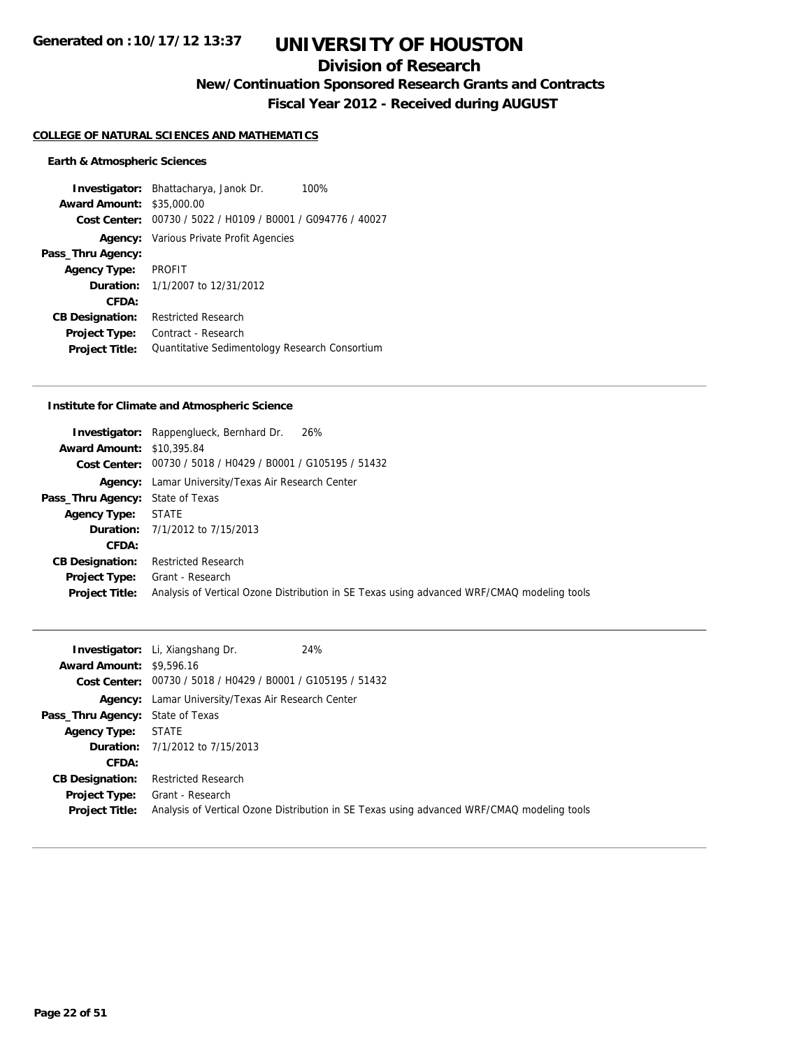## **Division of Research**

**New/Continuation Sponsored Research Grants and Contracts**

**Fiscal Year 2012 - Received during AUGUST**

#### **COLLEGE OF NATURAL SCIENCES AND MATHEMATICS**

#### **Earth & Atmospheric Sciences**

**Investigator:** Bhattacharya, Janok Dr. 100% **Award Amount:** \$35,000.00 **Cost Center:** 00730 / 5022 / H0109 / B0001 / G094776 / 40027 **Agency:** Various Private Profit Agencies **Pass\_Thru Agency: Agency Type:** PROFIT **Duration:** 1/1/2007 to 12/31/2012 **CFDA: CB Designation:** Restricted Research **Project Type:** Contract - Research Project Title: Quantitative Sedimentology Research Consortium

#### **Institute for Climate and Atmospheric Science**

|                                         | <b>Investigator:</b> Rappenglueck, Bernhard Dr.<br>26%                                     |
|-----------------------------------------|--------------------------------------------------------------------------------------------|
| <b>Award Amount: \$10,395.84</b>        |                                                                                            |
|                                         | Cost Center: 00730 / 5018 / H0429 / B0001 / G105195 / 51432                                |
|                                         | <b>Agency:</b> Lamar University/Texas Air Research Center                                  |
| <b>Pass_Thru Agency:</b> State of Texas |                                                                                            |
| <b>Agency Type:</b>                     | STATE                                                                                      |
|                                         | <b>Duration:</b> 7/1/2012 to 7/15/2013                                                     |
| CFDA:                                   |                                                                                            |
| <b>CB Designation:</b>                  | <b>Restricted Research</b>                                                                 |
|                                         | <b>Project Type:</b> Grant - Research                                                      |
| <b>Project Title:</b>                   | Analysis of Vertical Ozone Distribution in SE Texas using advanced WRF/CMAQ modeling tools |

|                                         | 24%<br><b>Investigator:</b> Li, Xiangshang Dr.                |                                                                                            |
|-----------------------------------------|---------------------------------------------------------------|--------------------------------------------------------------------------------------------|
| <b>Award Amount: \$9,596.16</b>         |                                                               |                                                                                            |
|                                         | Cost Center: $00730 / 5018 / 40429 / 80001 / 6105195 / 51432$ |                                                                                            |
|                                         | <b>Agency:</b> Lamar University/Texas Air Research Center     |                                                                                            |
| <b>Pass_Thru Agency:</b> State of Texas |                                                               |                                                                                            |
| <b>Agency Type:</b>                     | STATE                                                         |                                                                                            |
|                                         | <b>Duration:</b> 7/1/2012 to 7/15/2013                        |                                                                                            |
| CFDA:                                   |                                                               |                                                                                            |
| <b>CB Designation:</b>                  | <b>Restricted Research</b>                                    |                                                                                            |
| Project Type:                           | Grant - Research                                              |                                                                                            |
| <b>Project Title:</b>                   |                                                               | Analysis of Vertical Ozone Distribution in SE Texas using advanced WRF/CMAQ modeling tools |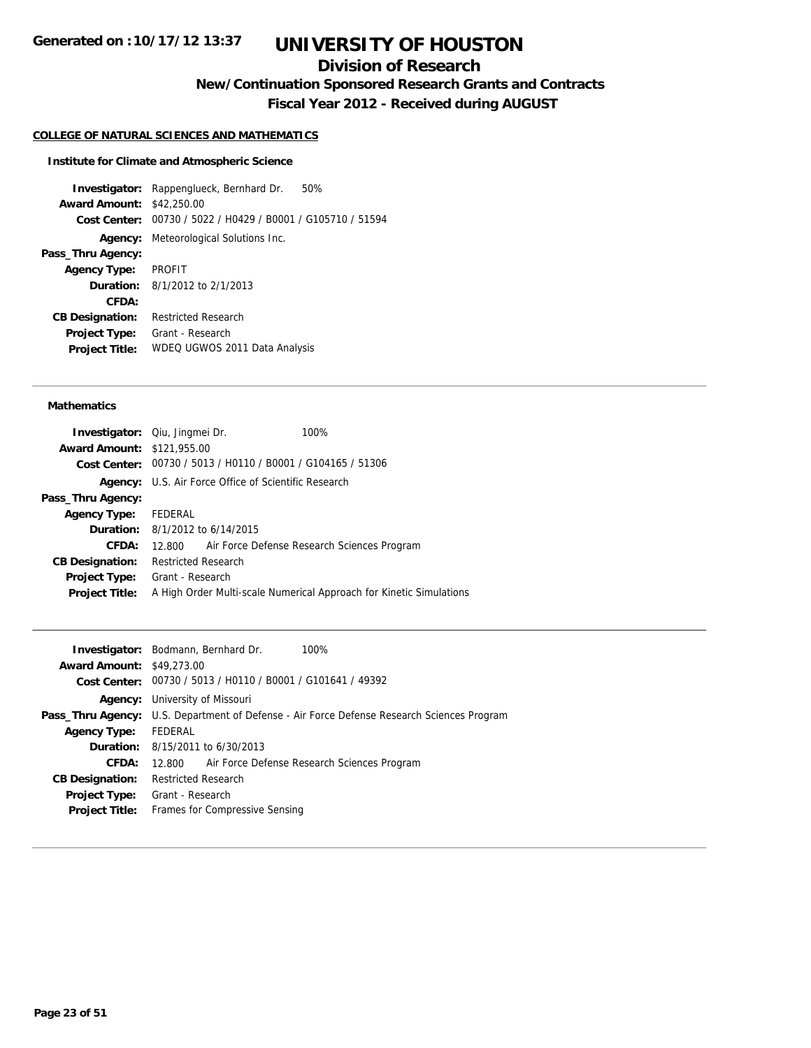## **Division of Research**

**New/Continuation Sponsored Research Grants and Contracts**

**Fiscal Year 2012 - Received during AUGUST**

#### **COLLEGE OF NATURAL SCIENCES AND MATHEMATICS**

#### **Institute for Climate and Atmospheric Science**

**Investigator:** Rappenglueck, Bernhard Dr. 50% **Award Amount:** \$42,250.00 **Cost Center:** 00730 / 5022 / H0429 / B0001 / G105710 / 51594 **Agency:** Meteorological Solutions Inc. **Pass\_Thru Agency: Agency Type:** PROFIT **Duration:** 8/1/2012 to 2/1/2013 **CFDA: CB Designation:** Restricted Research **Project Type:** Grant - Research **Project Title:** WDEQ UGWOS 2011 Data Analysis

#### **Mathematics**

| <b>Award Amount: \$121,955.00</b><br>Cost Center: 00730 / 5013 / H0110 / B0001 / G104165 / 51306<br>U.S. Air Force Office of Scientific Research<br>Agency:<br>Pass_Thru Agency:<br>Agency Type: FEDERAL<br><b>Duration:</b> 8/1/2012 to 6/14/2015<br>CFDA:<br>12.800 Air Force Defense Research Sciences Program<br><b>Restricted Research</b><br><b>CB Designation:</b><br>Grant - Research<br><b>Project Type:</b><br>A High Order Multi-scale Numerical Approach for Kinetic Simulations<br><b>Project Title:</b> | <b>Investigator:</b> Qiu, Jingmei Dr. |  | 100% |
|-----------------------------------------------------------------------------------------------------------------------------------------------------------------------------------------------------------------------------------------------------------------------------------------------------------------------------------------------------------------------------------------------------------------------------------------------------------------------------------------------------------------------|---------------------------------------|--|------|
|                                                                                                                                                                                                                                                                                                                                                                                                                                                                                                                       |                                       |  |      |
|                                                                                                                                                                                                                                                                                                                                                                                                                                                                                                                       |                                       |  |      |
|                                                                                                                                                                                                                                                                                                                                                                                                                                                                                                                       |                                       |  |      |
|                                                                                                                                                                                                                                                                                                                                                                                                                                                                                                                       |                                       |  |      |
|                                                                                                                                                                                                                                                                                                                                                                                                                                                                                                                       |                                       |  |      |
|                                                                                                                                                                                                                                                                                                                                                                                                                                                                                                                       |                                       |  |      |
|                                                                                                                                                                                                                                                                                                                                                                                                                                                                                                                       |                                       |  |      |
|                                                                                                                                                                                                                                                                                                                                                                                                                                                                                                                       |                                       |  |      |
|                                                                                                                                                                                                                                                                                                                                                                                                                                                                                                                       |                                       |  |      |
|                                                                                                                                                                                                                                                                                                                                                                                                                                                                                                                       |                                       |  |      |

|                                  | <b>Investigator:</b> Bodmann, Bernhard Dr.<br>100%                                         |
|----------------------------------|--------------------------------------------------------------------------------------------|
| <b>Award Amount: \$49,273.00</b> |                                                                                            |
|                                  | Cost Center: 00730 / 5013 / H0110 / B0001 / G101641 / 49392                                |
|                                  | <b>Agency:</b> University of Missouri                                                      |
|                                  | Pass_Thru Agency: U.S. Department of Defense - Air Force Defense Research Sciences Program |
| <b>Agency Type:</b>              | FEDERAL                                                                                    |
|                                  | <b>Duration:</b> 8/15/2011 to 6/30/2013                                                    |
| CFDA:                            | 12.800 Air Force Defense Research Sciences Program                                         |
| <b>CB Designation:</b>           | <b>Restricted Research</b>                                                                 |
|                                  | <b>Project Type:</b> Grant - Research                                                      |
| <b>Project Title:</b>            | Frames for Compressive Sensing                                                             |
|                                  |                                                                                            |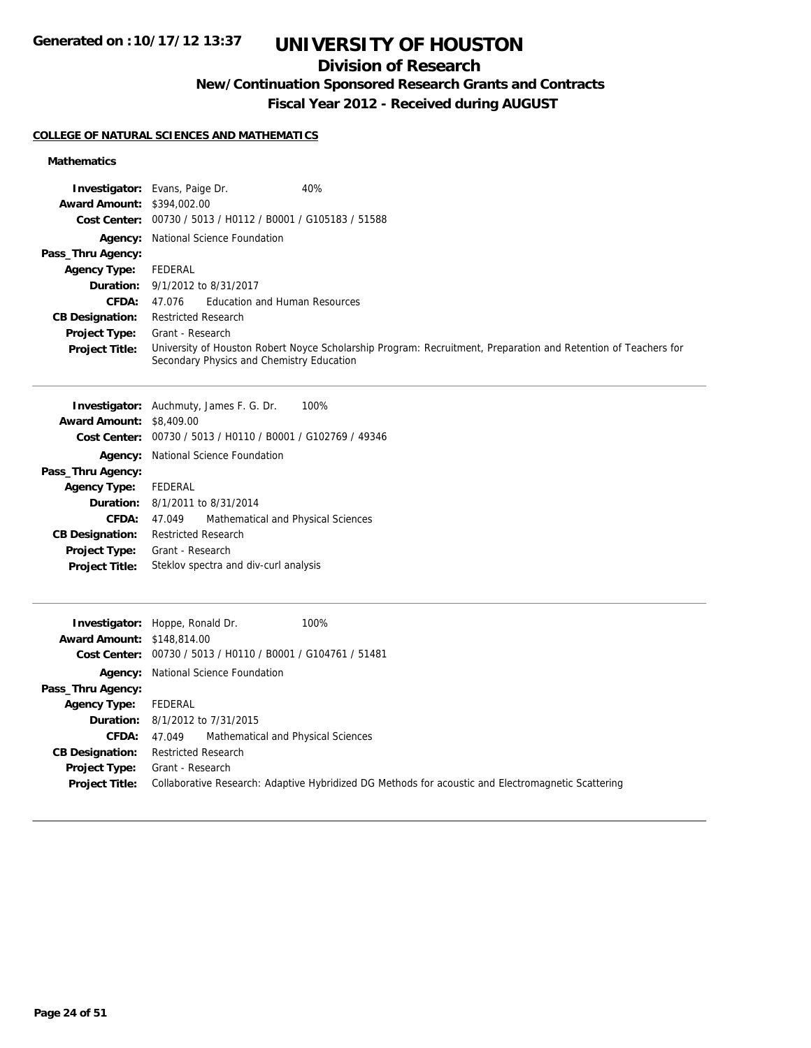## **Division of Research**

**New/Continuation Sponsored Research Grants and Contracts**

**Fiscal Year 2012 - Received during AUGUST**

### **COLLEGE OF NATURAL SCIENCES AND MATHEMATICS**

### **Mathematics**

|                                   | 40%<br><b>Investigator:</b> Evans, Paige Dr.                                                                                                                |
|-----------------------------------|-------------------------------------------------------------------------------------------------------------------------------------------------------------|
| <b>Award Amount: \$394,002.00</b> |                                                                                                                                                             |
|                                   | Cost Center: 00730 / 5013 / H0112 / B0001 / G105183 / 51588                                                                                                 |
|                                   | <b>Agency:</b> National Science Foundation                                                                                                                  |
| Pass_Thru Agency:                 |                                                                                                                                                             |
| <b>Agency Type:</b>               | FEDERAL                                                                                                                                                     |
|                                   | <b>Duration:</b> 9/1/2012 to 8/31/2017                                                                                                                      |
| <b>CFDA:</b>                      | 47.076 Education and Human Resources                                                                                                                        |
| <b>CB Designation:</b>            | <b>Restricted Research</b>                                                                                                                                  |
| <b>Project Type:</b>              | Grant - Research                                                                                                                                            |
| <b>Project Title:</b>             | University of Houston Robert Noyce Scholarship Program: Recruitment, Preparation and Retention of Teachers for<br>Secondary Physics and Chemistry Education |
|                                   | <b>Investigator:</b> Auchmuty, James F. G. Dr.<br>100%                                                                                                      |
| <b>Award Amount: \$8,409.00</b>   |                                                                                                                                                             |

|                             | Cost Center: 00730 / 5013 / H0110 / B0001 / G102769 / 49346 |  |  |
|-----------------------------|-------------------------------------------------------------|--|--|
|                             | Agency: National Science Foundation                         |  |  |
| Pass_Thru Agency:           |                                                             |  |  |
| <b>Agency Type:</b> FEDERAL |                                                             |  |  |
|                             | <b>Duration:</b> 8/1/2011 to 8/31/2014                      |  |  |
| CFDA:                       | Mathematical and Physical Sciences<br>47.049                |  |  |
| <b>CB Designation:</b>      | <b>Restricted Research</b>                                  |  |  |
| <b>Project Type:</b>        | Grant - Research                                            |  |  |
| <b>Project Title:</b>       | Steklov spectra and div-curl analysis                       |  |  |
|                             |                                                             |  |  |

| <b>Award Amount: \$148,814.00</b>      | 100%<br><b>Investigator:</b> Hoppe, Ronald Dr.<br>Cost Center: 00730 / 5013 / H0110 / B0001 / G104761 / 51481          |
|----------------------------------------|------------------------------------------------------------------------------------------------------------------------|
|                                        | <b>Agency:</b> National Science Foundation                                                                             |
| Pass_Thru Agency:                      |                                                                                                                        |
| <b>Agency Type:</b>                    | FEDERAL                                                                                                                |
|                                        | <b>Duration:</b> 8/1/2012 to 7/31/2015                                                                                 |
| <b>CFDA:</b>                           | Mathematical and Physical Sciences<br>47.049                                                                           |
| <b>CB Designation:</b>                 | <b>Restricted Research</b>                                                                                             |
| Project Type:<br><b>Project Title:</b> | Grant - Research<br>Collaborative Research: Adaptive Hybridized DG Methods for acoustic and Electromagnetic Scattering |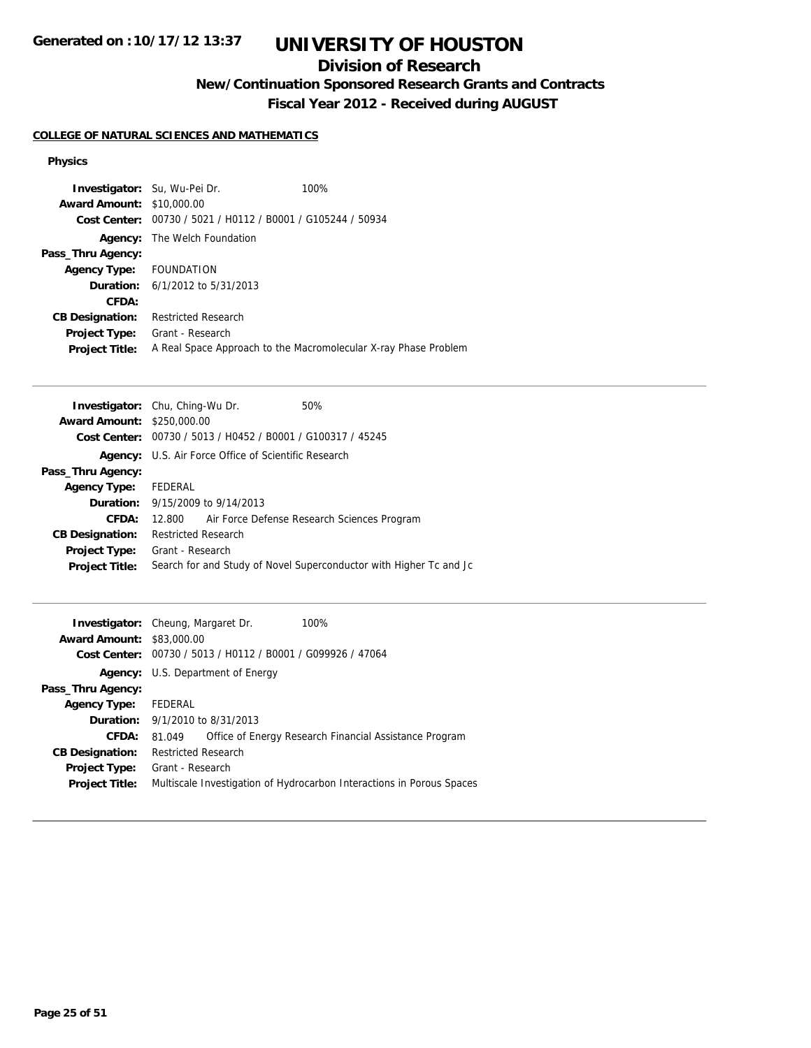## **Division of Research**

**New/Continuation Sponsored Research Grants and Contracts**

**Fiscal Year 2012 - Received during AUGUST**

### **COLLEGE OF NATURAL SCIENCES AND MATHEMATICS**

#### **Physics**

| <b>Investigator:</b> Su, Wu-Pei Dr. |                                                | 100%                                                            |
|-------------------------------------|------------------------------------------------|-----------------------------------------------------------------|
| <b>Award Amount: \$10,000.00</b>    |                                                |                                                                 |
| Cost Center:                        | 00730 / 5021 / H0112 / B0001 / G105244 / 50934 |                                                                 |
| Agency:                             | The Welch Foundation                           |                                                                 |
| Pass_Thru Agency:                   |                                                |                                                                 |
| Agency Type: FOUNDATION             |                                                |                                                                 |
|                                     | <b>Duration:</b> $6/1/2012$ to $5/31/2013$     |                                                                 |
| CFDA:                               |                                                |                                                                 |
| <b>CB Designation:</b>              | <b>Restricted Research</b>                     |                                                                 |
| <b>Project Type:</b>                | Grant - Research                               |                                                                 |
| <b>Project Title:</b>               |                                                | A Real Space Approach to the Macromolecular X-ray Phase Problem |

| <b>Investigator:</b> Chu, Ching-Wu Dr. |                            |                                                             | 50%                                                                |
|----------------------------------------|----------------------------|-------------------------------------------------------------|--------------------------------------------------------------------|
| <b>Award Amount: \$250,000.00</b>      |                            |                                                             |                                                                    |
|                                        |                            | Cost Center: 00730 / 5013 / H0452 / B0001 / G100317 / 45245 |                                                                    |
|                                        |                            | <b>Agency:</b> U.S. Air Force Office of Scientific Research |                                                                    |
| Pass_Thru Agency:                      |                            |                                                             |                                                                    |
| <b>Agency Type:</b>                    | FEDERAL                    |                                                             |                                                                    |
|                                        |                            | <b>Duration:</b> $9/15/2009$ to $9/14/2013$                 |                                                                    |
| CFDA:                                  |                            |                                                             | 12.800 Air Force Defense Research Sciences Program                 |
| <b>CB Designation:</b>                 | <b>Restricted Research</b> |                                                             |                                                                    |
| <b>Project Type:</b>                   | Grant - Research           |                                                             |                                                                    |
| <b>Project Title:</b>                  |                            |                                                             | Search for and Study of Novel Superconductor with Higher Tc and Jc |
|                                        |                            |                                                             |                                                                    |

| <b>Award Amount: \$83,000.00</b> | <b>Investigator:</b> Cheung, Margaret Dr.<br>Cost Center: 00730 / 5013 / H0112 / B0001 / G099926 / 47064 | 100%                                                                  |  |
|----------------------------------|----------------------------------------------------------------------------------------------------------|-----------------------------------------------------------------------|--|
|                                  | <b>Agency:</b> U.S. Department of Energy                                                                 |                                                                       |  |
| Pass_Thru Agency:                |                                                                                                          |                                                                       |  |
| <b>Agency Type:</b>              | FEDERAL                                                                                                  |                                                                       |  |
|                                  | <b>Duration:</b> 9/1/2010 to 8/31/2013                                                                   |                                                                       |  |
| CFDA:                            | 81.049                                                                                                   | Office of Energy Research Financial Assistance Program                |  |
| <b>CB Designation:</b>           | <b>Restricted Research</b>                                                                               |                                                                       |  |
| Project Type:                    | Grant - Research                                                                                         |                                                                       |  |
| <b>Project Title:</b>            |                                                                                                          | Multiscale Investigation of Hydrocarbon Interactions in Porous Spaces |  |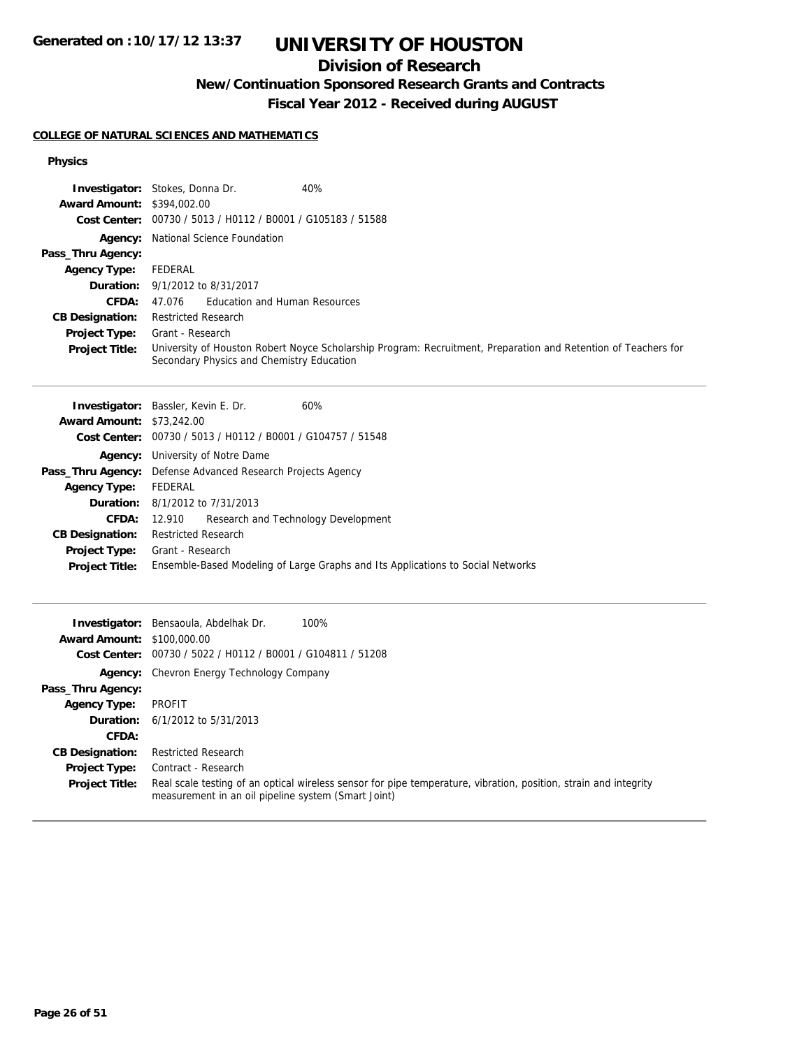## **Division of Research**

**New/Continuation Sponsored Research Grants and Contracts**

**Fiscal Year 2012 - Received during AUGUST**

### **COLLEGE OF NATURAL SCIENCES AND MATHEMATICS**

#### **Physics**

|                                   | 40%<br><b>Investigator:</b> Stokes, Donna Dr.                                                                                                               |
|-----------------------------------|-------------------------------------------------------------------------------------------------------------------------------------------------------------|
| <b>Award Amount: \$394,002.00</b> |                                                                                                                                                             |
|                                   | Cost Center: 00730 / 5013 / H0112 / B0001 / G105183 / 51588                                                                                                 |
|                                   | <b>Agency:</b> National Science Foundation                                                                                                                  |
| Pass_Thru Agency:                 |                                                                                                                                                             |
| <b>Agency Type:</b>               | FEDERAL                                                                                                                                                     |
|                                   | <b>Duration:</b> 9/1/2012 to 8/31/2017                                                                                                                      |
| CFDA:                             | Education and Human Resources<br>47.076                                                                                                                     |
| <b>CB Designation:</b>            | <b>Restricted Research</b>                                                                                                                                  |
| <b>Project Type:</b>              | Grant - Research                                                                                                                                            |
| <b>Project Title:</b>             | University of Houston Robert Noyce Scholarship Program: Recruitment, Preparation and Retention of Teachers for<br>Secondary Physics and Chemistry Education |
|                                   |                                                                                                                                                             |

|                                  | <b>Investigator:</b> Bassler, Kevin E. Dr.<br>60%                               |
|----------------------------------|---------------------------------------------------------------------------------|
| <b>Award Amount: \$73,242.00</b> |                                                                                 |
|                                  | Cost Center: 00730 / 5013 / H0112 / B0001 / G104757 / 51548                     |
| Agency:                          | University of Notre Dame                                                        |
|                                  | Pass_Thru Agency: Defense Advanced Research Projects Agency                     |
| <b>Agency Type:</b>              | FEDERAL                                                                         |
|                                  | <b>Duration:</b> 8/1/2012 to 7/31/2013                                          |
| <b>CFDA:</b>                     | Research and Technology Development<br>12.910                                   |
| <b>CB Designation:</b>           | <b>Restricted Research</b>                                                      |
| Project Type:                    | Grant - Research                                                                |
| <b>Project Title:</b>            | Ensemble-Based Modeling of Large Graphs and Its Applications to Social Networks |
|                                  |                                                                                 |

|                                   | 100%<br><b>Investigator:</b> Bensaoula, Abdelhak Dr.                                                                                                                    |
|-----------------------------------|-------------------------------------------------------------------------------------------------------------------------------------------------------------------------|
| <b>Award Amount: \$100,000.00</b> |                                                                                                                                                                         |
|                                   | Cost Center: 00730 / 5022 / H0112 / B0001 / G104811 / 51208                                                                                                             |
|                                   | <b>Agency:</b> Chevron Energy Technology Company                                                                                                                        |
| Pass_Thru Agency:                 |                                                                                                                                                                         |
| <b>Agency Type:</b>               | PROFIT                                                                                                                                                                  |
|                                   | <b>Duration:</b> $6/1/2012$ to $5/31/2013$                                                                                                                              |
| CFDA:                             |                                                                                                                                                                         |
| <b>CB Designation:</b>            | <b>Restricted Research</b>                                                                                                                                              |
| <b>Project Type:</b>              | Contract - Research                                                                                                                                                     |
| <b>Project Title:</b>             | Real scale testing of an optical wireless sensor for pipe temperature, vibration, position, strain and integrity<br>measurement in an oil pipeline system (Smart Joint) |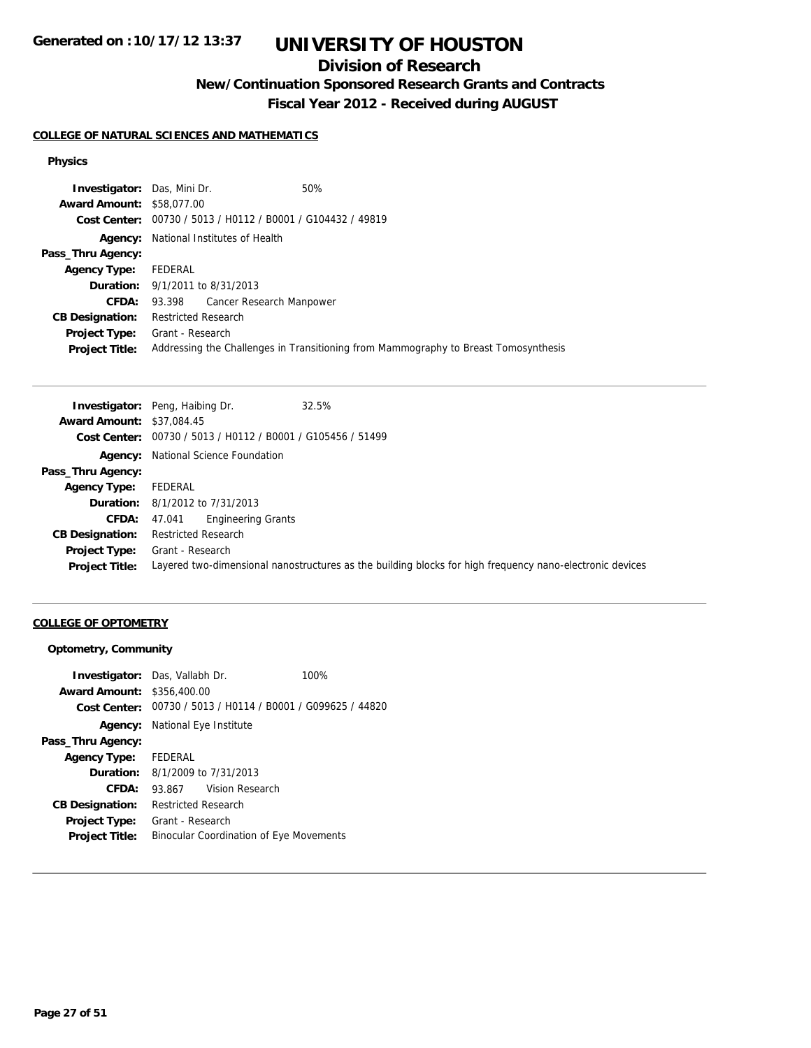## **Division of Research**

**New/Continuation Sponsored Research Grants and Contracts**

**Fiscal Year 2012 - Received during AUGUST**

#### **COLLEGE OF NATURAL SCIENCES AND MATHEMATICS**

#### **Physics**

| <b>Investigator:</b> Das, Mini Dr.     |                            |                                                             | 50%                                                                                 |
|----------------------------------------|----------------------------|-------------------------------------------------------------|-------------------------------------------------------------------------------------|
| <b>Award Amount: \$58,077,00</b>       |                            |                                                             |                                                                                     |
|                                        |                            | Cost Center: 00730 / 5013 / H0112 / B0001 / G104432 / 49819 |                                                                                     |
|                                        |                            | <b>Agency:</b> National Institutes of Health                |                                                                                     |
| Pass_Thru Agency:                      |                            |                                                             |                                                                                     |
| <b>Agency Type:</b>                    | FEDERAL                    |                                                             |                                                                                     |
| <b>Duration:</b> 9/1/2011 to 8/31/2013 |                            |                                                             |                                                                                     |
|                                        |                            | <b>CFDA:</b> 93.398 Cancer Research Manpower                |                                                                                     |
| <b>CB Designation:</b>                 | <b>Restricted Research</b> |                                                             |                                                                                     |
| Project Type:                          | Grant - Research           |                                                             |                                                                                     |
| <b>Project Title:</b>                  |                            |                                                             | Addressing the Challenges in Transitioning from Mammography to Breast Tomosynthesis |

|                                  | <b>Investigator:</b> Peng, Haibing Dr.<br>32.5%                                                          |
|----------------------------------|----------------------------------------------------------------------------------------------------------|
| <b>Award Amount: \$37,084.45</b> |                                                                                                          |
|                                  | Cost Center: 00730 / 5013 / H0112 / B0001 / G105456 / 51499                                              |
|                                  | <b>Agency:</b> National Science Foundation                                                               |
| Pass_Thru Agency:                |                                                                                                          |
| <b>Agency Type:</b>              | FEDERAL                                                                                                  |
|                                  | <b>Duration:</b> 8/1/2012 to 7/31/2013                                                                   |
| <b>CFDA:</b>                     | Engineering Grants<br>47.041                                                                             |
| <b>CB Designation:</b>           | <b>Restricted Research</b>                                                                               |
| Project Type:                    | Grant - Research                                                                                         |
| <b>Project Title:</b>            | Layered two-dimensional nanostructures as the building blocks for high frequency nano-electronic devices |
|                                  |                                                                                                          |

### **COLLEGE OF OPTOMETRY**

### **Optometry, Community**

|                                   | <b>Investigator:</b> Das, Vallabh Dr.          |                 | 100%                                                        |
|-----------------------------------|------------------------------------------------|-----------------|-------------------------------------------------------------|
| <b>Award Amount: \$356,400.00</b> |                                                |                 |                                                             |
|                                   |                                                |                 | Cost Center: 00730 / 5013 / H0114 / B0001 / G099625 / 44820 |
| Agency:                           | National Eye Institute                         |                 |                                                             |
| Pass_Thru Agency:                 |                                                |                 |                                                             |
| <b>Agency Type:</b>               | <b>FEDERAL</b>                                 |                 |                                                             |
| <b>Duration:</b>                  | 8/1/2009 to 7/31/2013                          |                 |                                                             |
| CFDA:                             | 93.867                                         | Vision Research |                                                             |
| <b>CB Designation:</b>            | <b>Restricted Research</b>                     |                 |                                                             |
| Project Type:                     | Grant - Research                               |                 |                                                             |
| <b>Project Title:</b>             | <b>Binocular Coordination of Eye Movements</b> |                 |                                                             |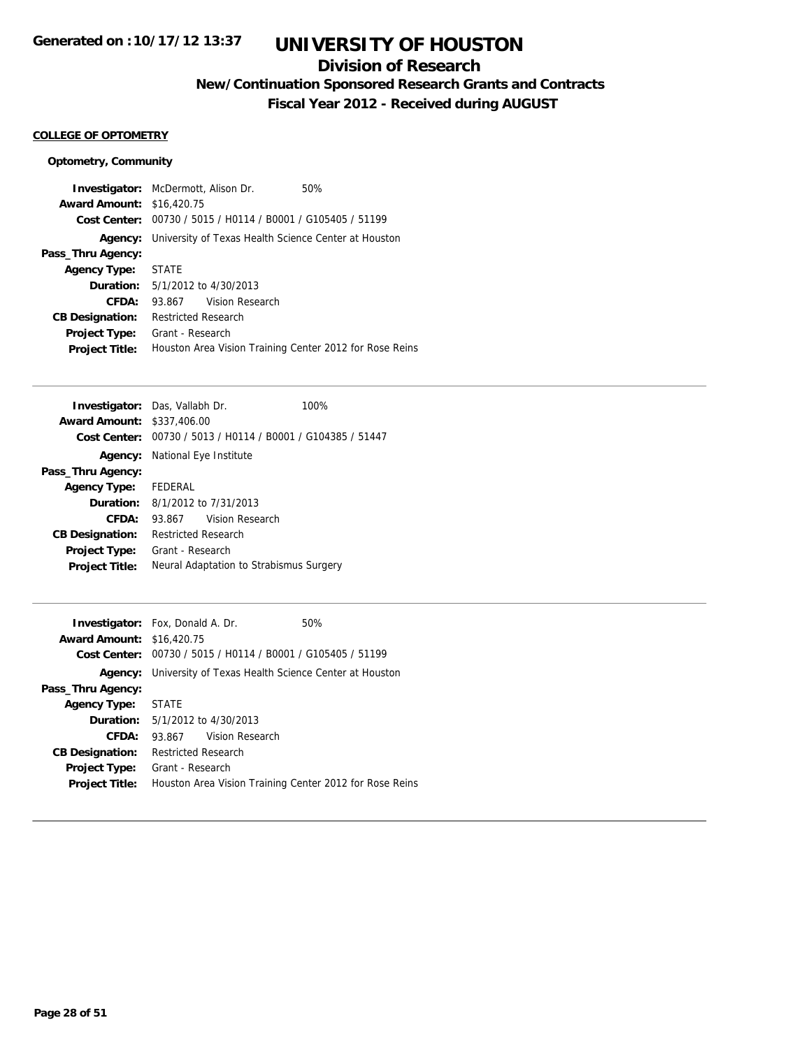## **Division of Research**

**New/Continuation Sponsored Research Grants and Contracts**

**Fiscal Year 2012 - Received during AUGUST**

#### **COLLEGE OF OPTOMETRY**

### **Optometry, Community**

|                                  | <b>Investigator:</b> McDermott, Alison Dr.<br>50%                   |
|----------------------------------|---------------------------------------------------------------------|
| <b>Award Amount: \$16,420.75</b> |                                                                     |
|                                  | Cost Center: 00730 / 5015 / H0114 / B0001 / G105405 / 51199         |
|                                  | <b>Agency:</b> University of Texas Health Science Center at Houston |
| Pass_Thru Agency:                |                                                                     |
| <b>Agency Type:</b>              | <b>STATE</b>                                                        |
|                                  | <b>Duration:</b> 5/1/2012 to 4/30/2013                              |
| CFDA:                            | 93.867 Vision Research                                              |
| <b>CB Designation:</b>           | <b>Restricted Research</b>                                          |
| <b>Project Type:</b>             | Grant - Research                                                    |
| <b>Project Title:</b>            | Houston Area Vision Training Center 2012 for Rose Reins             |

| <b>Investigator:</b> Das, Vallabh Dr.  |                                       |                                                             | 100% |
|----------------------------------------|---------------------------------------|-------------------------------------------------------------|------|
| <b>Award Amount: \$337,406.00</b>      |                                       |                                                             |      |
|                                        |                                       | Cost Center: 00730 / 5013 / H0114 / B0001 / G104385 / 51447 |      |
|                                        | <b>Agency:</b> National Eye Institute |                                                             |      |
| Pass_Thru Agency:                      |                                       |                                                             |      |
| <b>Agency Type:</b> FEDERAL            |                                       |                                                             |      |
| <b>Duration:</b> 8/1/2012 to 7/31/2013 |                                       |                                                             |      |
| CFDA:                                  |                                       | 93.867 Vision Research                                      |      |
| <b>CB Designation:</b>                 | <b>Restricted Research</b>            |                                                             |      |
| <b>Project Type:</b>                   | Grant - Research                      |                                                             |      |
| <b>Project Title:</b>                  |                                       | Neural Adaptation to Strabismus Surgery                     |      |

|                    |                                                                                                                               | 50%                                                                                                                                                                                                                                                               |
|--------------------|-------------------------------------------------------------------------------------------------------------------------------|-------------------------------------------------------------------------------------------------------------------------------------------------------------------------------------------------------------------------------------------------------------------|
|                    |                                                                                                                               |                                                                                                                                                                                                                                                                   |
|                    |                                                                                                                               |                                                                                                                                                                                                                                                                   |
|                    |                                                                                                                               |                                                                                                                                                                                                                                                                   |
|                    |                                                                                                                               |                                                                                                                                                                                                                                                                   |
|                    |                                                                                                                               |                                                                                                                                                                                                                                                                   |
|                    |                                                                                                                               |                                                                                                                                                                                                                                                                   |
|                    |                                                                                                                               |                                                                                                                                                                                                                                                                   |
|                    |                                                                                                                               |                                                                                                                                                                                                                                                                   |
|                    |                                                                                                                               |                                                                                                                                                                                                                                                                   |
|                    |                                                                                                                               |                                                                                                                                                                                                                                                                   |
| Agency Type: STATE | <b>Investigator:</b> Fox, Donald A. Dr.<br><b>Award Amount: \$16,420.75</b><br><b>Restricted Research</b><br>Grant - Research | Cost Center: 00730 / 5015 / H0114 / B0001 / G105405 / 51199<br><b>Agency:</b> University of Texas Health Science Center at Houston<br><b>Duration:</b> 5/1/2012 to 4/30/2013<br>93.867 Vision Research<br>Houston Area Vision Training Center 2012 for Rose Reins |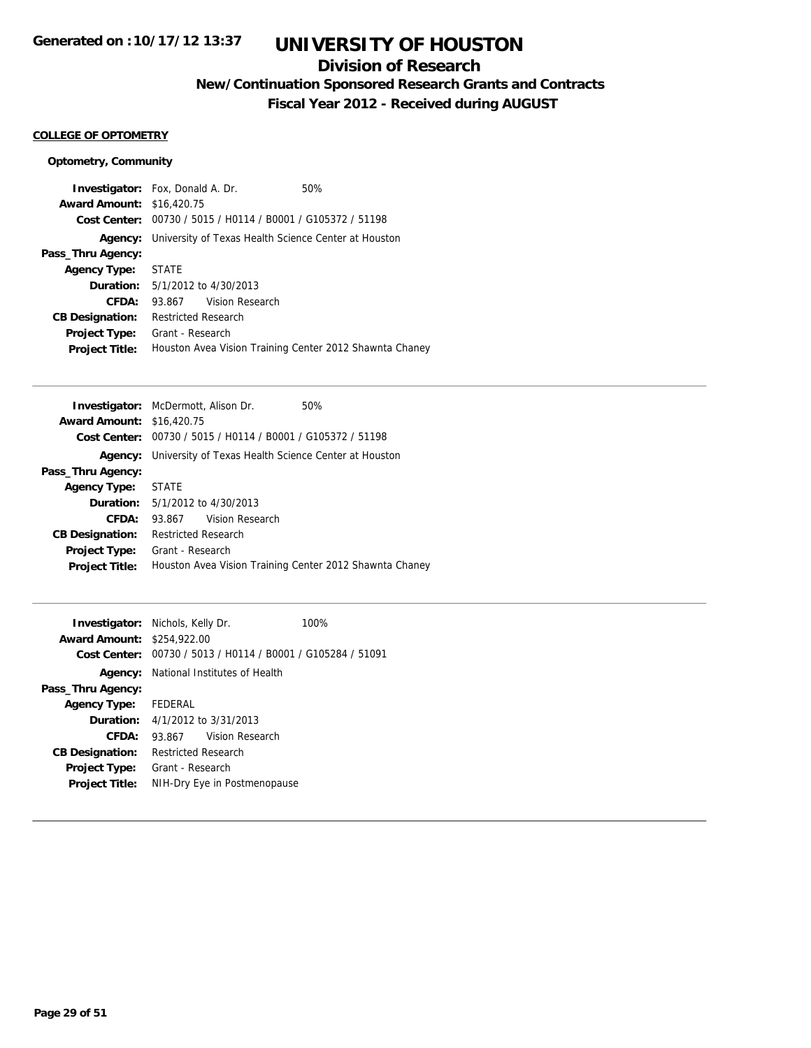## **Division of Research**

**New/Continuation Sponsored Research Grants and Contracts**

**Fiscal Year 2012 - Received during AUGUST**

#### **COLLEGE OF OPTOMETRY**

### **Optometry, Community**

|                                  | <b>Investigator:</b> Fox, Donald A. Dr.                 | 50% |
|----------------------------------|---------------------------------------------------------|-----|
| <b>Award Amount: \$16,420.75</b> |                                                         |     |
| Cost Center:                     | 00730 / 5015 / H0114 / B0001 / G105372 / 51198          |     |
| Agency:                          | University of Texas Health Science Center at Houston    |     |
| Pass_Thru Agency:                |                                                         |     |
| Agency Type: STATE               |                                                         |     |
|                                  | <b>Duration:</b> 5/1/2012 to 4/30/2013                  |     |
| CFDA:                            | 93.867 Vision Research                                  |     |
| <b>CB Designation:</b>           | <b>Restricted Research</b>                              |     |
| <b>Project Type:</b>             | Grant - Research                                        |     |
| <b>Project Title:</b>            | Houston Avea Vision Training Center 2012 Shawnta Chaney |     |

| <b>Award Amount: \$16,420.75</b><br>Cost Center: 00730 / 5015 / H0114 / B0001 / G105372 / 51198<br>University of Texas Health Science Center at Houston<br>Agency:<br>Pass_Thru Agency:<br><b>STATE</b><br><b>Agency Type:</b><br><b>Duration:</b> $5/1/2012$ to $4/30/2013$<br>CFDA:<br>93.867 Vision Research<br><b>Restricted Research</b><br><b>CB Designation:</b><br>Grant - Research<br><b>Project Type:</b><br><b>Project Title:</b> | <b>Investigator:</b> McDermott, Alison Dr.<br>50%       |
|----------------------------------------------------------------------------------------------------------------------------------------------------------------------------------------------------------------------------------------------------------------------------------------------------------------------------------------------------------------------------------------------------------------------------------------------|---------------------------------------------------------|
|                                                                                                                                                                                                                                                                                                                                                                                                                                              |                                                         |
|                                                                                                                                                                                                                                                                                                                                                                                                                                              |                                                         |
|                                                                                                                                                                                                                                                                                                                                                                                                                                              |                                                         |
|                                                                                                                                                                                                                                                                                                                                                                                                                                              |                                                         |
|                                                                                                                                                                                                                                                                                                                                                                                                                                              |                                                         |
|                                                                                                                                                                                                                                                                                                                                                                                                                                              |                                                         |
|                                                                                                                                                                                                                                                                                                                                                                                                                                              |                                                         |
|                                                                                                                                                                                                                                                                                                                                                                                                                                              |                                                         |
|                                                                                                                                                                                                                                                                                                                                                                                                                                              |                                                         |
|                                                                                                                                                                                                                                                                                                                                                                                                                                              | Houston Avea Vision Training Center 2012 Shawnta Chaney |

|                                   | <b>Investigator:</b> Nichols, Kelly Dr.                     | 100% |
|-----------------------------------|-------------------------------------------------------------|------|
| <b>Award Amount: \$254,922.00</b> |                                                             |      |
|                                   | Cost Center: 00730 / 5013 / H0114 / B0001 / G105284 / 51091 |      |
|                                   | <b>Agency:</b> National Institutes of Health                |      |
| Pass_Thru Agency:                 |                                                             |      |
| <b>Agency Type:</b>               | FEDERAL                                                     |      |
|                                   | <b>Duration:</b> $4/1/2012$ to $3/31/2013$                  |      |
| CFDA:                             | 93.867 Vision Research                                      |      |
| <b>CB Designation:</b>            | <b>Restricted Research</b>                                  |      |
| <b>Project Type:</b>              | Grant - Research                                            |      |
| <b>Project Title:</b>             | NIH-Dry Eye in Postmenopause                                |      |
|                                   |                                                             |      |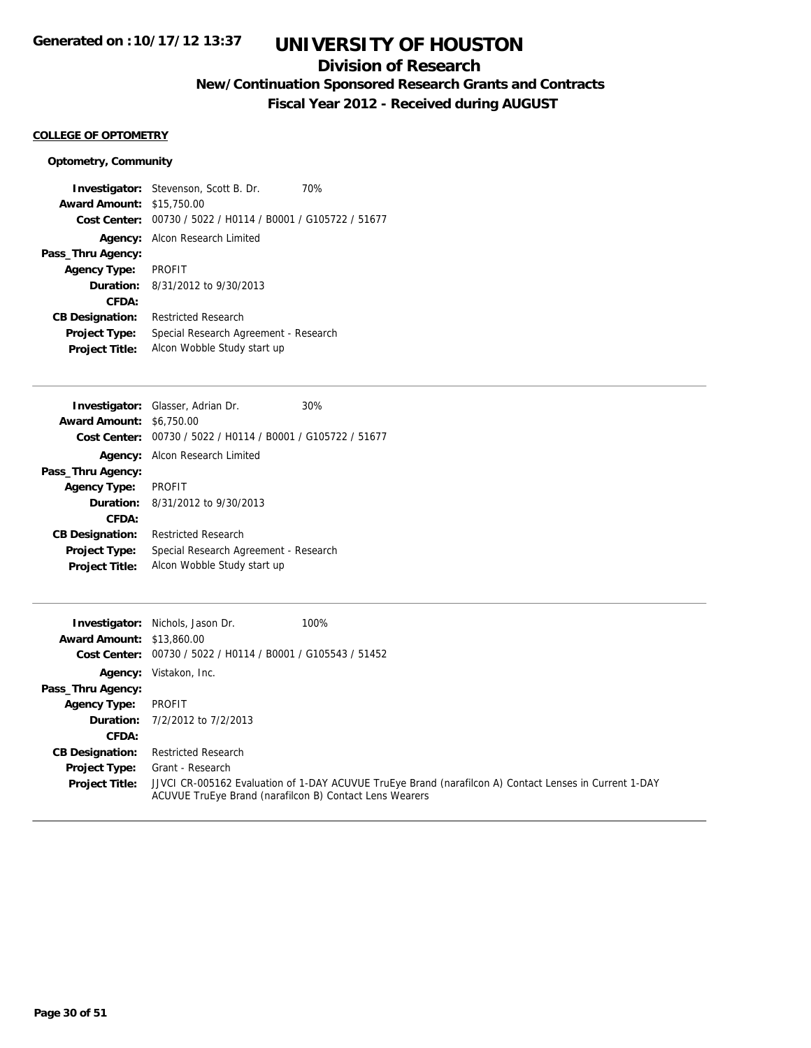## **Division of Research**

**New/Continuation Sponsored Research Grants and Contracts**

**Fiscal Year 2012 - Received during AUGUST**

#### **COLLEGE OF OPTOMETRY**

#### **Optometry, Community**

**Investigator:** Stevenson, Scott B. Dr. 70% **Award Amount:** \$15,750.00 **Cost Center:** 00730 / 5022 / H0114 / B0001 / G105722 / 51677 **Agency:** Alcon Research Limited **Pass\_Thru Agency: Agency Type:** PROFIT **Duration:** 8/31/2012 to 9/30/2013 **CFDA: CB Designation:** Restricted Research **Project Type:** Special Research Agreement - Research **Project Title:** Alcon Wobble Study start up

|                                 | <b>Investigator:</b> Glasser, Adrian Dr.                    | 30% |
|---------------------------------|-------------------------------------------------------------|-----|
| <b>Award Amount: \$6,750.00</b> |                                                             |     |
|                                 | Cost Center: 00730 / 5022 / H0114 / B0001 / G105722 / 51677 |     |
|                                 | <b>Agency:</b> Alcon Research Limited                       |     |
| Pass_Thru Agency:               |                                                             |     |
| <b>Agency Type: PROFIT</b>      |                                                             |     |
|                                 | <b>Duration:</b> $8/31/2012$ to $9/30/2013$                 |     |
| CFDA:                           |                                                             |     |
| <b>CB Designation:</b>          | <b>Restricted Research</b>                                  |     |
| <b>Project Type:</b>            | Special Research Agreement - Research                       |     |
| <b>Project Title:</b>           | Alcon Wobble Study start up                                 |     |

| Investigator:                    | Nichols, Jason Dr.                                      | 100%                                                                                                   |
|----------------------------------|---------------------------------------------------------|--------------------------------------------------------------------------------------------------------|
| <b>Award Amount: \$13,860.00</b> |                                                         |                                                                                                        |
| <b>Cost Center:</b>              | 00730 / 5022 / H0114 / B0001 / G105543 / 51452          |                                                                                                        |
| Agency:                          | Vistakon, Inc.                                          |                                                                                                        |
| Pass_Thru Agency:                |                                                         |                                                                                                        |
| <b>Agency Type:</b>              | PROFIT                                                  |                                                                                                        |
|                                  | <b>Duration:</b> 7/2/2012 to 7/2/2013                   |                                                                                                        |
| CFDA:                            |                                                         |                                                                                                        |
| <b>CB Designation:</b>           | <b>Restricted Research</b>                              |                                                                                                        |
| <b>Project Type:</b>             | Grant - Research                                        |                                                                                                        |
| <b>Project Title:</b>            | ACUVUE TruEye Brand (narafilcon B) Contact Lens Wearers | JJVCI CR-005162 Evaluation of 1-DAY ACUVUE TruEye Brand (narafilcon A) Contact Lenses in Current 1-DAY |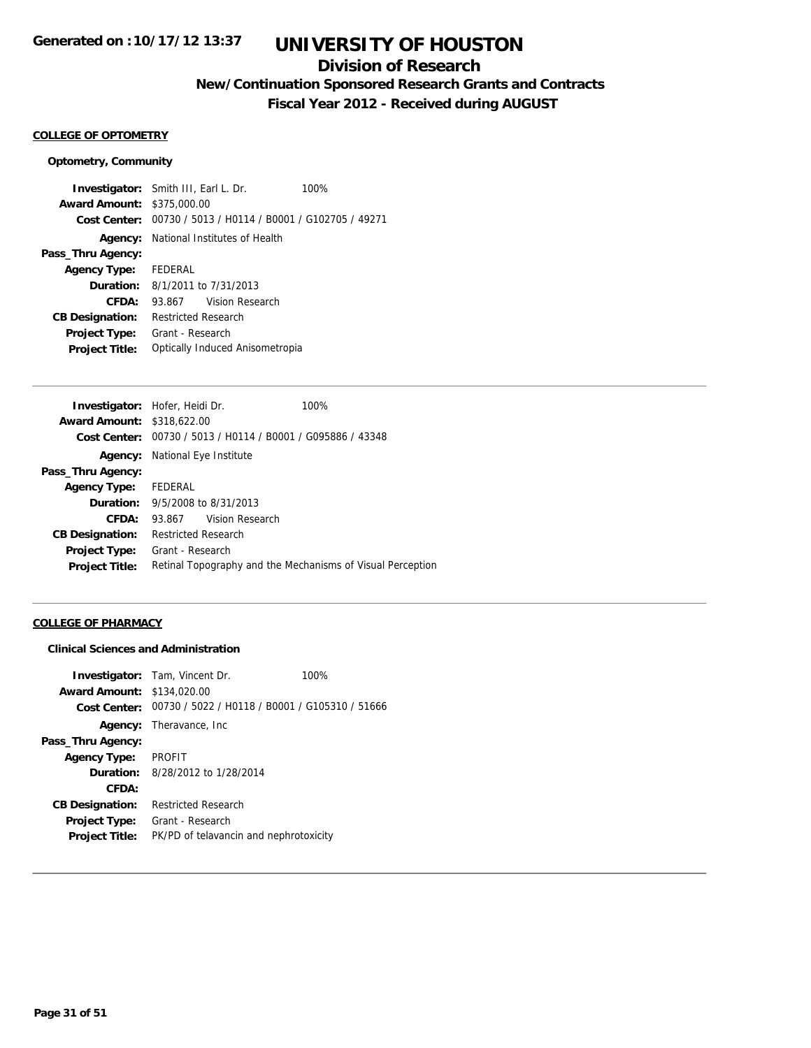## **Division of Research**

**New/Continuation Sponsored Research Grants and Contracts**

**Fiscal Year 2012 - Received during AUGUST**

#### **COLLEGE OF OPTOMETRY**

#### **Optometry, Community**

**Investigator:** Smith III, Earl L. Dr. 100% **Award Amount:** \$375,000.00 **Cost Center:** 00730 / 5013 / H0114 / B0001 / G102705 / 49271 **Agency:** National Institutes of Health **Pass\_Thru Agency: Agency Type:** FEDERAL **Duration:** 8/1/2011 to 7/31/2013 **CFDA:** 93.867 Vision Research **CB Designation:** Restricted Research **Project Type:** Grant - Research **Project Title:** Optically Induced Anisometropia

| <b>Investigator:</b> Hofer, Heidi Dr.  | 100%                                                        |
|----------------------------------------|-------------------------------------------------------------|
| <b>Award Amount: \$318,622,00</b>      |                                                             |
|                                        | Cost Center: 00730 / 5013 / H0114 / B0001 / G095886 / 43348 |
| <b>Agency:</b> National Eye Institute  |                                                             |
|                                        |                                                             |
| Agency Type: FEDERAL                   |                                                             |
| <b>Duration:</b> 9/5/2008 to 8/31/2013 |                                                             |
| 93.867 Vision Research                 |                                                             |
| <b>Restricted Research</b>             |                                                             |
| Grant - Research                       |                                                             |
|                                        | Retinal Topography and the Mechanisms of Visual Perception  |
|                                        |                                                             |

#### **COLLEGE OF PHARMACY**

#### **Clinical Sciences and Administration**

|                                   | <b>Investigator:</b> Tam, Vincent Dr.                       | 100% |
|-----------------------------------|-------------------------------------------------------------|------|
| <b>Award Amount: \$134,020.00</b> |                                                             |      |
|                                   | Cost Center: 00730 / 5022 / H0118 / B0001 / G105310 / 51666 |      |
| Agency:                           | Theravance, Inc                                             |      |
| Pass_Thru Agency:                 |                                                             |      |
| <b>Agency Type:</b>               | <b>PROFIT</b>                                               |      |
| <b>Duration:</b>                  | 8/28/2012 to 1/28/2014                                      |      |
| CFDA:                             |                                                             |      |
| <b>CB Designation:</b>            | <b>Restricted Research</b>                                  |      |
| <b>Project Type:</b>              | Grant - Research                                            |      |
| <b>Project Title:</b>             | PK/PD of telavancin and nephrotoxicity                      |      |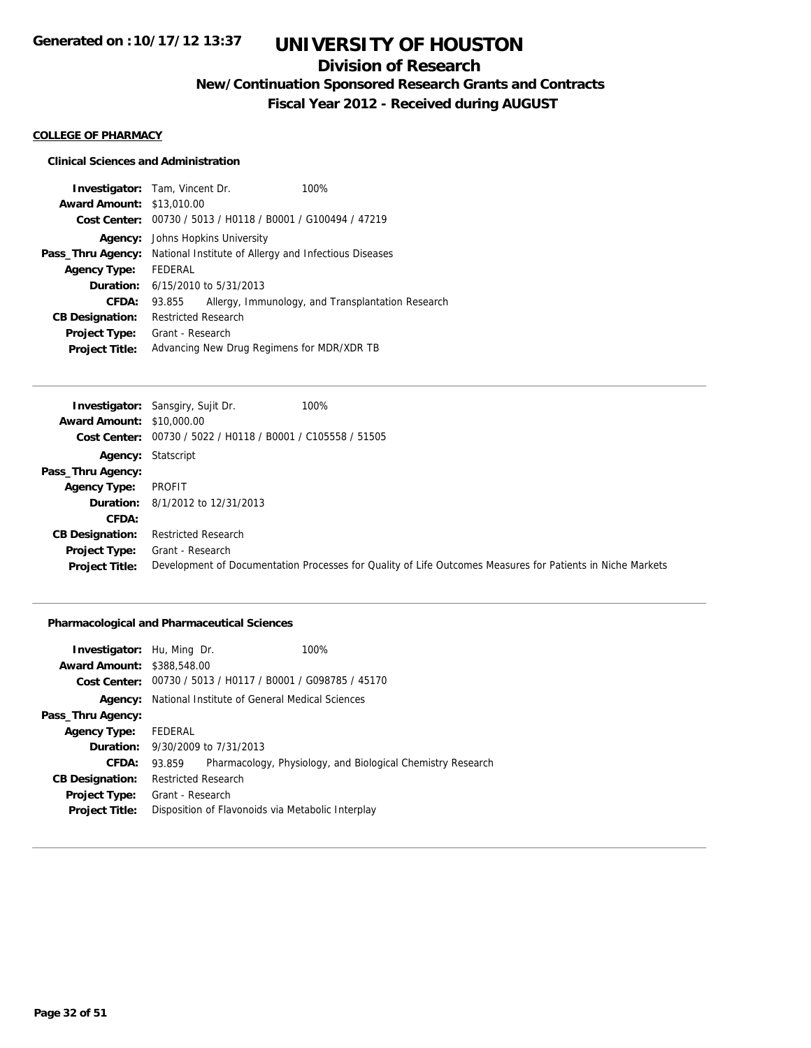## **Division of Research**

**New/Continuation Sponsored Research Grants and Contracts**

**Fiscal Year 2012 - Received during AUGUST**

#### **COLLEGE OF PHARMACY**

#### **Clinical Sciences and Administration**

|         |                                  | 100%                                                                                                                                                                                                                                                                                                                                     |
|---------|----------------------------------|------------------------------------------------------------------------------------------------------------------------------------------------------------------------------------------------------------------------------------------------------------------------------------------------------------------------------------------|
|         |                                  |                                                                                                                                                                                                                                                                                                                                          |
|         |                                  |                                                                                                                                                                                                                                                                                                                                          |
|         |                                  |                                                                                                                                                                                                                                                                                                                                          |
|         |                                  |                                                                                                                                                                                                                                                                                                                                          |
| FEDERAL |                                  |                                                                                                                                                                                                                                                                                                                                          |
|         |                                  |                                                                                                                                                                                                                                                                                                                                          |
| 93.855  |                                  | Allergy, Immunology, and Transplantation Research                                                                                                                                                                                                                                                                                        |
|         |                                  |                                                                                                                                                                                                                                                                                                                                          |
|         |                                  |                                                                                                                                                                                                                                                                                                                                          |
|         |                                  |                                                                                                                                                                                                                                                                                                                                          |
|         | <b>Award Amount: \$13,010.00</b> | <b>Investigator:</b> Tam, Vincent Dr.<br>Cost Center: 00730 / 5013 / H0118 / B0001 / G100494 / 47219<br>Johns Hopkins University<br>National Institute of Allergy and Infectious Diseases<br><b>Duration:</b> $6/15/2010$ to $5/31/2013$<br><b>Restricted Research</b><br>Grant - Research<br>Advancing New Drug Regimens for MDR/XDR TB |

|                                  | <b>Investigator:</b> Sansgiry, Sujit Dr.                    | 100%                                                                                                       |
|----------------------------------|-------------------------------------------------------------|------------------------------------------------------------------------------------------------------------|
| <b>Award Amount: \$10,000.00</b> |                                                             |                                                                                                            |
|                                  | Cost Center: 00730 / 5022 / H0118 / B0001 / C105558 / 51505 |                                                                                                            |
|                                  | <b>Agency: Statscript</b>                                   |                                                                                                            |
| Pass_Thru Agency:                |                                                             |                                                                                                            |
| <b>Agency Type:</b>              | PROFIT                                                      |                                                                                                            |
|                                  | <b>Duration:</b> 8/1/2012 to 12/31/2013                     |                                                                                                            |
| CFDA:                            |                                                             |                                                                                                            |
| <b>CB Designation:</b>           | <b>Restricted Research</b>                                  |                                                                                                            |
| Project Type:                    | Grant - Research                                            |                                                                                                            |
| <b>Project Title:</b>            |                                                             | Development of Documentation Processes for Quality of Life Outcomes Measures for Patients in Niche Markets |

### **Pharmacological and Pharmaceutical Sciences**

| <b>Investigator:</b> Hu, Ming Dr. |                                         | 100%                                                          |
|-----------------------------------|-----------------------------------------|---------------------------------------------------------------|
| <b>Award Amount: \$388,548.00</b> |                                         |                                                               |
|                                   |                                         | Cost Center: 00730 / 5013 / H0117 / B0001 / G098785 / 45170   |
|                                   |                                         | <b>Agency:</b> National Institute of General Medical Sciences |
| Pass_Thru Agency:                 |                                         |                                                               |
| <b>Agency Type:</b>               | FEDERAL                                 |                                                               |
|                                   | <b>Duration:</b> 9/30/2009 to 7/31/2013 |                                                               |
| CFDA:                             | 93.859                                  | Pharmacology, Physiology, and Biological Chemistry Research   |
| <b>CB Designation:</b>            | <b>Restricted Research</b>              |                                                               |
| Project Type:                     | Grant - Research                        |                                                               |
| <b>Project Title:</b>             |                                         | Disposition of Flavonoids via Metabolic Interplay             |
|                                   |                                         |                                                               |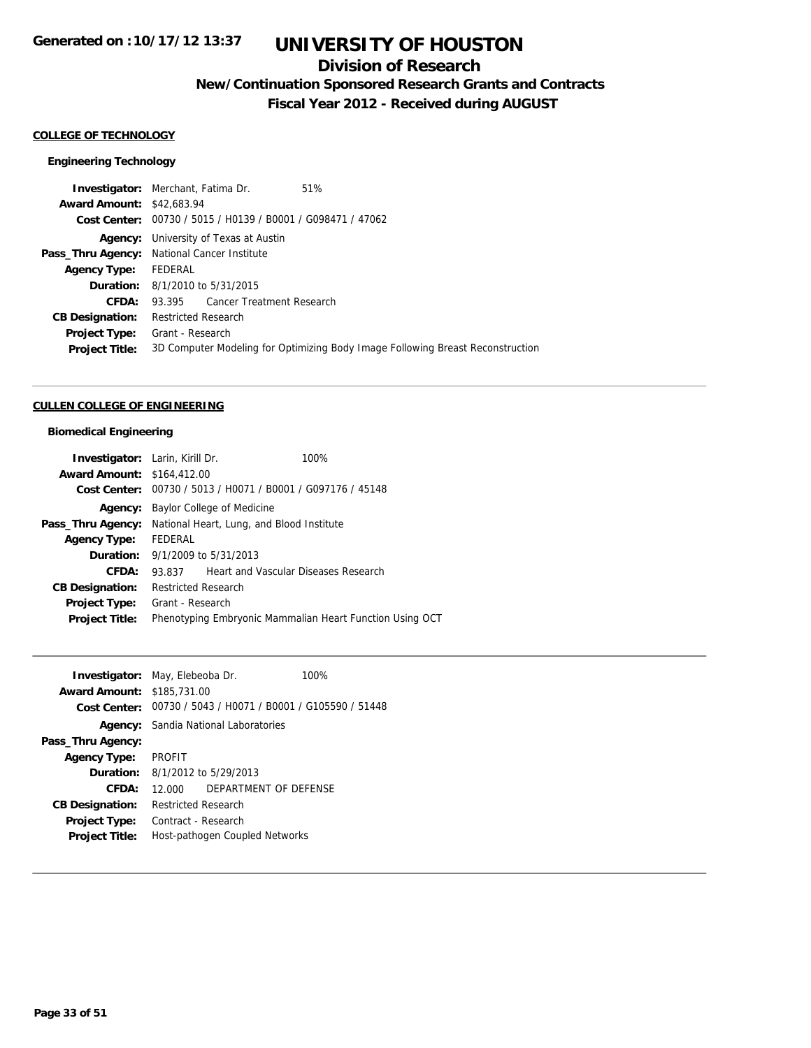## **Division of Research**

**New/Continuation Sponsored Research Grants and Contracts**

**Fiscal Year 2012 - Received during AUGUST**

#### **COLLEGE OF TECHNOLOGY**

### **Engineering Technology**

|                                  | <b>Investigator:</b> Merchant, Fatima Dr.                   | 51%                                                                            |
|----------------------------------|-------------------------------------------------------------|--------------------------------------------------------------------------------|
| <b>Award Amount: \$42,683.94</b> |                                                             |                                                                                |
|                                  | Cost Center: 00730 / 5015 / H0139 / B0001 / G098471 / 47062 |                                                                                |
| Agency:                          | University of Texas at Austin                               |                                                                                |
|                                  | Pass_Thru Agency: National Cancer Institute                 |                                                                                |
| <b>Agency Type:</b>              | FEDERAL                                                     |                                                                                |
|                                  | <b>Duration:</b> 8/1/2010 to 5/31/2015                      |                                                                                |
| CFDA:                            | 93.395 Cancer Treatment Research                            |                                                                                |
| <b>CB Designation:</b>           | <b>Restricted Research</b>                                  |                                                                                |
| <b>Project Type:</b>             | Grant - Research                                            |                                                                                |
| <b>Project Title:</b>            |                                                             | 3D Computer Modeling for Optimizing Body Image Following Breast Reconstruction |
|                                  |                                                             |                                                                                |

## **CULLEN COLLEGE OF ENGINEERING**

### **Biomedical Engineering**

| <b>Investigator:</b> Larin, Kirill Dr. |                            |                                                | 100%                                                     |
|----------------------------------------|----------------------------|------------------------------------------------|----------------------------------------------------------|
| <b>Award Amount: \$164,412.00</b>      |                            |                                                |                                                          |
| Cost Center:                           |                            | 00730 / 5013 / H0071 / B0001 / G097176 / 45148 |                                                          |
| Agency:                                |                            | Baylor College of Medicine                     |                                                          |
| Pass_Thru Agency:                      |                            | National Heart, Lung, and Blood Institute      |                                                          |
| <b>Agency Type:</b>                    | FEDERAL                    |                                                |                                                          |
| Duration:                              |                            | 9/1/2009 to 5/31/2013                          |                                                          |
| CFDA:                                  | 93.837                     |                                                | Heart and Vascular Diseases Research                     |
| <b>CB Designation:</b>                 | <b>Restricted Research</b> |                                                |                                                          |
| Project Type:                          | Grant - Research           |                                                |                                                          |
| <b>Project Title:</b>                  |                            |                                                | Phenotyping Embryonic Mammalian Heart Function Using OCT |

| <b>Investigator:</b> May, Elebeoba Dr. |                            |                                                             | 100% |
|----------------------------------------|----------------------------|-------------------------------------------------------------|------|
| <b>Award Amount: \$185,731.00</b>      |                            |                                                             |      |
|                                        |                            | Cost Center: 00730 / 5043 / H0071 / B0001 / G105590 / 51448 |      |
|                                        |                            | <b>Agency:</b> Sandia National Laboratories                 |      |
| Pass_Thru Agency:                      |                            |                                                             |      |
| <b>Agency Type:</b>                    | <b>PROFIT</b>              |                                                             |      |
| <b>Duration:</b>                       |                            | 8/1/2012 to 5/29/2013                                       |      |
| CFDA:                                  | 12.000                     | DEPARTMENT OF DEFENSE                                       |      |
| <b>CB Designation:</b>                 | <b>Restricted Research</b> |                                                             |      |
| <b>Project Type:</b>                   | Contract - Research        |                                                             |      |
| <b>Project Title:</b>                  |                            | Host-pathogen Coupled Networks                              |      |
|                                        |                            |                                                             |      |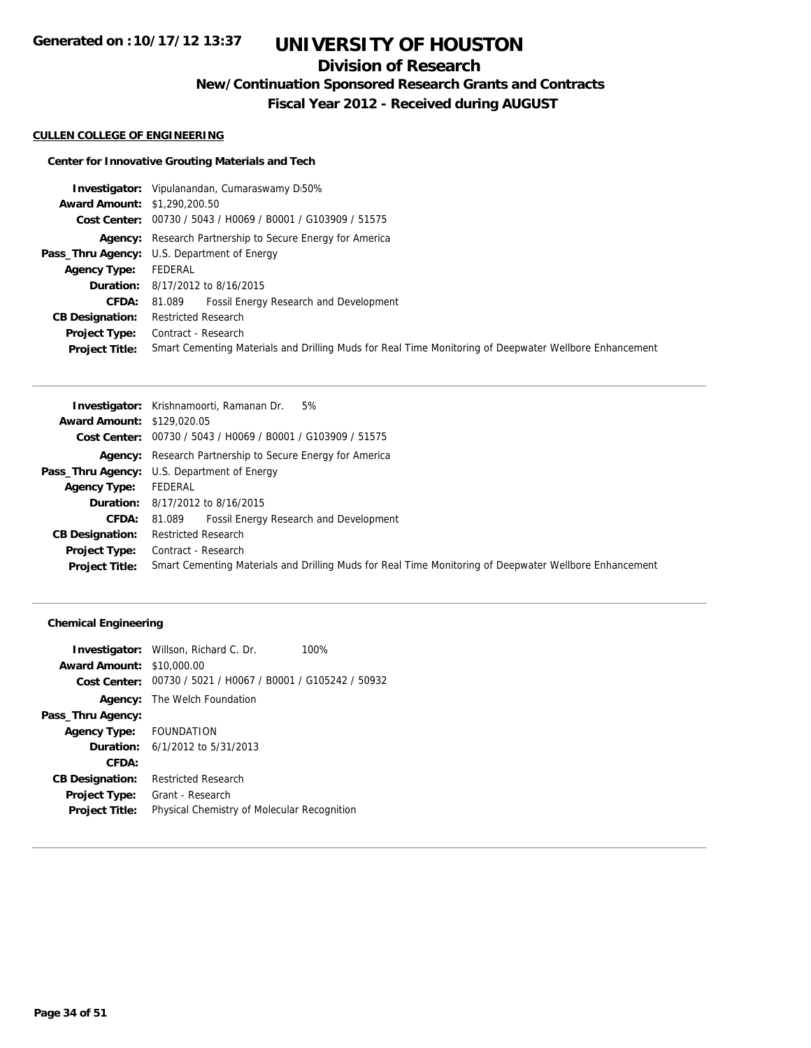## **Division of Research**

**New/Continuation Sponsored Research Grants and Contracts**

**Fiscal Year 2012 - Received during AUGUST**

#### **CULLEN COLLEGE OF ENGINEERING**

### **Center for Innovative Grouting Materials and Tech**

|                                     | <b>Investigator:</b> Vipulanandan, Cumaraswamy D50%                                                    |
|-------------------------------------|--------------------------------------------------------------------------------------------------------|
| <b>Award Amount: \$1,290,200.50</b> |                                                                                                        |
|                                     | Cost Center: 00730 / 5043 / H0069 / B0001 / G103909 / 51575                                            |
|                                     | Agency: Research Partnership to Secure Energy for America                                              |
|                                     | <b>Pass_Thru Agency:</b> U.S. Department of Energy                                                     |
| <b>Agency Type:</b>                 | FEDERAL                                                                                                |
|                                     | <b>Duration:</b> 8/17/2012 to 8/16/2015                                                                |
| CFDA:                               | 81.089 Fossil Energy Research and Development                                                          |
| <b>CB Designation:</b>              | <b>Restricted Research</b>                                                                             |
|                                     | <b>Project Type:</b> Contract - Research                                                               |
| <b>Project Title:</b>               | Smart Cementing Materials and Drilling Muds for Real Time Monitoring of Deepwater Wellbore Enhancement |

| <b>Award Amount: \$129,020.05</b><br>Cost Center: 00730 / 5043 / H0069 / B0001 / G103909 / 51575<br><b>Agency:</b> Research Partnership to Secure Energy for America<br><b>Pass_Thru Agency:</b> U.S. Department of Energy<br>FEDERAL<br><b>Agency Type:</b><br><b>Duration:</b> 8/17/2012 to 8/16/2015<br>Fossil Energy Research and Development<br><b>CFDA:</b><br>81.089<br><b>Restricted Research</b><br><b>CB Designation:</b><br>Contract - Research<br>Project Type: |                       | <b>Investigator:</b> Krishnamoorti, Ramanan Dr.<br>5%                                                  |
|-----------------------------------------------------------------------------------------------------------------------------------------------------------------------------------------------------------------------------------------------------------------------------------------------------------------------------------------------------------------------------------------------------------------------------------------------------------------------------|-----------------------|--------------------------------------------------------------------------------------------------------|
|                                                                                                                                                                                                                                                                                                                                                                                                                                                                             |                       |                                                                                                        |
|                                                                                                                                                                                                                                                                                                                                                                                                                                                                             |                       |                                                                                                        |
|                                                                                                                                                                                                                                                                                                                                                                                                                                                                             |                       |                                                                                                        |
|                                                                                                                                                                                                                                                                                                                                                                                                                                                                             |                       |                                                                                                        |
|                                                                                                                                                                                                                                                                                                                                                                                                                                                                             |                       |                                                                                                        |
|                                                                                                                                                                                                                                                                                                                                                                                                                                                                             |                       |                                                                                                        |
|                                                                                                                                                                                                                                                                                                                                                                                                                                                                             |                       |                                                                                                        |
|                                                                                                                                                                                                                                                                                                                                                                                                                                                                             |                       |                                                                                                        |
|                                                                                                                                                                                                                                                                                                                                                                                                                                                                             |                       |                                                                                                        |
|                                                                                                                                                                                                                                                                                                                                                                                                                                                                             | <b>Project Title:</b> | Smart Cementing Materials and Drilling Muds for Real Time Monitoring of Deepwater Wellbore Enhancement |

### **Chemical Engineering**

|                                  | <b>Investigator:</b> Willson, Richard C. Dr.                | 100% |
|----------------------------------|-------------------------------------------------------------|------|
| <b>Award Amount: \$10,000.00</b> |                                                             |      |
|                                  | Cost Center: 00730 / 5021 / H0067 / B0001 / G105242 / 50932 |      |
|                                  | <b>Agency:</b> The Welch Foundation                         |      |
| Pass_Thru Agency:                |                                                             |      |
| Agency Type: FOUNDATION          |                                                             |      |
|                                  | <b>Duration:</b> $6/1/2012$ to $5/31/2013$                  |      |
| CFDA:                            |                                                             |      |
| <b>CB Designation:</b>           | <b>Restricted Research</b>                                  |      |
| <b>Project Type:</b>             | Grant - Research                                            |      |
| <b>Project Title:</b>            | Physical Chemistry of Molecular Recognition                 |      |
|                                  |                                                             |      |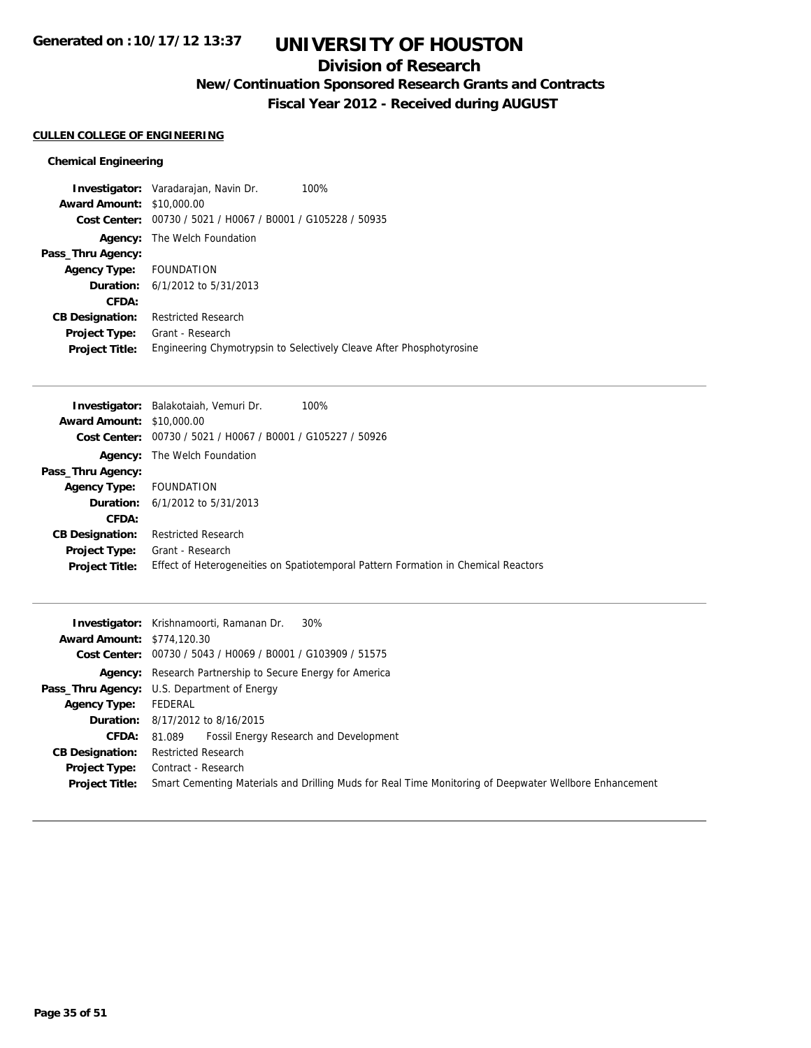## **Division of Research**

**New/Continuation Sponsored Research Grants and Contracts**

**Fiscal Year 2012 - Received during AUGUST**

### **CULLEN COLLEGE OF ENGINEERING**

### **Chemical Engineering**

|                         | <b>Investigator:</b> Varadarajan, Navin Dr.                 | 100%                                                                 |
|-------------------------|-------------------------------------------------------------|----------------------------------------------------------------------|
| <b>Award Amount:</b>    | \$10,000.00                                                 |                                                                      |
|                         | Cost Center: 00730 / 5021 / H0067 / B0001 / G105228 / 50935 |                                                                      |
| Agency:                 | The Welch Foundation                                        |                                                                      |
| Pass_Thru Agency:       |                                                             |                                                                      |
| Agency Type: FOUNDATION |                                                             |                                                                      |
|                         | <b>Duration:</b> $6/1/2012$ to $5/31/2013$                  |                                                                      |
| CFDA:                   |                                                             |                                                                      |
| <b>CB Designation:</b>  | <b>Restricted Research</b>                                  |                                                                      |
| <b>Project Type:</b>    | Grant - Research                                            |                                                                      |
| <b>Project Title:</b>   |                                                             | Engineering Chymotrypsin to Selectively Cleave After Phosphotyrosine |

| Investigator: Balakotaiah, Vemuri Dr.                       | 100%                                                                               |
|-------------------------------------------------------------|------------------------------------------------------------------------------------|
| <b>Award Amount: \$10,000.00</b>                            |                                                                                    |
| Cost Center: 00730 / 5021 / H0067 / B0001 / G105227 / 50926 |                                                                                    |
| <b>Agency:</b> The Welch Foundation                         |                                                                                    |
|                                                             |                                                                                    |
| FOUNDATION                                                  |                                                                                    |
| <b>Duration:</b> $6/1/2012$ to $5/31/2013$                  |                                                                                    |
|                                                             |                                                                                    |
| <b>Restricted Research</b>                                  |                                                                                    |
| Grant - Research                                            |                                                                                    |
|                                                             | Effect of Heterogeneities on Spatiotemporal Pattern Formation in Chemical Reactors |
|                                                             |                                                                                    |

|                                   | <b>Investigator:</b> Krishnamoorti, Ramanan Dr.<br>30%                                                 |
|-----------------------------------|--------------------------------------------------------------------------------------------------------|
| <b>Award Amount: \$774,120.30</b> |                                                                                                        |
|                                   | Cost Center: 00730 / 5043 / H0069 / B0001 / G103909 / 51575                                            |
|                                   | <b>Agency:</b> Research Partnership to Secure Energy for America                                       |
|                                   | Pass_Thru Agency: U.S. Department of Energy                                                            |
| <b>Agency Type:</b>               | FEDERAL                                                                                                |
|                                   | <b>Duration:</b> 8/17/2012 to 8/16/2015                                                                |
| <b>CFDA:</b>                      | Fossil Energy Research and Development<br>81.089                                                       |
| <b>CB Designation:</b>            | <b>Restricted Research</b>                                                                             |
| Project Type:                     | Contract - Research                                                                                    |
| <b>Project Title:</b>             | Smart Cementing Materials and Drilling Muds for Real Time Monitoring of Deepwater Wellbore Enhancement |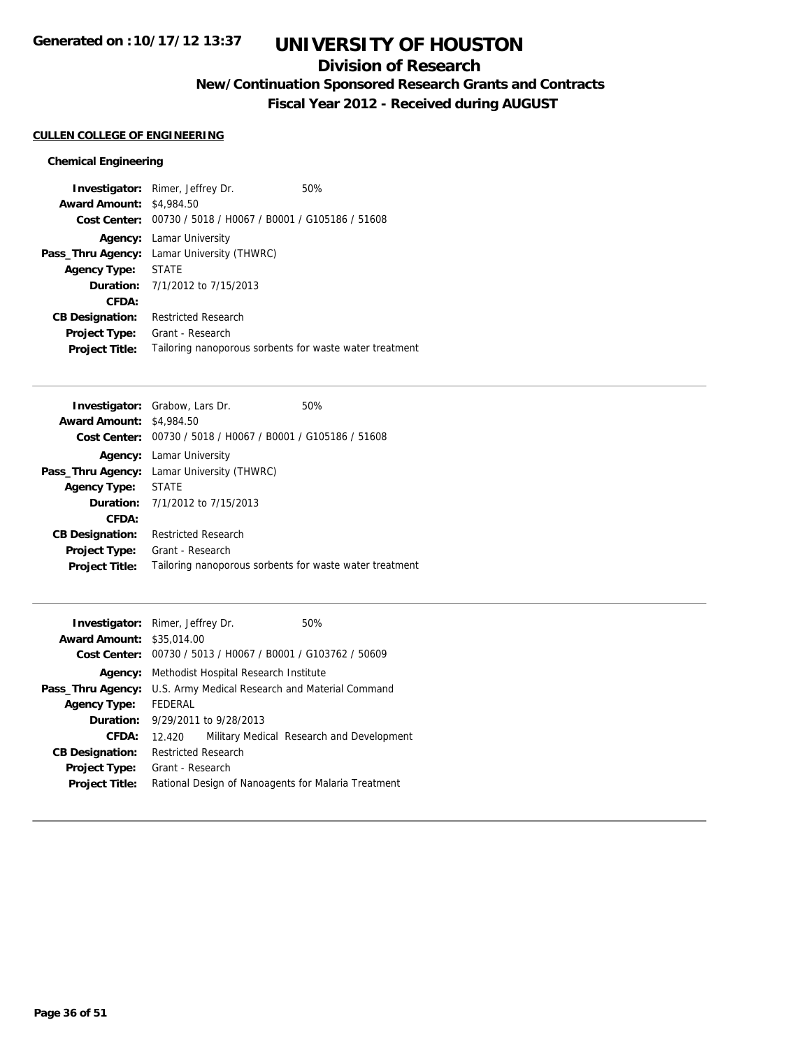## **Division of Research**

**New/Continuation Sponsored Research Grants and Contracts**

**Fiscal Year 2012 - Received during AUGUST**

### **CULLEN COLLEGE OF ENGINEERING**

### **Chemical Engineering**

|                                 | <b>Investigator:</b> Rimer, Jeffrey Dr.                     | 50% |
|---------------------------------|-------------------------------------------------------------|-----|
| <b>Award Amount: \$4,984.50</b> |                                                             |     |
|                                 | Cost Center: 00730 / 5018 / H0067 / B0001 / G105186 / 51608 |     |
|                                 | <b>Agency:</b> Lamar University                             |     |
|                                 | <b>Pass_Thru Agency:</b> Lamar University (THWRC)           |     |
| <b>Agency Type:</b>             | STATE                                                       |     |
|                                 | <b>Duration:</b> 7/1/2012 to 7/15/2013                      |     |
| CFDA:                           |                                                             |     |
| <b>CB Designation:</b>          | <b>Restricted Research</b>                                  |     |
| <b>Project Type:</b>            | Grant - Research                                            |     |
| <b>Project Title:</b>           | Tailoring nanoporous sorbents for waste water treatment     |     |

|                                 | <b>Investigator:</b> Grabow, Lars Dr.                       | 50% |
|---------------------------------|-------------------------------------------------------------|-----|
| <b>Award Amount: \$4,984.50</b> |                                                             |     |
|                                 | Cost Center: 00730 / 5018 / H0067 / B0001 / G105186 / 51608 |     |
|                                 | <b>Agency:</b> Lamar University                             |     |
|                                 | <b>Pass_Thru Agency:</b> Lamar University (THWRC)           |     |
| Agency Type:                    | <b>STATE</b>                                                |     |
|                                 | <b>Duration:</b> $7/1/2012$ to $7/15/2013$                  |     |
| CFDA:                           |                                                             |     |
| <b>CB Designation:</b>          | Restricted Research                                         |     |
| <b>Project Type:</b>            | Grant - Research                                            |     |
| <b>Project Title:</b>           | Tailoring nanoporous sorbents for waste water treatment     |     |
|                                 |                                                             |     |

|                                  |  | 50%                                                                                                                                                                                                                                                                                                                                |
|----------------------------------|--|------------------------------------------------------------------------------------------------------------------------------------------------------------------------------------------------------------------------------------------------------------------------------------------------------------------------------------|
| <b>Award Amount: \$35,014.00</b> |  |                                                                                                                                                                                                                                                                                                                                    |
|                                  |  |                                                                                                                                                                                                                                                                                                                                    |
|                                  |  |                                                                                                                                                                                                                                                                                                                                    |
|                                  |  |                                                                                                                                                                                                                                                                                                                                    |
| FEDERAL                          |  |                                                                                                                                                                                                                                                                                                                                    |
|                                  |  |                                                                                                                                                                                                                                                                                                                                    |
| 12.420                           |  | Military Medical Research and Development                                                                                                                                                                                                                                                                                          |
|                                  |  |                                                                                                                                                                                                                                                                                                                                    |
| Grant - Research                 |  |                                                                                                                                                                                                                                                                                                                                    |
|                                  |  |                                                                                                                                                                                                                                                                                                                                    |
|                                  |  | <b>Investigator:</b> Rimer, Jeffrey Dr.<br>Cost Center: 00730 / 5013 / H0067 / B0001 / G103762 / 50609<br>Methodist Hospital Research Institute<br>U.S. Army Medical Research and Material Command<br><b>Duration:</b> 9/29/2011 to 9/28/2013<br><b>Restricted Research</b><br>Rational Design of Nanoagents for Malaria Treatment |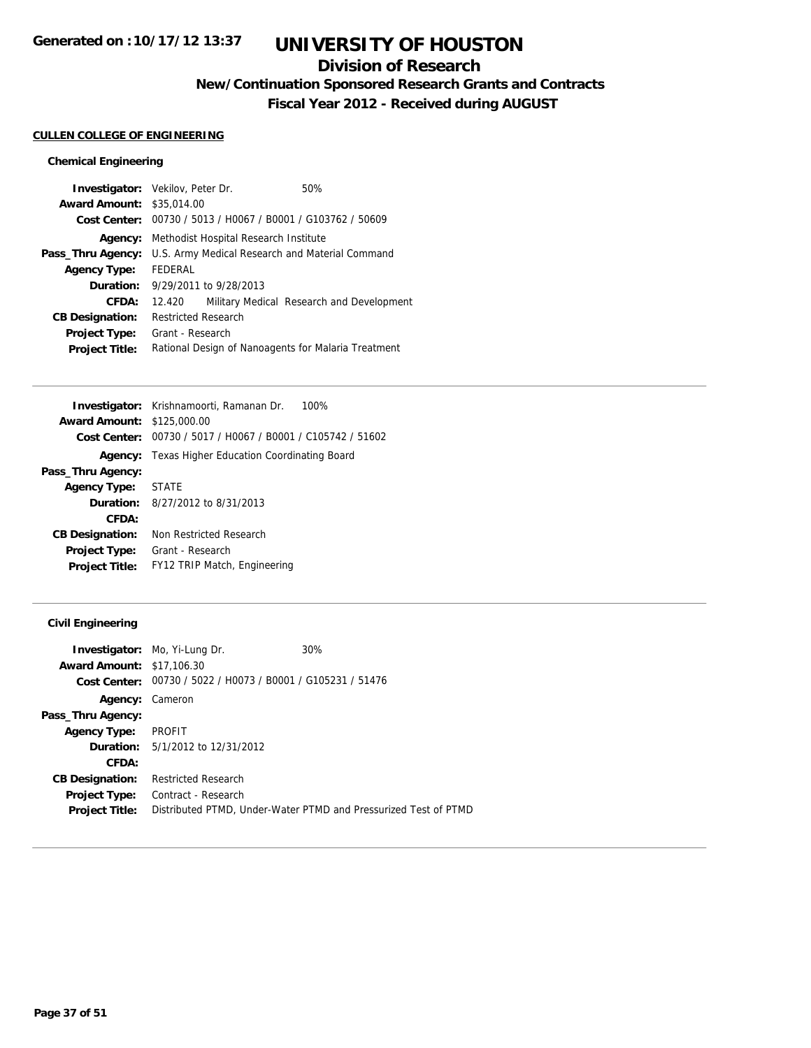## **Division of Research**

**New/Continuation Sponsored Research Grants and Contracts**

**Fiscal Year 2012 - Received during AUGUST**

### **CULLEN COLLEGE OF ENGINEERING**

### **Chemical Engineering**

|                                                     |  | 50%                                                                                                                                                                                                                                                 |
|-----------------------------------------------------|--|-----------------------------------------------------------------------------------------------------------------------------------------------------------------------------------------------------------------------------------------------------|
|                                                     |  |                                                                                                                                                                                                                                                     |
|                                                     |  |                                                                                                                                                                                                                                                     |
|                                                     |  |                                                                                                                                                                                                                                                     |
|                                                     |  |                                                                                                                                                                                                                                                     |
| <b>FFDFRAL</b>                                      |  |                                                                                                                                                                                                                                                     |
|                                                     |  |                                                                                                                                                                                                                                                     |
| 12.420                                              |  | Military Medical Research and Development                                                                                                                                                                                                           |
| <b>Restricted Research</b>                          |  |                                                                                                                                                                                                                                                     |
| Grant - Research                                    |  |                                                                                                                                                                                                                                                     |
| Rational Design of Nanoagents for Malaria Treatment |  |                                                                                                                                                                                                                                                     |
|                                                     |  | <b>Investigator:</b> Vekilov, Peter Dr.<br><b>Award Amount: \$35,014.00</b><br>00730 / 5013 / H0067 / B0001 / G103762 / 50609<br>Methodist Hospital Research Institute<br>U.S. Army Medical Research and Material Command<br>9/29/2011 to 9/28/2013 |

|                        | Investigator: Krishnamoorti, Ramanan Dr.<br>100%            |
|------------------------|-------------------------------------------------------------|
| <b>Award Amount:</b>   | \$125,000.00                                                |
|                        | Cost Center: 00730 / 5017 / H0067 / B0001 / C105742 / 51602 |
|                        | <b>Agency:</b> Texas Higher Education Coordinating Board    |
| Pass_Thru Agency:      |                                                             |
| Agency Type: STATE     |                                                             |
|                        | <b>Duration:</b> $8/27/2012$ to $8/31/2013$                 |
| CFDA:                  |                                                             |
| <b>CB Designation:</b> | Non Restricted Research                                     |
| <b>Project Type:</b>   | Grant - Research                                            |
| <b>Project Title:</b>  | FY12 TRIP Match, Engineering                                |
|                        |                                                             |

### **Civil Engineering**

|                                  | Investigator: Mo, Yi-Lung Dr.                               | 30%                                                             |
|----------------------------------|-------------------------------------------------------------|-----------------------------------------------------------------|
| <b>Award Amount: \$17,106.30</b> |                                                             |                                                                 |
|                                  | Cost Center: 00730 / 5022 / H0073 / B0001 / G105231 / 51476 |                                                                 |
| Agency:                          | Cameron                                                     |                                                                 |
| Pass_Thru Agency:                |                                                             |                                                                 |
| <b>Agency Type:</b>              | <b>PROFIT</b>                                               |                                                                 |
|                                  | <b>Duration:</b> 5/1/2012 to 12/31/2012                     |                                                                 |
| CFDA:                            |                                                             |                                                                 |
| <b>CB Designation:</b>           | <b>Restricted Research</b>                                  |                                                                 |
| <b>Project Type:</b>             | Contract - Research                                         |                                                                 |
| <b>Project Title:</b>            |                                                             | Distributed PTMD, Under-Water PTMD and Pressurized Test of PTMD |
|                                  |                                                             |                                                                 |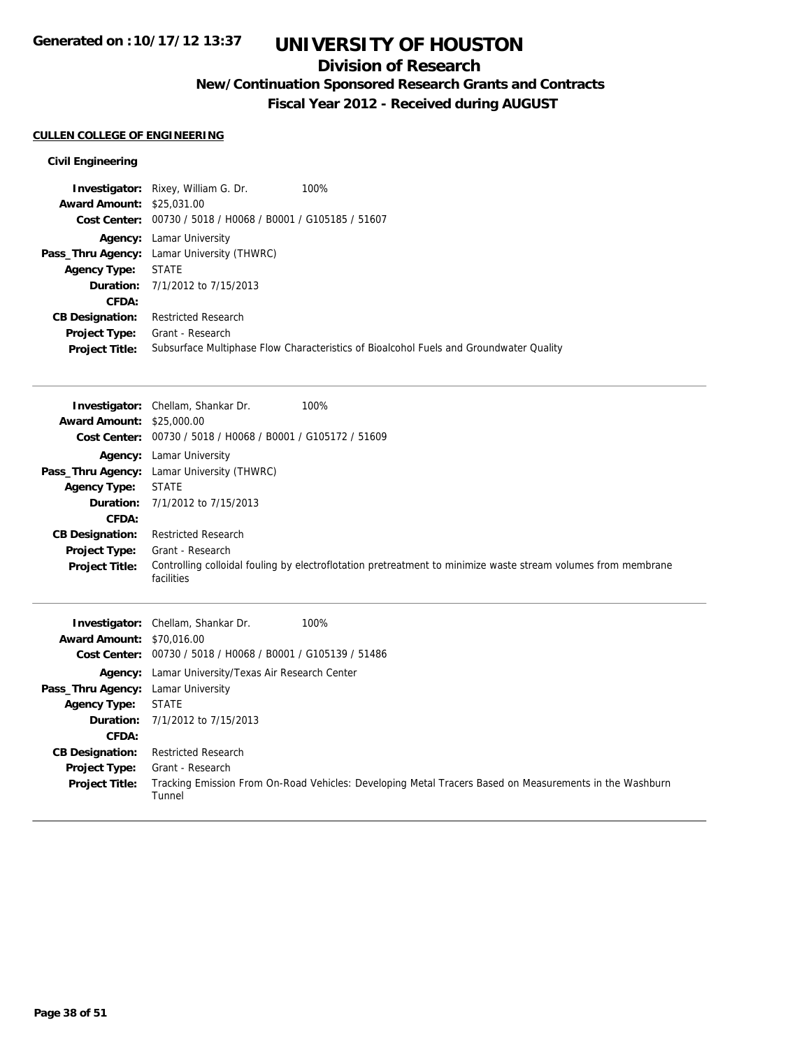## **Division of Research**

**New/Continuation Sponsored Research Grants and Contracts**

**Fiscal Year 2012 - Received during AUGUST**

### **CULLEN COLLEGE OF ENGINEERING**

**Pass\_Thru Agency:** Lamar University **Agency Type:** STATE

**CB Designation:** Restricted Research **Project Type:** Grant - Research

**CFDA:**

**Duration:** 7/1/2012 to 7/15/2013

Tunnel

#### **Civil Engineering**

|                                  | <b>Investigator:</b> Rixey, William G. Dr.                  | 100%                                                                                   |
|----------------------------------|-------------------------------------------------------------|----------------------------------------------------------------------------------------|
| <b>Award Amount: \$25,031,00</b> |                                                             |                                                                                        |
|                                  | Cost Center: 00730 / 5018 / H0068 / B0001 / G105185 / 51607 |                                                                                        |
|                                  | <b>Agency:</b> Lamar University                             |                                                                                        |
|                                  | Pass_Thru Agency: Lamar University (THWRC)                  |                                                                                        |
| <b>Agency Type:</b>              | <b>STATE</b>                                                |                                                                                        |
|                                  | <b>Duration:</b> 7/1/2012 to 7/15/2013                      |                                                                                        |
| CFDA:                            |                                                             |                                                                                        |
| <b>CB Designation:</b>           | <b>Restricted Research</b>                                  |                                                                                        |
| <b>Project Type:</b>             | Grant - Research                                            |                                                                                        |
| <b>Project Title:</b>            |                                                             | Subsurface Multiphase Flow Characteristics of Bioalcohol Fuels and Groundwater Quality |

|                                  | <b>Investigator:</b> Chellam, Shankar Dr.<br>100%                                                                           |
|----------------------------------|-----------------------------------------------------------------------------------------------------------------------------|
| <b>Award Amount: \$25,000.00</b> |                                                                                                                             |
|                                  | Cost Center: 00730 / 5018 / H0068 / B0001 / G105172 / 51609                                                                 |
|                                  | <b>Agency:</b> Lamar University                                                                                             |
|                                  | Pass_Thru Agency: Lamar University (THWRC)                                                                                  |
| Agency Type:                     | STATE                                                                                                                       |
|                                  | <b>Duration:</b> $7/1/2012$ to $7/15/2013$                                                                                  |
| <b>CFDA:</b>                     |                                                                                                                             |
| <b>CB Designation:</b>           | <b>Restricted Research</b>                                                                                                  |
| Project Type:                    | Grant - Research                                                                                                            |
| <b>Project Title:</b>            | Controlling colloidal fouling by electroflotation pretreatment to minimize waste stream volumes from membrane<br>facilities |
|                                  | <b>Investigator:</b> Chellam, Shankar Dr.<br>100%                                                                           |
| <b>Award Amount: \$70,016.00</b> |                                                                                                                             |
|                                  | Cost Center: 00730 / 5018 / H0068 / B0001 / G105139 / 51486                                                                 |
|                                  | <b>Agency:</b> Lamar University/Texas Air Research Center                                                                   |

**Project Title:** Tracking Emission From On-Road Vehicles: Developing Metal Tracers Based on Measurements in the Washburn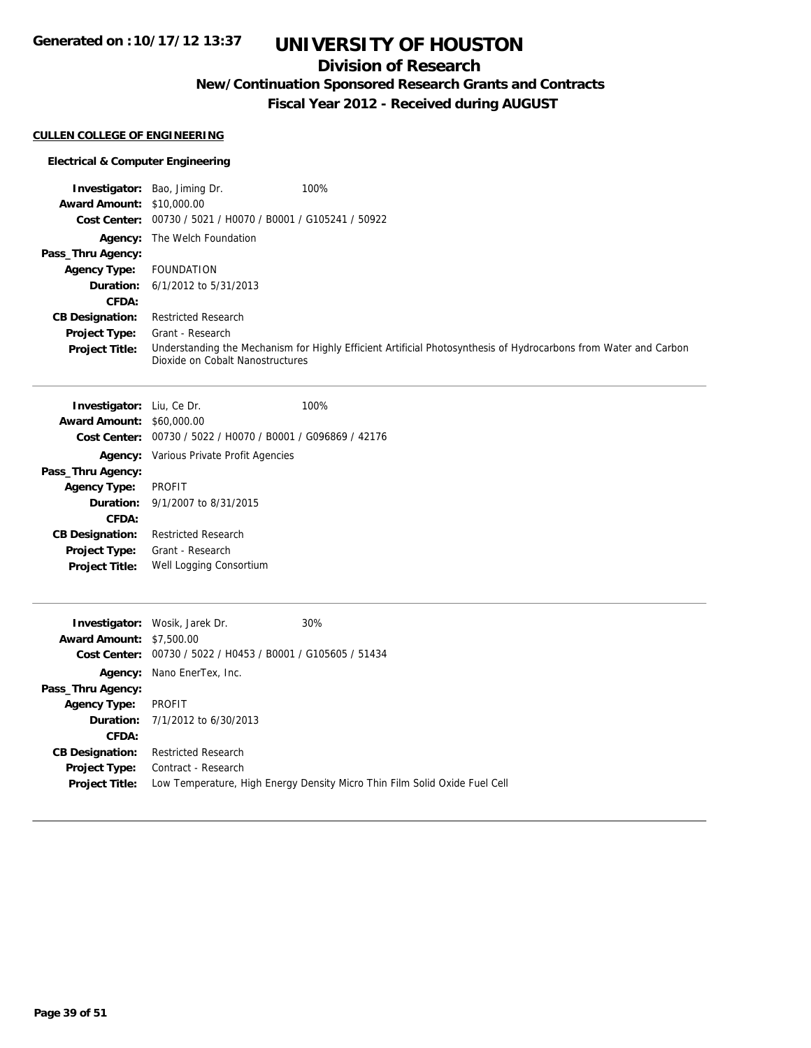## **Division of Research**

**New/Continuation Sponsored Research Grants and Contracts**

**Fiscal Year 2012 - Received during AUGUST**

### **CULLEN COLLEGE OF ENGINEERING**

### **Electrical & Computer Engineering**

|                                  | <b>Investigator:</b> Bao, Jiming Dr.                        | 100%                                                                                                             |
|----------------------------------|-------------------------------------------------------------|------------------------------------------------------------------------------------------------------------------|
| <b>Award Amount: \$10,000.00</b> |                                                             |                                                                                                                  |
|                                  | Cost Center: 00730 / 5021 / H0070 / B0001 / G105241 / 50922 |                                                                                                                  |
|                                  | <b>Agency:</b> The Welch Foundation                         |                                                                                                                  |
| Pass_Thru Agency:                |                                                             |                                                                                                                  |
| <b>Agency Type:</b>              | FOUNDATION                                                  |                                                                                                                  |
|                                  | <b>Duration:</b> $6/1/2012$ to $5/31/2013$                  |                                                                                                                  |
| CFDA:                            |                                                             |                                                                                                                  |
| <b>CB Designation:</b>           | <b>Restricted Research</b>                                  |                                                                                                                  |
| <b>Project Type:</b>             | Grant - Research                                            |                                                                                                                  |
| <b>Project Title:</b>            | Dioxide on Cobalt Nanostructures                            | Understanding the Mechanism for Highly Efficient Artificial Photosynthesis of Hydrocarbons from Water and Carbon |

| Investigator: Liu, Ce Dr.        |                                                | 100%                                                        |
|----------------------------------|------------------------------------------------|-------------------------------------------------------------|
| <b>Award Amount: \$60,000.00</b> |                                                |                                                             |
|                                  |                                                | Cost Center: 00730 / 5022 / H0070 / B0001 / G096869 / 42176 |
|                                  | <b>Agency:</b> Various Private Profit Agencies |                                                             |
| Pass_Thru Agency:                |                                                |                                                             |
| Agency Type:                     | PROFIT                                         |                                                             |
|                                  | <b>Duration:</b> 9/1/2007 to 8/31/2015         |                                                             |
| CFDA:                            |                                                |                                                             |
| <b>CB Designation:</b>           | <b>Restricted Research</b>                     |                                                             |
|                                  | <b>Project Type:</b> Grant - Research          |                                                             |
| <b>Project Title:</b>            | Well Logging Consortium                        |                                                             |
|                                  |                                                |                                                             |

|                                 | <b>Investigator:</b> Wosik, Jarek Dr.                       | 30%                                                                        |
|---------------------------------|-------------------------------------------------------------|----------------------------------------------------------------------------|
| <b>Award Amount: \$7,500.00</b> |                                                             |                                                                            |
|                                 | Cost Center: 00730 / 5022 / H0453 / B0001 / G105605 / 51434 |                                                                            |
|                                 | <b>Agency:</b> Nano EnerTex, Inc.                           |                                                                            |
| Pass_Thru Agency:               |                                                             |                                                                            |
| <b>Agency Type:</b>             | PROFIT                                                      |                                                                            |
|                                 | <b>Duration:</b> $7/1/2012$ to $6/30/2013$                  |                                                                            |
| CFDA:                           |                                                             |                                                                            |
| <b>CB Designation:</b>          | <b>Restricted Research</b>                                  |                                                                            |
| <b>Project Type:</b>            | Contract - Research                                         |                                                                            |
| <b>Project Title:</b>           |                                                             | Low Temperature, High Energy Density Micro Thin Film Solid Oxide Fuel Cell |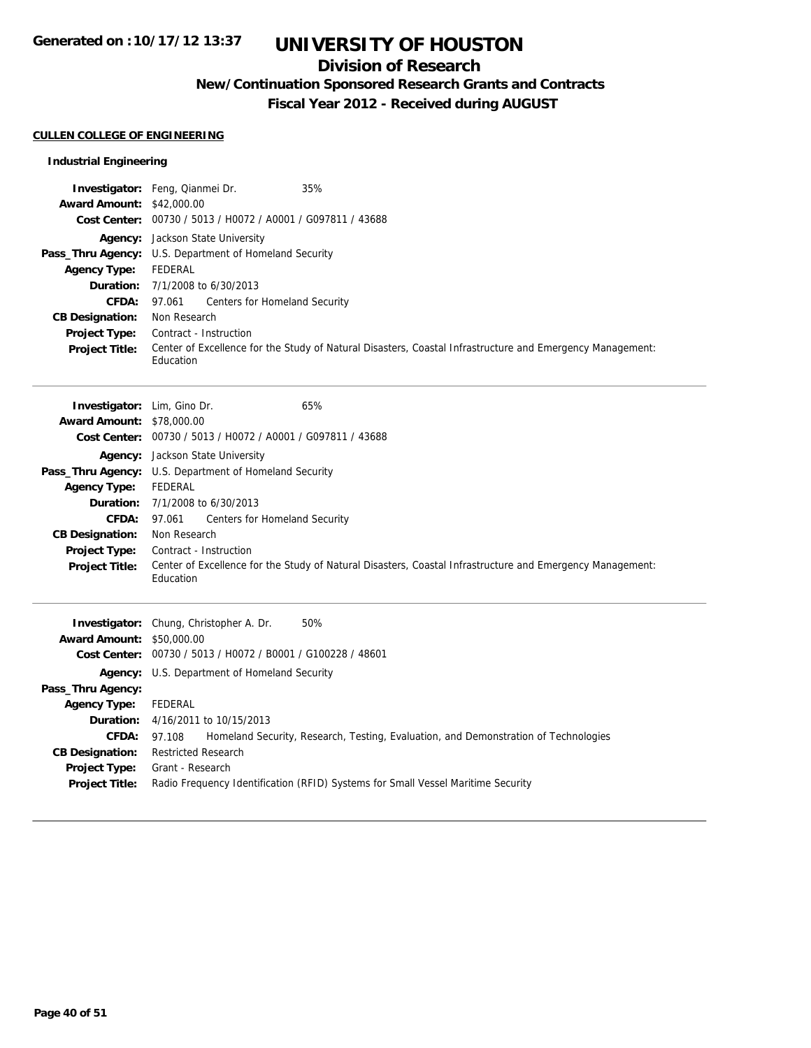## **Division of Research**

**New/Continuation Sponsored Research Grants and Contracts**

**Fiscal Year 2012 - Received during AUGUST**

### **CULLEN COLLEGE OF ENGINEERING**

### **Industrial Engineering**

| Agency: Jackson State University<br>Pass_Thru Agency: U.S. Department of Homeland Security<br><b>Agency Type:</b><br><b>FEDERAL</b><br>Duration:<br>7/1/2008 to 6/30/2013<br>CFDA:<br>97.061<br>Centers for Homeland Security<br>Non Research<br><b>CB Designation:</b><br>Project Type:<br>Contract - Instruction<br><b>Project Title:</b><br>Education<br>65%<br>Investigator: Lim, Gino Dr.<br>Award Amount: \$78,000.00<br>Cost Center: 00730 / 5013 / H0072 / A0001 / G097811 / 43688<br>Agency: Jackson State University<br>Pass_Thru Agency: U.S. Department of Homeland Security<br><b>Agency Type:</b><br><b>FEDERAL</b><br>Duration:<br>7/1/2008 to 6/30/2013<br>CFDA:<br>Centers for Homeland Security<br>97.061<br><b>CB Designation:</b><br>Non Research<br>Project Type:<br>Contract - Instruction<br>Project Title:<br>Education<br>50%<br>Investigator: Chung, Christopher A. Dr.<br><b>Award Amount: \$50,000.00</b><br>Cost Center: 00730 / 5013 / H0072 / B0001 / G100228 / 48601<br>Agency: U.S. Department of Homeland Security<br>Pass_Thru Agency:<br><b>Agency Type:</b><br><b>FEDERAL</b> | <b>Award Amount: \$42,000.00</b> | Investigator: Feng, Qianmei Dr.<br>35%<br>Cost Center: 00730 / 5013 / H0072 / A0001 / G097811 / 43688     |
|--------------------------------------------------------------------------------------------------------------------------------------------------------------------------------------------------------------------------------------------------------------------------------------------------------------------------------------------------------------------------------------------------------------------------------------------------------------------------------------------------------------------------------------------------------------------------------------------------------------------------------------------------------------------------------------------------------------------------------------------------------------------------------------------------------------------------------------------------------------------------------------------------------------------------------------------------------------------------------------------------------------------------------------------------------------------------------------------------------------------|----------------------------------|-----------------------------------------------------------------------------------------------------------|
|                                                                                                                                                                                                                                                                                                                                                                                                                                                                                                                                                                                                                                                                                                                                                                                                                                                                                                                                                                                                                                                                                                                    |                                  | Center of Excellence for the Study of Natural Disasters, Coastal Infrastructure and Emergency Management: |
|                                                                                                                                                                                                                                                                                                                                                                                                                                                                                                                                                                                                                                                                                                                                                                                                                                                                                                                                                                                                                                                                                                                    |                                  | Center of Excellence for the Study of Natural Disasters, Coastal Infrastructure and Emergency Management: |
| Duration:<br>4/16/2011 to 10/15/2013<br>CFDA:<br>97.108<br>Homeland Security, Research, Testing, Evaluation, and Demonstration of Technologies<br><b>CB Designation:</b><br><b>Restricted Research</b><br>Project Type:<br>Grant - Research<br>Radio Frequency Identification (RFID) Systems for Small Vessel Maritime Security<br><b>Project Title:</b>                                                                                                                                                                                                                                                                                                                                                                                                                                                                                                                                                                                                                                                                                                                                                           |                                  |                                                                                                           |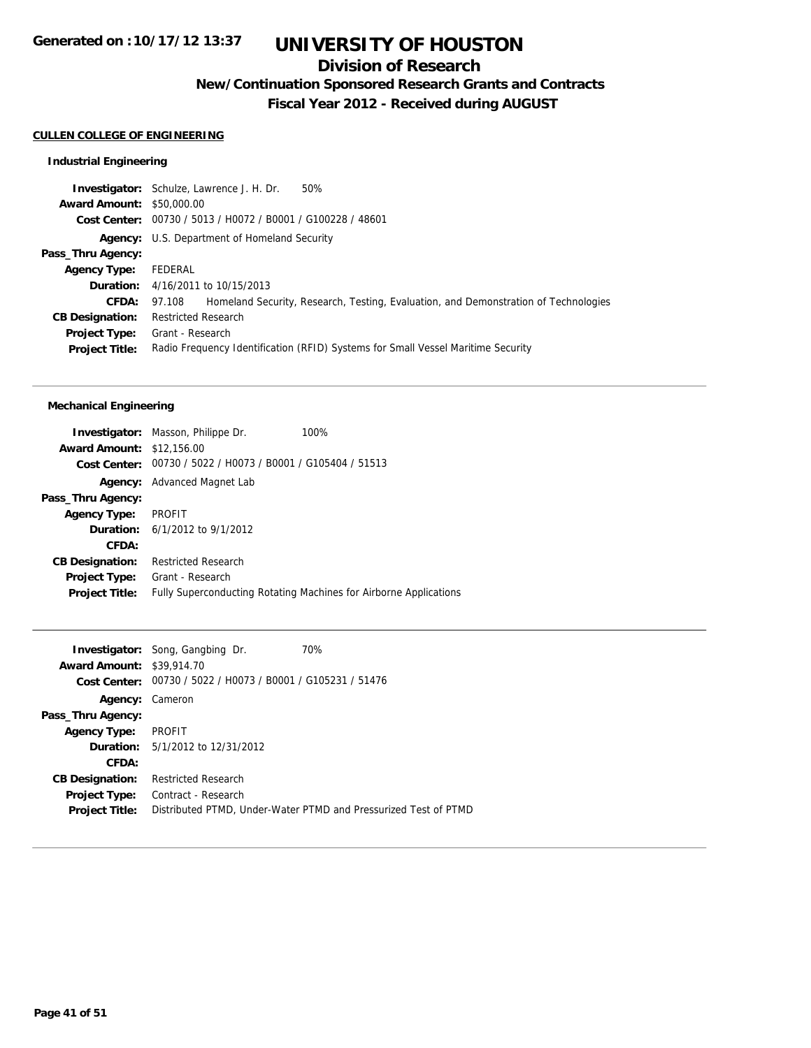## **Division of Research**

**New/Continuation Sponsored Research Grants and Contracts**

**Fiscal Year 2012 - Received during AUGUST**

### **CULLEN COLLEGE OF ENGINEERING**

### **Industrial Engineering**

|                                  | <b>Investigator:</b> Schulze, Lawrence J. H. Dr.<br>50%                                       |
|----------------------------------|-----------------------------------------------------------------------------------------------|
| <b>Award Amount: \$50,000.00</b> |                                                                                               |
|                                  | Cost Center: 00730 / 5013 / H0072 / B0001 / G100228 / 48601                                   |
|                                  | <b>Agency:</b> U.S. Department of Homeland Security                                           |
| Pass_Thru Agency:                |                                                                                               |
| <b>Agency Type:</b>              | FEDERAL                                                                                       |
|                                  | <b>Duration:</b> 4/16/2011 to 10/15/2013                                                      |
| CFDA:                            | Homeland Security, Research, Testing, Evaluation, and Demonstration of Technologies<br>97.108 |
| <b>CB Designation:</b>           | <b>Restricted Research</b>                                                                    |
| Project Type:                    | Grant - Research                                                                              |
| <b>Project Title:</b>            | Radio Frequency Identification (RFID) Systems for Small Vessel Maritime Security              |
|                                  |                                                                                               |

### **Mechanical Engineering**

|                                  | <b>Investigator:</b> Masson, Philippe Dr.                   | 100%                                                              |
|----------------------------------|-------------------------------------------------------------|-------------------------------------------------------------------|
| <b>Award Amount: \$12,156.00</b> |                                                             |                                                                   |
|                                  | Cost Center: 00730 / 5022 / H0073 / B0001 / G105404 / 51513 |                                                                   |
|                                  | <b>Agency:</b> Advanced Magnet Lab                          |                                                                   |
| Pass_Thru Agency:                |                                                             |                                                                   |
| <b>Agency Type:</b>              | <b>PROFIT</b>                                               |                                                                   |
|                                  | <b>Duration:</b> $6/1/2012$ to $9/1/2012$                   |                                                                   |
| CFDA:                            |                                                             |                                                                   |
| <b>CB Designation:</b>           | <b>Restricted Research</b>                                  |                                                                   |
| <b>Project Type:</b>             | Grant - Research                                            |                                                                   |
| <b>Project Title:</b>            |                                                             | Fully Superconducting Rotating Machines for Airborne Applications |
|                                  |                                                             |                                                                   |

|                                  | <b>Investigator:</b> Song, Gangbing Dr.        | 70%                                                             |
|----------------------------------|------------------------------------------------|-----------------------------------------------------------------|
|                                  |                                                |                                                                 |
| <b>Award Amount: \$39,914.70</b> |                                                |                                                                 |
| Cost Center:                     | 00730 / 5022 / H0073 / B0001 / G105231 / 51476 |                                                                 |
| Agency:                          | Cameron                                        |                                                                 |
| Pass_Thru Agency:                |                                                |                                                                 |
| <b>Agency Type:</b>              | PROFIT                                         |                                                                 |
|                                  | <b>Duration:</b> 5/1/2012 to 12/31/2012        |                                                                 |
| CFDA:                            |                                                |                                                                 |
| <b>CB Designation:</b>           | <b>Restricted Research</b>                     |                                                                 |
| <b>Project Type:</b>             | Contract - Research                            |                                                                 |
| <b>Project Title:</b>            |                                                | Distributed PTMD, Under-Water PTMD and Pressurized Test of PTMD |
|                                  |                                                |                                                                 |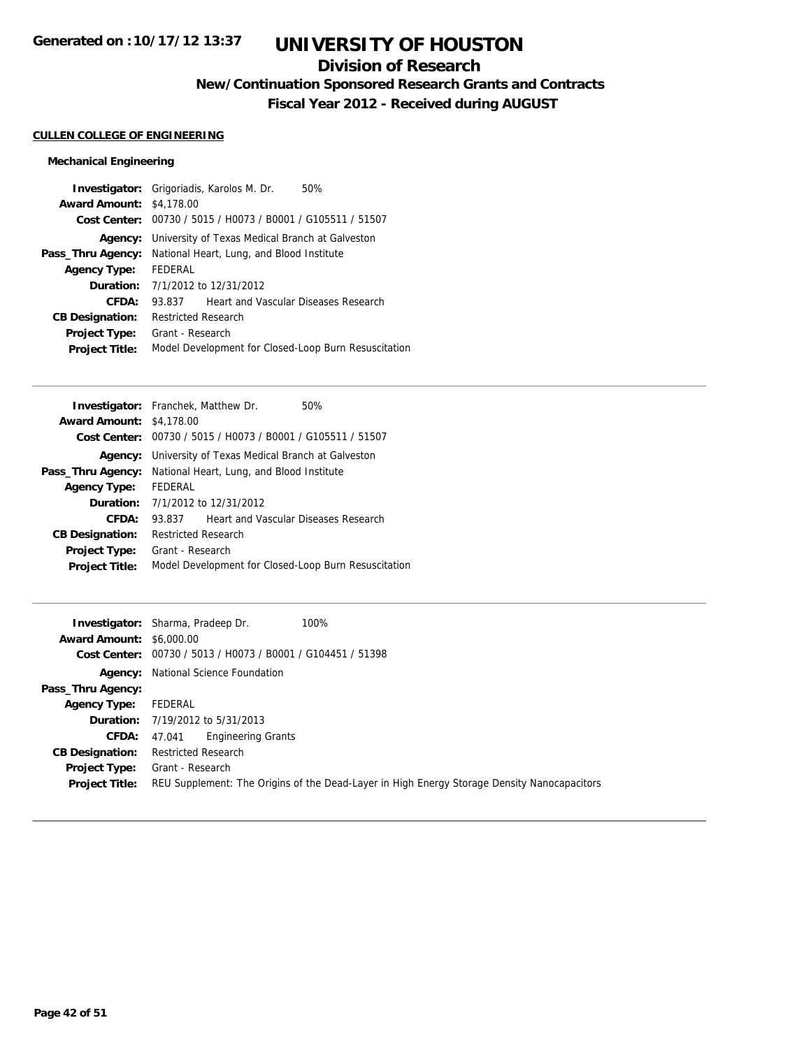## **Division of Research**

**New/Continuation Sponsored Research Grants and Contracts**

**Fiscal Year 2012 - Received during AUGUST**

### **CULLEN COLLEGE OF ENGINEERING**

### **Mechanical Engineering**

|                        | <b>Investigator:</b> Grigoriadis, Karolos M. Dr.<br>50% |
|------------------------|---------------------------------------------------------|
| <b>Award Amount:</b>   | \$4,178,00                                              |
| Cost Center:           | 00730 / 5015 / H0073 / B0001 / G105511 / 51507          |
| Agency:                | University of Texas Medical Branch at Galveston         |
| Pass_Thru Agency:      | National Heart, Lung, and Blood Institute               |
| <b>Agency Type:</b>    | FEDERAL                                                 |
| Duration:              | 7/1/2012 to 12/31/2012                                  |
| CFDA:                  | Heart and Vascular Diseases Research<br>93.837          |
| <b>CB Designation:</b> | <b>Restricted Research</b>                              |
| <b>Project Type:</b>   | Grant - Research                                        |
| <b>Project Title:</b>  | Model Development for Closed-Loop Burn Resuscitation    |
|                        |                                                         |

|                                 | <b>Investigator:</b> Franchek, Matthew Dr.<br>50%           |
|---------------------------------|-------------------------------------------------------------|
| <b>Award Amount: \$4,178,00</b> |                                                             |
|                                 | Cost Center: 00730 / 5015 / H0073 / B0001 / G105511 / 51507 |
| Agency:                         | University of Texas Medical Branch at Galveston             |
| Pass_Thru Agency:               | National Heart, Lung, and Blood Institute                   |
| <b>Agency Type:</b>             | FEDERAL                                                     |
| Duration:                       | 7/1/2012 to 12/31/2012                                      |
| CFDA:                           | Heart and Vascular Diseases Research<br>93.837              |
| <b>CB Designation:</b>          | <b>Restricted Research</b>                                  |
| <b>Project Type:</b>            | Grant - Research                                            |
| <b>Project Title:</b>           | Model Development for Closed-Loop Burn Resuscitation        |
|                                 |                                                             |

|                                 | 100%<br><b>Investigator:</b> Sharma, Pradeep Dr.                                            |
|---------------------------------|---------------------------------------------------------------------------------------------|
| <b>Award Amount: \$6,000.00</b> |                                                                                             |
|                                 | Cost Center: 00730 / 5013 / H0073 / B0001 / G104451 / 51398                                 |
|                                 | <b>Agency:</b> National Science Foundation                                                  |
| Pass_Thru Agency:               |                                                                                             |
| <b>Agency Type:</b>             | FEDERAL                                                                                     |
|                                 | <b>Duration:</b> 7/19/2012 to 5/31/2013                                                     |
| <b>CFDA:</b>                    | <b>Engineering Grants</b><br>47.041                                                         |
| <b>CB Designation:</b>          | <b>Restricted Research</b>                                                                  |
| Project Type:                   | Grant - Research                                                                            |
| <b>Project Title:</b>           | REU Supplement: The Origins of the Dead-Layer in High Energy Storage Density Nanocapacitors |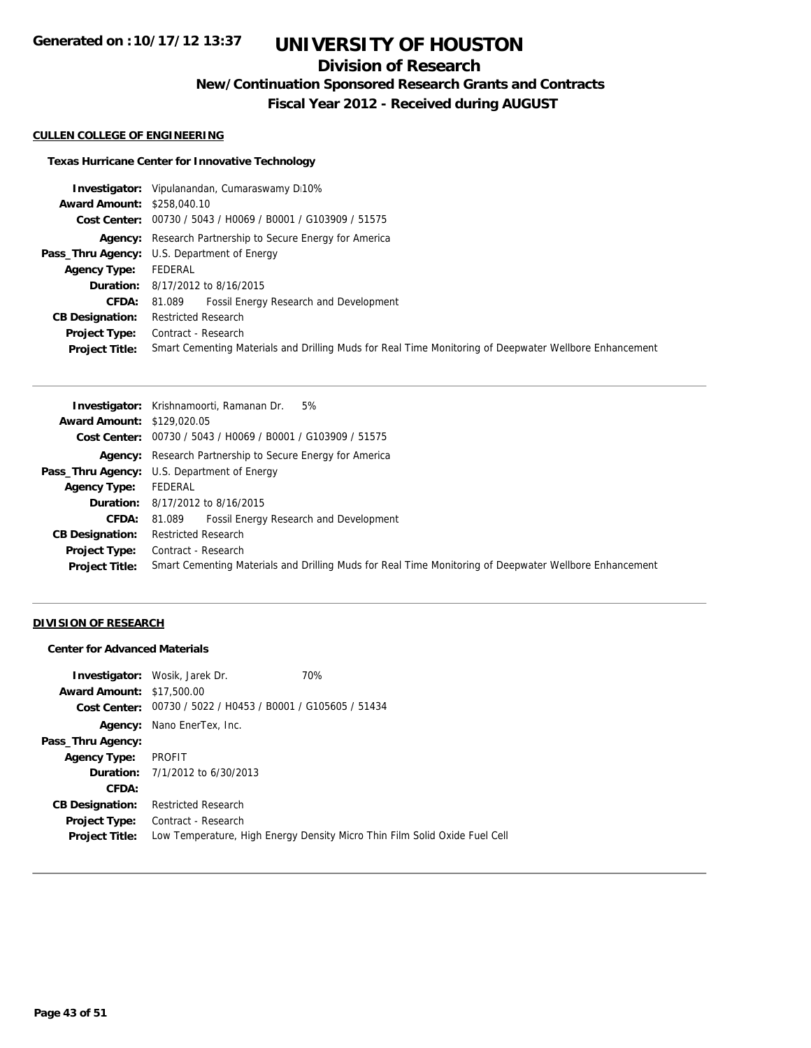## **Division of Research**

**New/Continuation Sponsored Research Grants and Contracts**

**Fiscal Year 2012 - Received during AUGUST**

#### **CULLEN COLLEGE OF ENGINEERING**

### **Texas Hurricane Center for Innovative Technology**

|                                   | <b>Investigator:</b> Vipulanandan, Cumaraswamy D10%                                                    |
|-----------------------------------|--------------------------------------------------------------------------------------------------------|
| <b>Award Amount: \$258,040.10</b> |                                                                                                        |
|                                   | Cost Center: 00730 / 5043 / H0069 / B0001 / G103909 / 51575                                            |
|                                   | <b>Agency:</b> Research Partnership to Secure Energy for America                                       |
|                                   | Pass_Thru Agency: U.S. Department of Energy                                                            |
| <b>Agency Type:</b>               | FEDERAL                                                                                                |
|                                   | <b>Duration:</b> 8/17/2012 to 8/16/2015                                                                |
|                                   | <b>CFDA:</b> 81.089 Fossil Energy Research and Development                                             |
| <b>CB Designation:</b>            | <b>Restricted Research</b>                                                                             |
|                                   | <b>Project Type:</b> Contract - Research                                                               |
| <b>Project Title:</b>             | Smart Cementing Materials and Drilling Muds for Real Time Monitoring of Deepwater Wellbore Enhancement |

| <b>Award Amount: \$129,020.05</b><br>Cost Center: 00730 / 5043 / H0069 / B0001 / G103909 / 51575<br><b>Agency:</b> Research Partnership to Secure Energy for America<br><b>Pass_Thru Agency:</b> U.S. Department of Energy<br>FEDERAL<br><b>Agency Type:</b><br><b>Duration:</b> 8/17/2012 to 8/16/2015<br><b>Fossil Energy Research and Development</b><br><b>CFDA:</b><br>81.089 |
|------------------------------------------------------------------------------------------------------------------------------------------------------------------------------------------------------------------------------------------------------------------------------------------------------------------------------------------------------------------------------------|
|                                                                                                                                                                                                                                                                                                                                                                                    |
|                                                                                                                                                                                                                                                                                                                                                                                    |
|                                                                                                                                                                                                                                                                                                                                                                                    |
|                                                                                                                                                                                                                                                                                                                                                                                    |
|                                                                                                                                                                                                                                                                                                                                                                                    |
|                                                                                                                                                                                                                                                                                                                                                                                    |
|                                                                                                                                                                                                                                                                                                                                                                                    |
| <b>Restricted Research</b><br><b>CB Designation:</b>                                                                                                                                                                                                                                                                                                                               |
| Contract - Research<br>Project Type:                                                                                                                                                                                                                                                                                                                                               |
| Smart Cementing Materials and Drilling Muds for Real Time Monitoring of Deepwater Wellbore Enhancement<br><b>Project Title:</b>                                                                                                                                                                                                                                                    |

### **DIVISION OF RESEARCH**

#### **Center for Advanced Materials**

|                                  | <b>Investigator:</b> Wosik, Jarek Dr.                       | 70%                                                                        |
|----------------------------------|-------------------------------------------------------------|----------------------------------------------------------------------------|
| <b>Award Amount: \$17,500.00</b> |                                                             |                                                                            |
|                                  | Cost Center: 00730 / 5022 / H0453 / B0001 / G105605 / 51434 |                                                                            |
|                                  | Agency: Nano EnerTex, Inc.                                  |                                                                            |
| Pass_Thru Agency:                |                                                             |                                                                            |
| <b>Agency Type:</b>              | PROFIT                                                      |                                                                            |
|                                  | <b>Duration:</b> 7/1/2012 to 6/30/2013                      |                                                                            |
| CFDA:                            |                                                             |                                                                            |
| <b>CB Designation:</b>           | <b>Restricted Research</b>                                  |                                                                            |
|                                  | <b>Project Type:</b> Contract - Research                    |                                                                            |
| <b>Project Title:</b>            |                                                             | Low Temperature, High Energy Density Micro Thin Film Solid Oxide Fuel Cell |
|                                  |                                                             |                                                                            |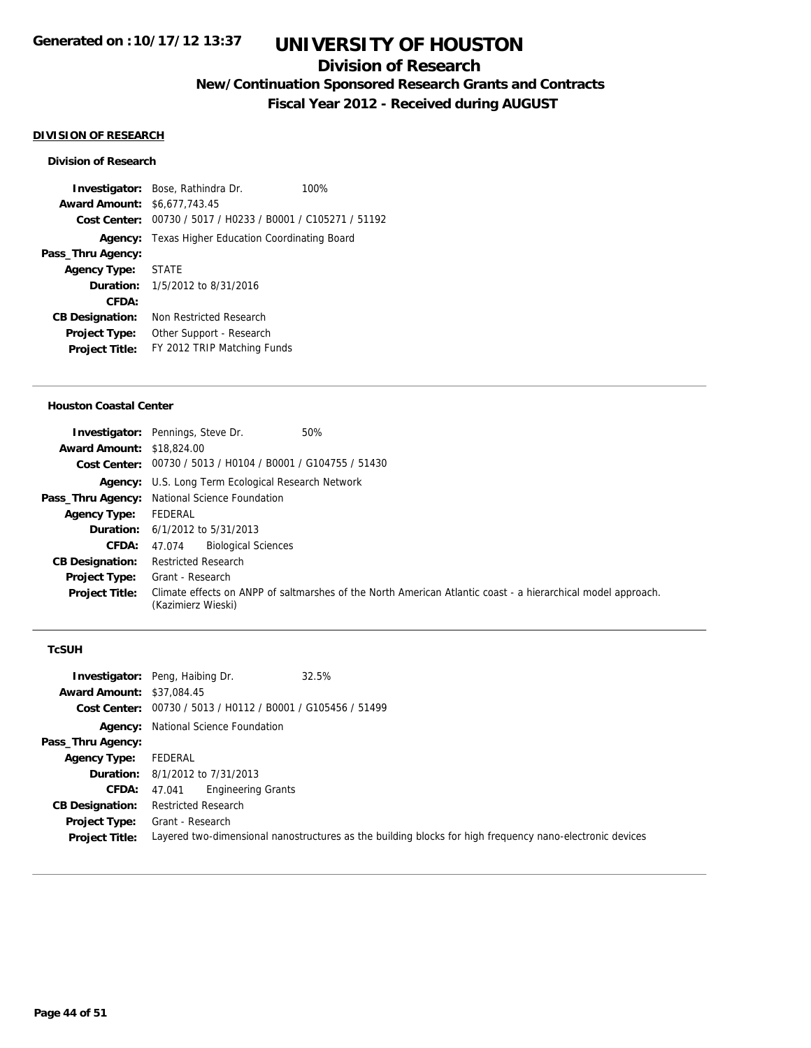## **Division of Research**

**New/Continuation Sponsored Research Grants and Contracts**

**Fiscal Year 2012 - Received during AUGUST**

### **DIVISION OF RESEARCH**

#### **Division of Research**

**Investigator:** Bose, Rathindra Dr. 100% **Award Amount:** \$6,677,743.45 **Cost Center:** 00730 / 5017 / H0233 / B0001 / C105271 / 51192 **Agency:** Texas Higher Education Coordinating Board **Pass\_Thru Agency: Agency Type:** STATE **Duration:** 1/5/2012 to 8/31/2016 **CFDA: CB Designation:** Non Restricted Research **Project Type:** Other Support - Research **Project Title:** FY 2012 TRIP Matching Funds

#### **Houston Coastal Center**

|                                  | 50%<br><b>Investigator:</b> Pennings, Steve Dr.                                                                                    |
|----------------------------------|------------------------------------------------------------------------------------------------------------------------------------|
| <b>Award Amount: \$18,824,00</b> |                                                                                                                                    |
|                                  | Cost Center: 00730 / 5013 / H0104 / B0001 / G104755 / 51430                                                                        |
|                                  | <b>Agency:</b> U.S. Long Term Ecological Research Network                                                                          |
|                                  | Pass_Thru Agency: National Science Foundation                                                                                      |
| <b>Agency Type:</b>              | FEDERAL                                                                                                                            |
|                                  | <b>Duration:</b> $6/1/2012$ to $5/31/2013$                                                                                         |
| <b>CFDA:</b>                     | <b>Biological Sciences</b><br>47.074                                                                                               |
| <b>CB Designation:</b>           | <b>Restricted Research</b>                                                                                                         |
| <b>Project Type:</b>             | Grant - Research                                                                                                                   |
| <b>Project Title:</b>            | Climate effects on ANPP of saltmarshes of the North American Atlantic coast - a hierarchical model approach.<br>(Kazimierz Wieski) |

#### **TcSUH**

| <b>Award Amount: \$37,084.45</b>       | 32.5%<br><b>Investigator:</b> Peng, Haibing Dr.<br>Cost Center: 00730 / 5013 / H0112 / B0001 / G105456 / 51499               |
|----------------------------------------|------------------------------------------------------------------------------------------------------------------------------|
|                                        | <b>Agency:</b> National Science Foundation                                                                                   |
| Pass_Thru Agency:                      |                                                                                                                              |
| <b>Agency Type:</b>                    | FEDERAL                                                                                                                      |
|                                        | <b>Duration:</b> 8/1/2012 to 7/31/2013                                                                                       |
|                                        | <b>CFDA:</b> 47.041 Engineering Grants                                                                                       |
| <b>CB Designation:</b>                 | <b>Restricted Research</b>                                                                                                   |
| Project Type:<br><b>Project Title:</b> | Grant - Research<br>Layered two-dimensional nanostructures as the building blocks for high frequency nano-electronic devices |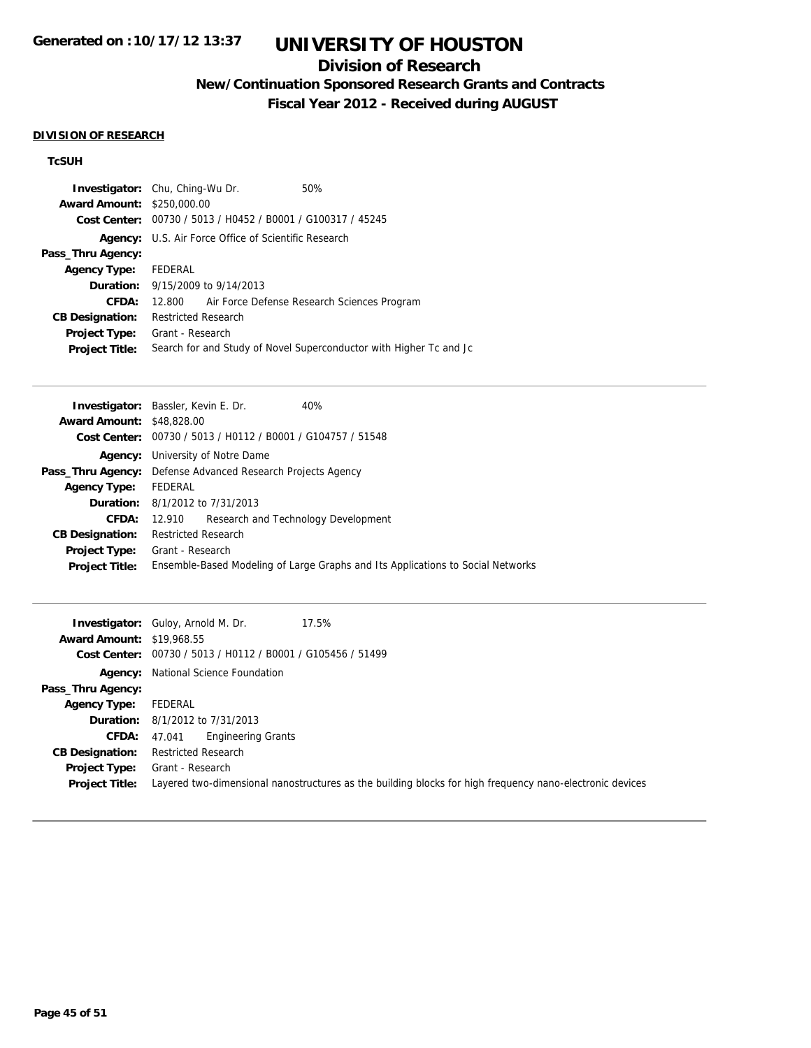## **Division of Research**

**New/Continuation Sponsored Research Grants and Contracts**

**Fiscal Year 2012 - Received during AUGUST**

#### **DIVISION OF RESEARCH**

### **TcSUH**

| <b>Award Amount:</b>   | <b>Investigator:</b> Chu, Ching-Wu Dr.<br>\$250,000.00<br>Cost Center: 00730 / 5013 / H0452 / B0001 / G100317 / 45245 | 50%                                                                |
|------------------------|-----------------------------------------------------------------------------------------------------------------------|--------------------------------------------------------------------|
| Agency:                | U.S. Air Force Office of Scientific Research                                                                          |                                                                    |
| Pass_Thru Agency:      |                                                                                                                       |                                                                    |
| Agency Type: FEDERAL   |                                                                                                                       |                                                                    |
|                        | <b>Duration:</b> 9/15/2009 to 9/14/2013                                                                               |                                                                    |
| CFDA:                  | 12.800                                                                                                                | Air Force Defense Research Sciences Program                        |
| <b>CB Designation:</b> | <b>Restricted Research</b>                                                                                            |                                                                    |
| <b>Project Type:</b>   | Grant - Research                                                                                                      |                                                                    |
| <b>Project Title:</b>  |                                                                                                                       | Search for and Study of Novel Superconductor with Higher Tc and Jc |

|                                  | <b>Investigator:</b> Bassler, Kevin E. Dr.<br>40%                               |  |
|----------------------------------|---------------------------------------------------------------------------------|--|
| <b>Award Amount: \$48,828,00</b> |                                                                                 |  |
|                                  | Cost Center: $00730 / 5013 / 40112 / 80001 / 6104757 / 51548$                   |  |
| Agency:                          | University of Notre Dame                                                        |  |
|                                  | <b>Pass_Thru Agency:</b> Defense Advanced Research Projects Agency              |  |
| <b>Agency Type:</b>              | FEDERAL                                                                         |  |
|                                  | <b>Duration:</b> 8/1/2012 to 7/31/2013                                          |  |
| CFDA:                            | 12.910 Research and Technology Development                                      |  |
| <b>CB Designation:</b>           | <b>Restricted Research</b>                                                      |  |
| <b>Project Type:</b>             | Grant - Research                                                                |  |
| <b>Project Title:</b>            | Ensemble-Based Modeling of Large Graphs and Its Applications to Social Networks |  |
|                                  |                                                                                 |  |

| <b>Award Amount: \$19,968.55</b>       | 17.5%<br><b>Investigator:</b> Guloy, Arnold M. Dr.<br>Cost Center: 00730 / 5013 / H0112 / B0001 / G105456 / 51499            |
|----------------------------------------|------------------------------------------------------------------------------------------------------------------------------|
|                                        | <b>Agency:</b> National Science Foundation                                                                                   |
| Pass_Thru Agency:                      |                                                                                                                              |
| <b>Agency Type:</b>                    | FEDERAL                                                                                                                      |
|                                        | <b>Duration:</b> 8/1/2012 to 7/31/2013                                                                                       |
| CFDA:                                  | <b>Engineering Grants</b><br>47.041                                                                                          |
| <b>CB Designation:</b>                 | <b>Restricted Research</b>                                                                                                   |
| Project Type:<br><b>Project Title:</b> | Grant - Research<br>Layered two-dimensional nanostructures as the building blocks for high frequency nano-electronic devices |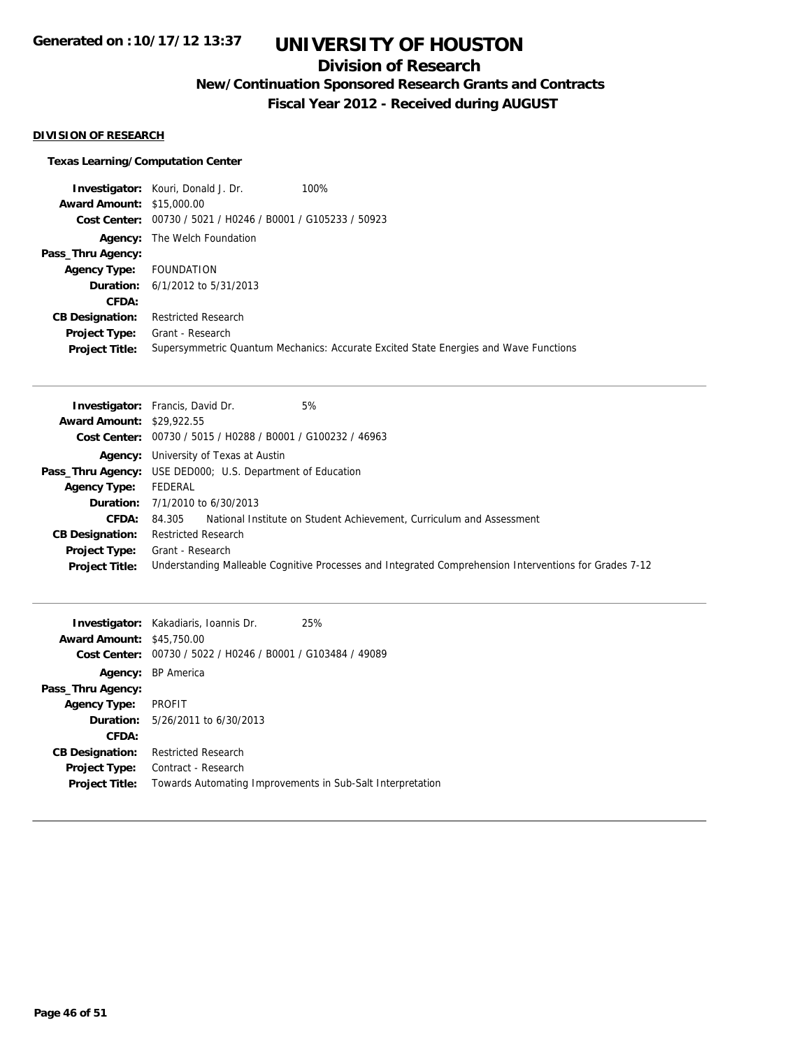## **Division of Research**

**New/Continuation Sponsored Research Grants and Contracts**

**Fiscal Year 2012 - Received during AUGUST**

#### **DIVISION OF RESEARCH**

#### **Texas Learning/Computation Center**

**Investigator:** Kouri, Donald J. Dr. 100% **Award Amount:** \$15,000.00 **Cost Center:** 00730 / 5021 / H0246 / B0001 / G105233 / 50923 **Agency:** The Welch Foundation **Pass\_Thru Agency: Agency Type:** FOUNDATION **Duration:** 6/1/2012 to 5/31/2013 **CFDA: CB Designation:** Restricted Research **Project Type:** Grant - Research **Project Title:** Supersymmetric Quantum Mechanics: Accurate Excited State Energies and Wave Functions

|                                  | 5%<br><b>Investigator:</b> Francis, David Dr.                                                          |
|----------------------------------|--------------------------------------------------------------------------------------------------------|
| <b>Award Amount: \$29,922.55</b> |                                                                                                        |
|                                  | Cost Center: 00730 / 5015 / H0288 / B0001 / G100232 / 46963                                            |
|                                  | <b>Agency:</b> University of Texas at Austin                                                           |
|                                  | <b>Pass_Thru Agency:</b> USE DED000; U.S. Department of Education                                      |
| <b>Agency Type:</b>              | FEDERAL                                                                                                |
|                                  | <b>Duration:</b> $7/1/2010$ to $6/30/2013$                                                             |
| <b>CFDA:</b>                     | National Institute on Student Achievement, Curriculum and Assessment<br>84.305                         |
| <b>CB Designation:</b>           | <b>Restricted Research</b>                                                                             |
| Project Type:                    | Grant - Research                                                                                       |
| <b>Project Title:</b>            | Understanding Malleable Cognitive Processes and Integrated Comprehension Interventions for Grades 7-12 |

| <b>Award Amount: \$45,750.00</b><br>Cost Center: | <b>Investigator:</b> Kakadiaris, Ioannis Dr.<br>00730 / 5022 / H0246 / B0001 / G103484 / 49089 | 25% |
|--------------------------------------------------|------------------------------------------------------------------------------------------------|-----|
|                                                  | Agency: BP America                                                                             |     |
| Pass_Thru Agency:                                |                                                                                                |     |
| <b>Agency Type:</b>                              | <b>PROFIT</b>                                                                                  |     |
|                                                  | <b>Duration:</b> $5/26/2011$ to $6/30/2013$                                                    |     |
| CFDA:                                            |                                                                                                |     |
| <b>CB Designation:</b>                           | <b>Restricted Research</b>                                                                     |     |
| Project Type:                                    | Contract - Research                                                                            |     |
| <b>Project Title:</b>                            | Towards Automating Improvements in Sub-Salt Interpretation                                     |     |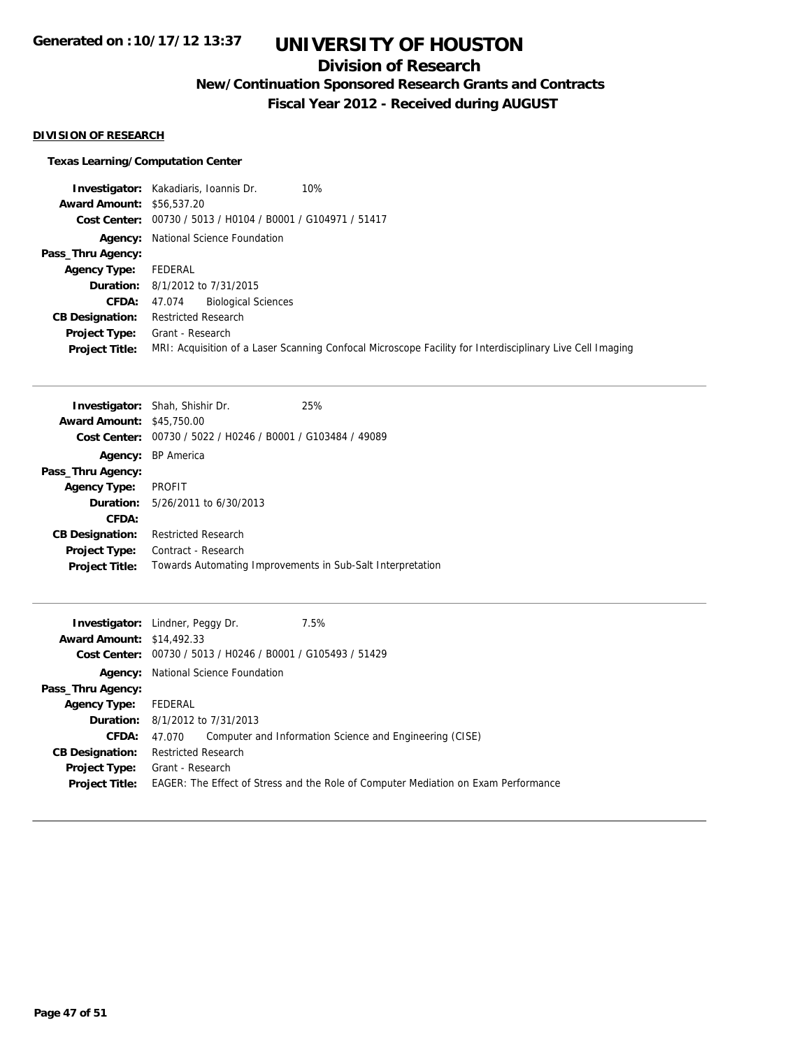## **Division of Research**

**New/Continuation Sponsored Research Grants and Contracts**

**Fiscal Year 2012 - Received during AUGUST**

#### **DIVISION OF RESEARCH**

#### **Texas Learning/Computation Center**

**Investigator:** Kakadiaris, Ioannis Dr. 10% **Award Amount:** \$56,537.20 **Cost Center:** 00730 / 5013 / H0104 / B0001 / G104971 / 51417 **Agency:** National Science Foundation **Pass\_Thru Agency: Agency Type:** FEDERAL **Duration:** 8/1/2012 to 7/31/2015 **CFDA:** 47.074 Biological Sciences **CB Designation:** Restricted Research **Project Type:** Grant - Research **Project Title:** MRI: Acquisition of a Laser Scanning Confocal Microscope Facility for Interdisciplinary Live Cell Imaging

|                                  | <b>Investigator:</b> Shah, Shishir Dr.                      | 25% |
|----------------------------------|-------------------------------------------------------------|-----|
| <b>Award Amount: \$45,750.00</b> |                                                             |     |
|                                  | Cost Center: 00730 / 5022 / H0246 / B0001 / G103484 / 49089 |     |
|                                  | Agency: BP America                                          |     |
| Pass_Thru Agency:                |                                                             |     |
| <b>Agency Type:</b>              | PROFIT                                                      |     |
|                                  | <b>Duration:</b> 5/26/2011 to 6/30/2013                     |     |
| CFDA:                            |                                                             |     |
| <b>CB Designation:</b>           | <b>Restricted Research</b>                                  |     |
| <b>Project Type:</b>             | Contract - Research                                         |     |
| <b>Project Title:</b>            | Towards Automating Improvements in Sub-Salt Interpretation  |     |

|                                  | 7.5%<br><b>Investigator:</b> Lindner, Peggy Dr.                                                                             |
|----------------------------------|-----------------------------------------------------------------------------------------------------------------------------|
| <b>Award Amount: \$14,492.33</b> |                                                                                                                             |
|                                  | Cost Center: 00730 / 5013 / H0246 / B0001 / G105493 / 51429                                                                 |
|                                  | <b>Agency:</b> National Science Foundation                                                                                  |
| Pass_Thru Agency:                |                                                                                                                             |
| <b>Agency Type:</b>              | FEDERAL                                                                                                                     |
|                                  | <b>Duration:</b> 8/1/2012 to 7/31/2013                                                                                      |
| CFDA:                            | Computer and Information Science and Engineering (CISE)<br>47.070                                                           |
| <b>CB Designation:</b>           | <b>Restricted Research</b>                                                                                                  |
| <b>Project Title:</b>            | <b>Project Type:</b> Grant - Research<br>EAGER: The Effect of Stress and the Role of Computer Mediation on Exam Performance |
|                                  |                                                                                                                             |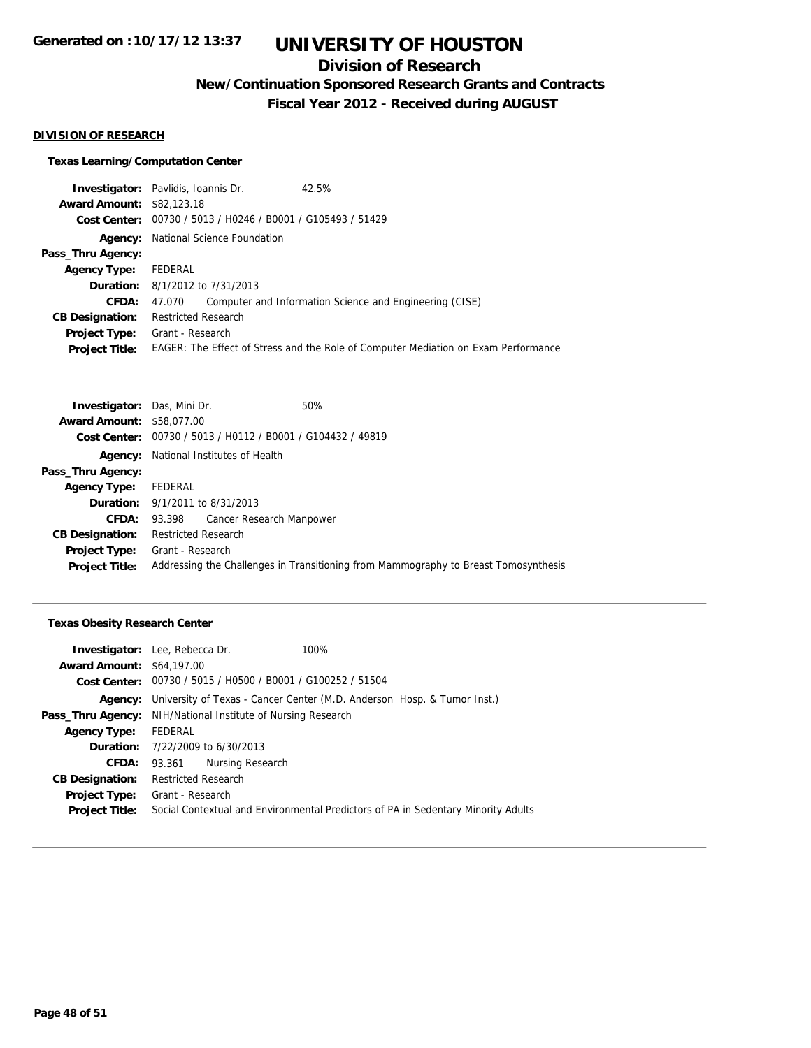## **Division of Research**

**New/Continuation Sponsored Research Grants and Contracts**

**Fiscal Year 2012 - Received during AUGUST**

#### **DIVISION OF RESEARCH**

### **Texas Learning/Computation Center**

|                                  | <b>Investigator:</b> Pavlidis, Ioannis Dr.                  | 42.5%                                                                              |
|----------------------------------|-------------------------------------------------------------|------------------------------------------------------------------------------------|
| <b>Award Amount: \$82,123.18</b> |                                                             |                                                                                    |
|                                  | Cost Center: 00730 / 5013 / H0246 / B0001 / G105493 / 51429 |                                                                                    |
|                                  | <b>Agency:</b> National Science Foundation                  |                                                                                    |
| Pass_Thru Agency:                |                                                             |                                                                                    |
| <b>Agency Type:</b>              | FEDERAL                                                     |                                                                                    |
|                                  | <b>Duration:</b> 8/1/2012 to 7/31/2013                      |                                                                                    |
| <b>CFDA:</b>                     | 47.070                                                      | Computer and Information Science and Engineering (CISE)                            |
| <b>CB Designation:</b>           | <b>Restricted Research</b>                                  |                                                                                    |
|                                  | <b>Project Type:</b> Grant - Research                       |                                                                                    |
| <b>Project Title:</b>            |                                                             | EAGER: The Effect of Stress and the Role of Computer Mediation on Exam Performance |
|                                  |                                                             |                                                                                    |

| <b>Investigator:</b> Das, Mini Dr. |                                              | 50%                                                         |                                                                                     |
|------------------------------------|----------------------------------------------|-------------------------------------------------------------|-------------------------------------------------------------------------------------|
| <b>Award Amount: \$58,077,00</b>   |                                              |                                                             |                                                                                     |
|                                    |                                              | Cost Center: 00730 / 5013 / H0112 / B0001 / G104432 / 49819 |                                                                                     |
|                                    | <b>Agency:</b> National Institutes of Health |                                                             |                                                                                     |
| Pass_Thru Agency:                  |                                              |                                                             |                                                                                     |
| <b>Agency Type:</b>                | FEDERAL                                      |                                                             |                                                                                     |
|                                    | <b>Duration:</b> 9/1/2011 to 8/31/2013       |                                                             |                                                                                     |
| <b>CFDA:</b>                       |                                              | 93.398 Cancer Research Manpower                             |                                                                                     |
| <b>CB Designation:</b>             | <b>Restricted Research</b>                   |                                                             |                                                                                     |
| <b>Project Type:</b>               | Grant - Research                             |                                                             |                                                                                     |
| <b>Project Title:</b>              |                                              |                                                             | Addressing the Challenges in Transitioning from Mammography to Breast Tomosynthesis |
|                                    |                                              |                                                             |                                                                                     |

### **Texas Obesity Research Center**

|                                  | <b>Investigator:</b> Lee, Rebecca Dr.                                | 100%                                                                              |
|----------------------------------|----------------------------------------------------------------------|-----------------------------------------------------------------------------------|
| <b>Award Amount: \$64,197.00</b> |                                                                      |                                                                                   |
|                                  | <b>Cost Center:</b> $00730 / 5015 / 10500 / 80001 / 6100252 / 51504$ |                                                                                   |
| Agency:                          |                                                                      | University of Texas - Cancer Center (M.D. Anderson Hosp. & Tumor Inst.)           |
| Pass_Thru Agency:                | NIH/National Institute of Nursing Research                           |                                                                                   |
| <b>Agency Type:</b>              | FEDERAL                                                              |                                                                                   |
|                                  | <b>Duration:</b> $7/22/2009$ to $6/30/2013$                          |                                                                                   |
| CFDA:                            | 93.361 Nursing Research                                              |                                                                                   |
| <b>CB Designation:</b>           | <b>Restricted Research</b>                                           |                                                                                   |
| <b>Project Type:</b>             | Grant - Research                                                     |                                                                                   |
| <b>Project Title:</b>            |                                                                      | Social Contextual and Environmental Predictors of PA in Sedentary Minority Adults |
|                                  |                                                                      |                                                                                   |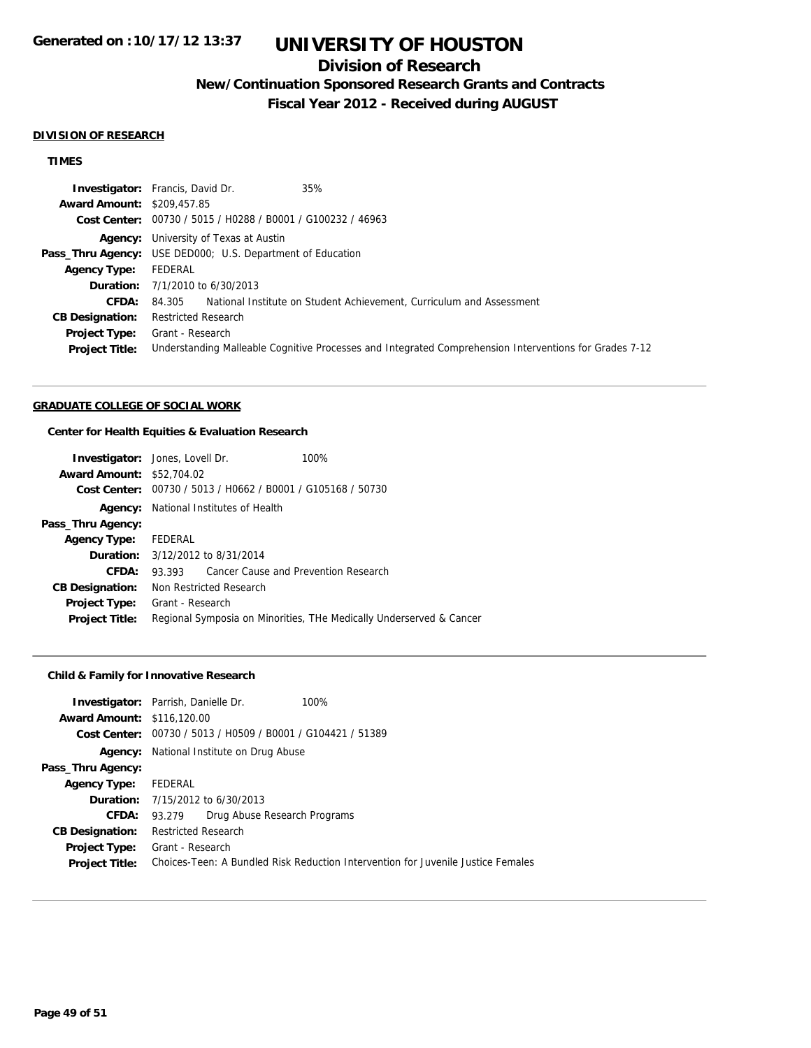## **Division of Research**

## **New/Continuation Sponsored Research Grants and Contracts**

**Fiscal Year 2012 - Received during AUGUST**

#### **DIVISION OF RESEARCH**

### **TIMES**

|                                   | 35%<br><b>Investigator:</b> Francis, David Dr.                                                         |
|-----------------------------------|--------------------------------------------------------------------------------------------------------|
| <b>Award Amount: \$209,457.85</b> |                                                                                                        |
|                                   | Cost Center: 00730 / 5015 / H0288 / B0001 / G100232 / 46963                                            |
|                                   | <b>Agency:</b> University of Texas at Austin                                                           |
|                                   | <b>Pass_Thru Agency:</b> USE DED000; U.S. Department of Education                                      |
| <b>Agency Type:</b>               | FEDERAL                                                                                                |
|                                   | <b>Duration:</b> $7/1/2010$ to $6/30/2013$                                                             |
| <b>CFDA:</b>                      | 84.305 National Institute on Student Achievement, Curriculum and Assessment                            |
| <b>CB Designation:</b>            | <b>Restricted Research</b>                                                                             |
| <b>Project Type:</b>              | Grant - Research                                                                                       |
| <b>Project Title:</b>             | Understanding Malleable Cognitive Processes and Integrated Comprehension Interventions for Grades 7-12 |

#### **GRADUATE COLLEGE OF SOCIAL WORK**

#### **Center for Health Equities & Evaluation Research**

|                                  | <b>Investigator:</b> Jones, Lovell Dr.       | 100%                                                                |
|----------------------------------|----------------------------------------------|---------------------------------------------------------------------|
| <b>Award Amount: \$52,704.02</b> |                                              |                                                                     |
| Cost Center:                     |                                              | 00730 / 5013 / H0662 / B0001 / G105168 / 50730                      |
|                                  | <b>Agency:</b> National Institutes of Health |                                                                     |
| Pass_Thru Agency:                |                                              |                                                                     |
| <b>Agency Type:</b>              | FEDERAL                                      |                                                                     |
|                                  | <b>Duration:</b> 3/12/2012 to 8/31/2014      |                                                                     |
| CFDA:                            | 93.393                                       | Cancer Cause and Prevention Research                                |
| <b>CB Designation:</b>           | Non Restricted Research                      |                                                                     |
| Project Type:                    | Grant - Research                             |                                                                     |
| <b>Project Title:</b>            |                                              | Regional Symposia on Minorities, THe Medically Underserved & Cancer |

### **Child & Family for Innovative Research**

|                                   | <b>Investigator:</b> Parrish, Danielle Dr.     | 100%                                                                             |
|-----------------------------------|------------------------------------------------|----------------------------------------------------------------------------------|
| <b>Award Amount: \$116,120.00</b> |                                                |                                                                                  |
| Cost Center:                      | 00730 / 5013 / H0509 / B0001 / G104421 / 51389 |                                                                                  |
| Agency:                           | National Institute on Drug Abuse               |                                                                                  |
| Pass_Thru Agency:                 |                                                |                                                                                  |
| <b>Agency Type:</b>               | FEDERAL                                        |                                                                                  |
|                                   | <b>Duration:</b> 7/15/2012 to 6/30/2013        |                                                                                  |
| <b>CFDA:</b>                      | Drug Abuse Research Programs<br>93.279         |                                                                                  |
| <b>CB Designation:</b>            | Restricted Research                            |                                                                                  |
| Project Type:                     | Grant - Research                               |                                                                                  |
| <b>Project Title:</b>             |                                                | Choices-Teen: A Bundled Risk Reduction Intervention for Juvenile Justice Females |
|                                   |                                                |                                                                                  |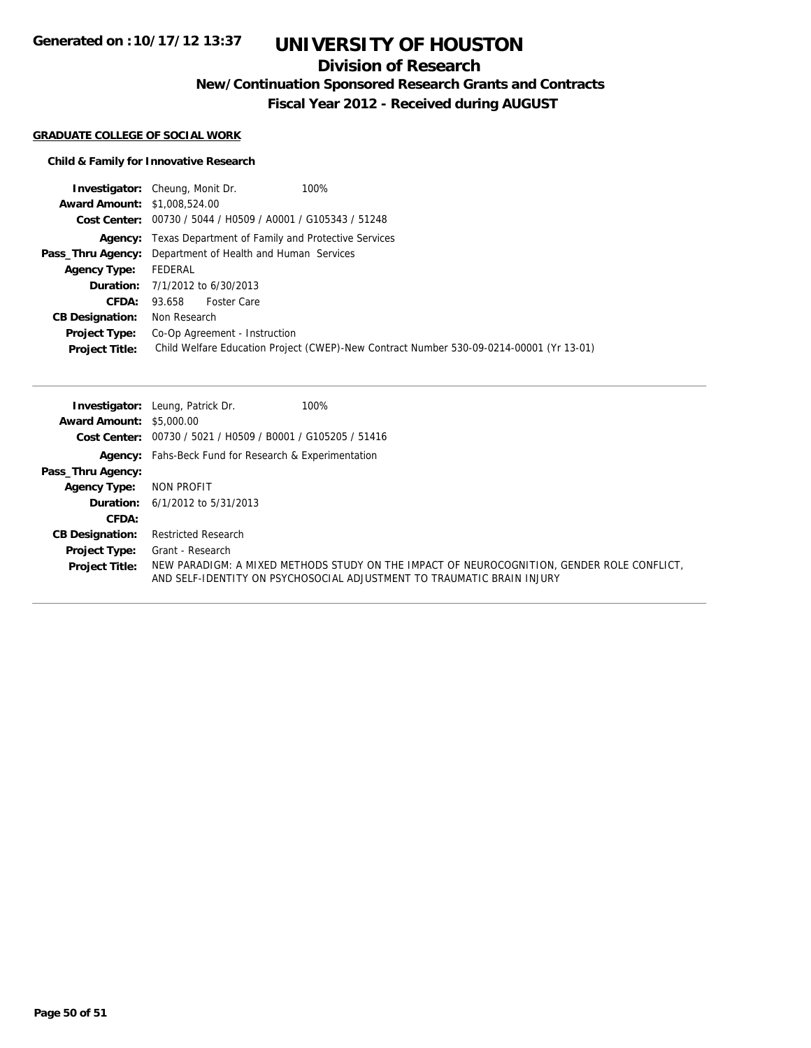## **Division of Research**

**New/Continuation Sponsored Research Grants and Contracts**

**Fiscal Year 2012 - Received during AUGUST**

#### **GRADUATE COLLEGE OF SOCIAL WORK**

### **Child & Family for Innovative Research**

|                                     | 100%<br><b>Investigator:</b> Cheung, Monit Dr.                                          |
|-------------------------------------|-----------------------------------------------------------------------------------------|
| <b>Award Amount: \$1,008,524,00</b> |                                                                                         |
|                                     | Cost Center: 00730 / 5044 / H0509 / A0001 / G105343 / 51248                             |
|                                     | <b>Agency:</b> Texas Department of Family and Protective Services                       |
|                                     | <b>Pass_Thru Agency:</b> Department of Health and Human Services                        |
| <b>Agency Type:</b>                 | FEDERAL                                                                                 |
|                                     | <b>Duration:</b> $7/1/2012$ to $6/30/2013$                                              |
|                                     | CFDA: 93.658 Foster Care                                                                |
| <b>CB Designation:</b>              | Non Research                                                                            |
| <b>Project Type:</b>                | Co-Op Agreement - Instruction                                                           |
| <b>Project Title:</b>               | Child Welfare Education Project (CWEP)-New Contract Number 530-09-0214-00001 (Yr 13-01) |

|                                 | <b>Investigator:</b> Leung, Patrick Dr.<br>100%                      |                                                                                                                                                                      |
|---------------------------------|----------------------------------------------------------------------|----------------------------------------------------------------------------------------------------------------------------------------------------------------------|
| <b>Award Amount: \$5,000.00</b> |                                                                      |                                                                                                                                                                      |
|                                 | <b>Cost Center:</b> $00730 / 5021 / 10509 / 80001 / 6105205 / 51416$ |                                                                                                                                                                      |
|                                 | <b>Agency:</b> Fahs-Beck Fund for Research & Experimentation         |                                                                                                                                                                      |
| Pass_Thru Agency:               |                                                                      |                                                                                                                                                                      |
| <b>Agency Type:</b>             | NON PROFIT                                                           |                                                                                                                                                                      |
|                                 | <b>Duration:</b> $6/1/2012$ to $5/31/2013$                           |                                                                                                                                                                      |
| CFDA:                           |                                                                      |                                                                                                                                                                      |
| <b>CB Designation:</b>          | <b>Restricted Research</b>                                           |                                                                                                                                                                      |
| <b>Project Type:</b>            | Grant - Research                                                     |                                                                                                                                                                      |
| <b>Project Title:</b>           |                                                                      | NEW PARADIGM: A MIXED METHODS STUDY ON THE IMPACT OF NEUROCOGNITION, GENDER ROLE CONFLICT,<br>AND SELF-IDENTITY ON PSYCHOSOCIAL ADJUSTMENT TO TRAUMATIC BRAIN INJURY |